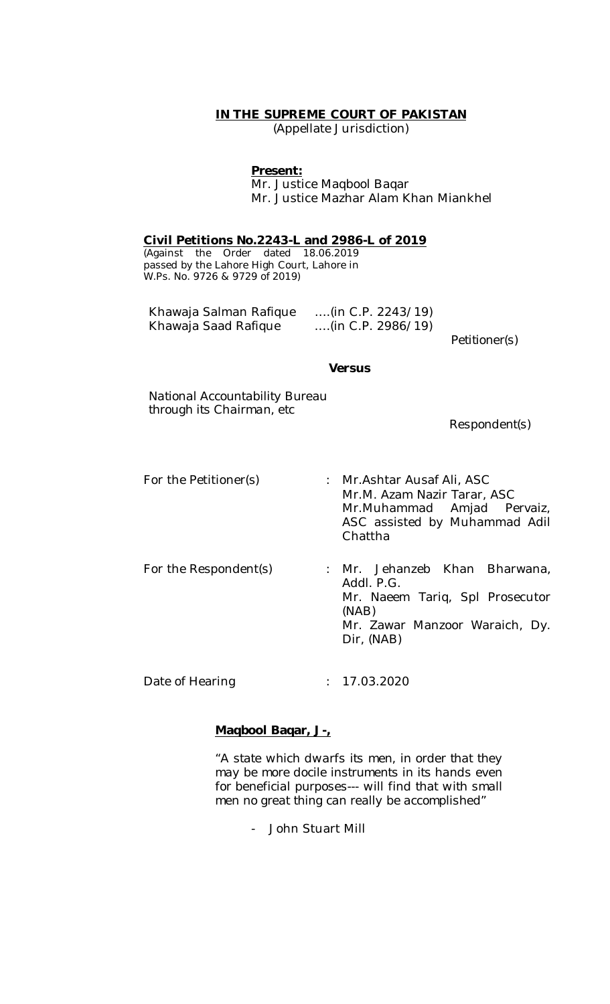## **IN THE SUPREME COURT OF PAKISTAN**

(Appellate Jurisdiction)

#### **Present:**

Mr. Justice Maqbool Baqar Mr. Justice Mazhar Alam Khan Miankhel

**Civil Petitions No.2243-L and 2986-L of 2019**

(Against the Order dated 18.06.2019 passed by the Lahore High Court, Lahore in W.Ps. No. 9726 & 9729 of 2019)

| Khawaja Salman Rafique | $\ldots$ (in C.P. 2243/19) |
|------------------------|----------------------------|
| Khawaja Saad Rafique   | (in C.P. 2986/19)          |

*Petitioner(s)*

#### *Versus*

*National Accountability Bureau through its Chairman, etc*

 *Respondent(s)*

- For the Petitioner(s) : Mr.Ashtar Ausaf Ali, ASC Mr.M. Azam Nazir Tarar, ASC Mr.Muhammad Amjad Pervaiz, ASC assisted by Muhammad Adil Chattha
- For the Respondent(s) : Mr. Jehanzeb Khan Bharwana, Addl. P.G. Mr. Naeem Tariq, Spl Prosecutor (NAB) Mr. Zawar Manzoor Waraich, Dy. Dir, (NAB)

Date of Hearing : 17.03.2020

### **Maqbool Baqar, J-,**

*"A state which dwarfs its men, in order that they may be more docile instruments in its hands even for beneficial purposes--- will find that with small men no great thing can really be accomplished"*

- John Stuart Mill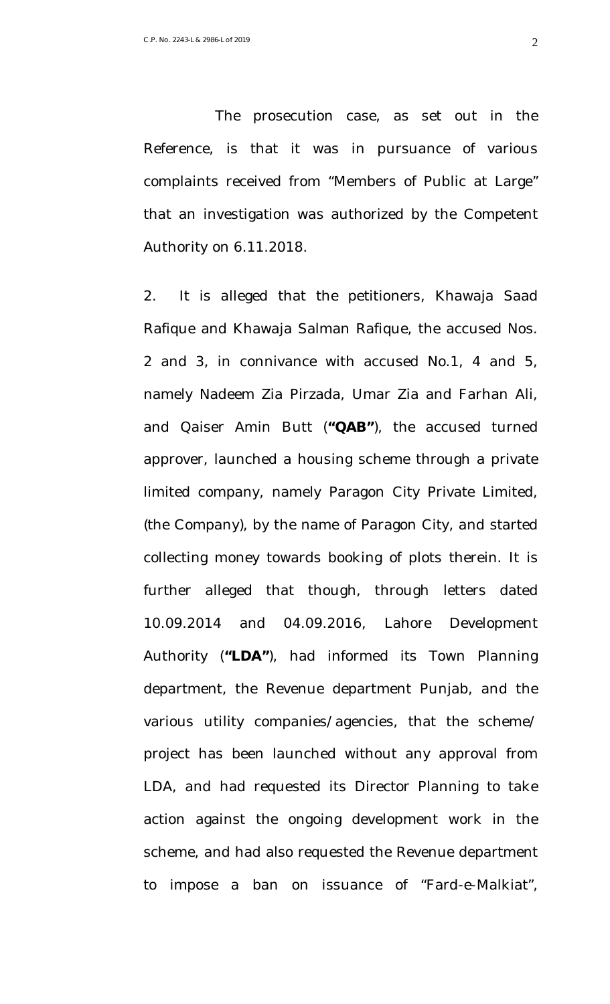The prosecution case, as set out in the Reference, is that it was in pursuance of various complaints received from "Members of Public at Large" that an investigation was authorized by the Competent Authority on 6.11.2018.

2. It is alleged that the petitioners, Khawaja Saad Rafique and Khawaja Salman Rafique, the accused Nos. 2 and 3, in connivance with accused No.1, 4 and 5, namely Nadeem Zia Pirzada, Umar Zia and Farhan Ali, and Qaiser Amin Butt (**"QAB"**), the accused turned approver, launched a housing scheme through a private limited company, namely Paragon City Private Limited, (the Company), by the name of Paragon City, and started collecting money towards booking of plots therein. It is further alleged that though, through letters dated 10.09.2014 and 04.09.2016, Lahore Development Authority (**"LDA"**), had informed its Town Planning department, the Revenue department Punjab, and the various utility companies/agencies, that the scheme/ project has been launched without any approval from LDA, and had requested its Director Planning to take action against the ongoing development work in the scheme, and had also requested the Revenue department to impose a ban on issuance of "Fard-e-Malkiat",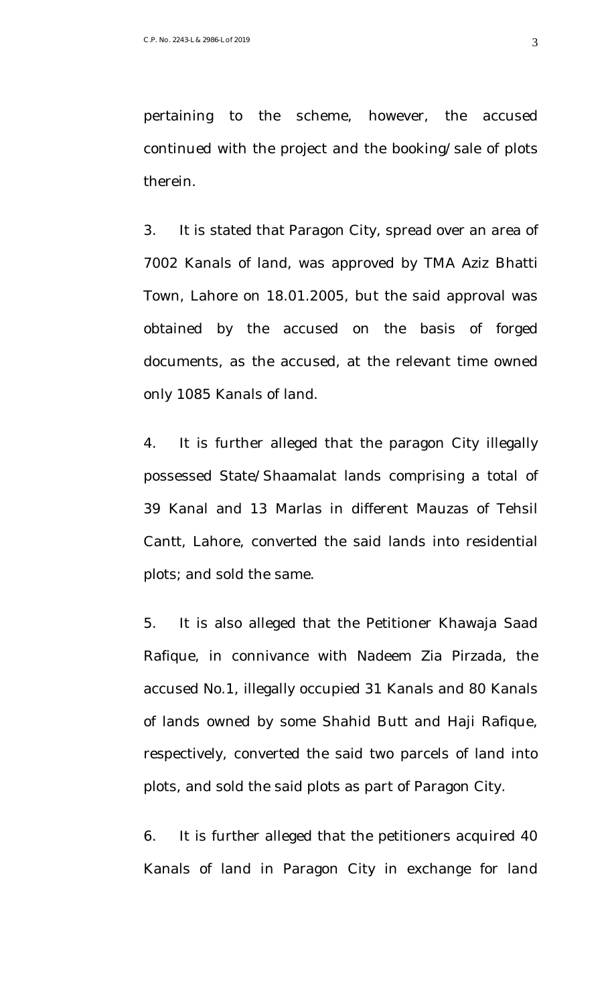pertaining to the scheme, however, the accused continued with the project and the booking/sale of plots therein.

3. It is stated that Paragon City, spread over an area of 7002 Kanals of land, was approved by TMA Aziz Bhatti Town, Lahore on 18.01.2005, but the said approval was obtained by the accused on the basis of forged documents, as the accused, at the relevant time owned only 1085 Kanals of land.

4. It is further alleged that the paragon City illegally possessed State/Shaamalat lands comprising a total of 39 Kanal and 13 Marlas in different Mauzas of Tehsil Cantt, Lahore, converted the said lands into residential plots; and sold the same.

5. It is also alleged that the Petitioner Khawaja Saad Rafique, in connivance with Nadeem Zia Pirzada, the accused No.1, illegally occupied 31 Kanals and 80 Kanals of lands owned by some Shahid Butt and Haji Rafique, respectively, converted the said two parcels of land into plots, and sold the said plots as part of Paragon City.

6. It is further alleged that the petitioners acquired 40 Kanals of land in Paragon City in exchange for land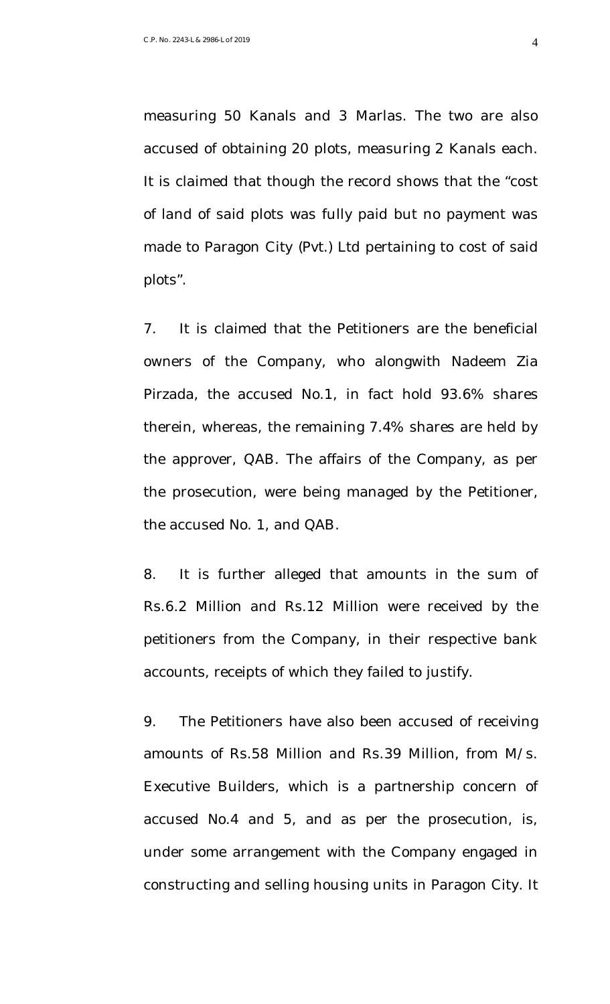measuring 50 Kanals and 3 Marlas. The two are also accused of obtaining 20 plots, measuring 2 Kanals each. It is claimed that though the record shows that the "cost of land of said plots was fully paid but no payment was made to Paragon City (Pvt.) Ltd pertaining to cost of said plots".

7. It is claimed that the Petitioners are the beneficial owners of the Company, who alongwith Nadeem Zia Pirzada, the accused No.1, in fact hold 93.6% shares therein, whereas, the remaining 7.4% shares are held by the approver, QAB. The affairs of the Company, as per the prosecution, were being managed by the Petitioner, the accused No. 1, and QAB.

8. It is further alleged that amounts in the sum of Rs.6.2 Million and Rs.12 Million were received by the petitioners from the Company, in their respective bank accounts, receipts of which they failed to justify.

9. The Petitioners have also been accused of receiving amounts of Rs.58 Million and Rs.39 Million, from M/s. Executive Builders, which is a partnership concern of accused No.4 and 5, and as per the prosecution, is, under some arrangement with the Company engaged in constructing and selling housing units in Paragon City. It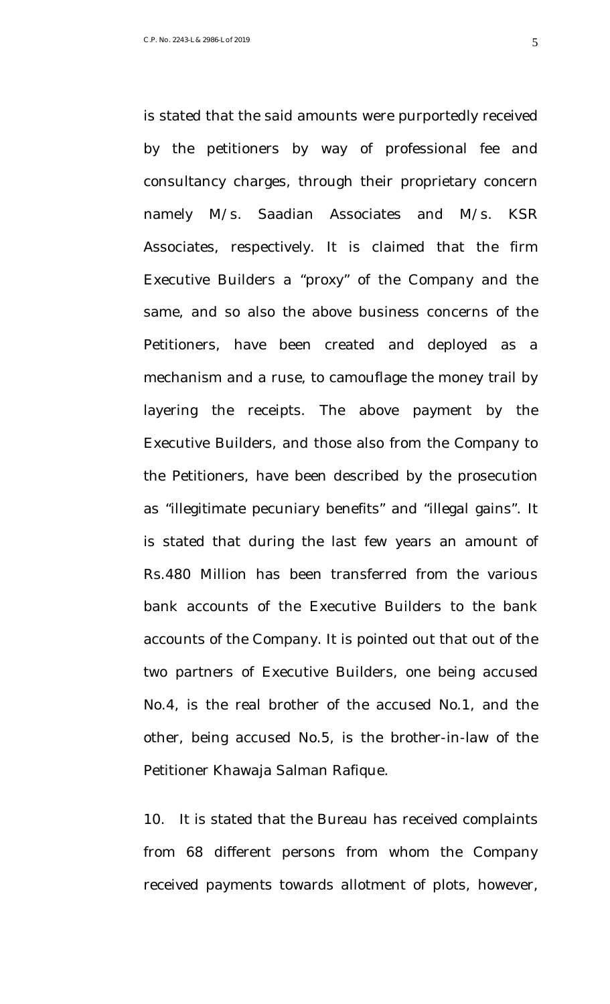is stated that the said amounts were purportedly received by the petitioners by way of professional fee and consultancy charges, through their proprietary concern namely M/s. Saadian Associates and M/s. KSR Associates, respectively. It is claimed that the firm Executive Builders a "proxy" of the Company and the same, and so also the above business concerns of the Petitioners, have been created and deployed as a mechanism and a ruse, to camouflage the money trail by layering the receipts. The above payment by the Executive Builders, and those also from the Company to the Petitioners, have been described by the prosecution as "illegitimate pecuniary benefits" and "illegal gains". It is stated that during the last few years an amount of Rs.480 Million has been transferred from the various bank accounts of the Executive Builders to the bank accounts of the Company. It is pointed out that out of the two partners of Executive Builders, one being accused No.4, is the real brother of the accused No.1, and the other, being accused No.5, is the brother-in-law of the Petitioner Khawaja Salman Rafique.

10. It is stated that the Bureau has received complaints from 68 different persons from whom the Company received payments towards allotment of plots, however,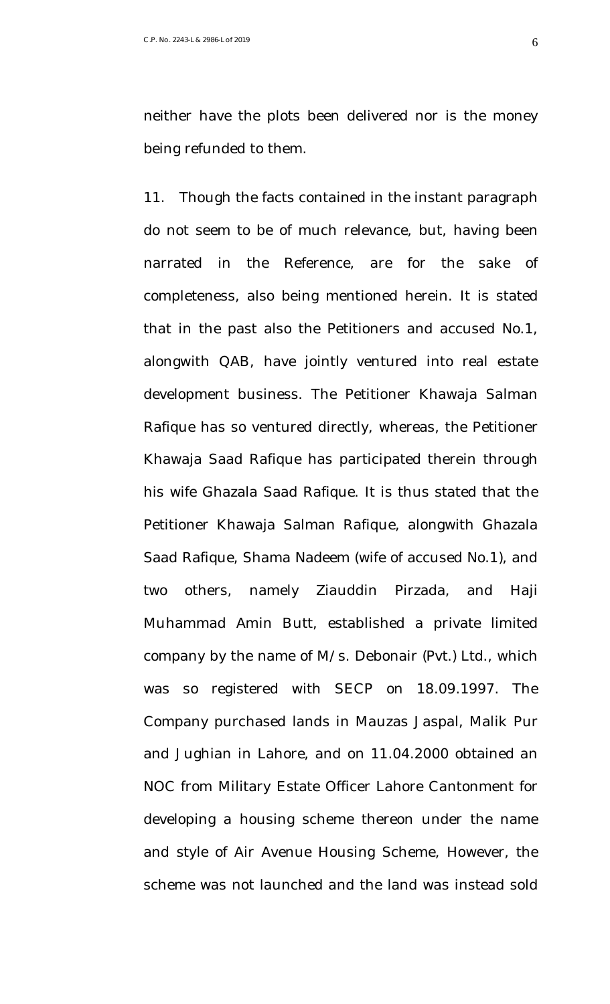neither have the plots been delivered nor is the money being refunded to them.

11. Though the facts contained in the instant paragraph do not seem to be of much relevance, but, having been narrated in the Reference, are for the sake of completeness, also being mentioned herein. It is stated that in the past also the Petitioners and accused No.1, alongwith QAB, have jointly ventured into real estate development business. The Petitioner Khawaja Salman Rafique has so ventured directly, whereas, the Petitioner Khawaja Saad Rafique has participated therein through his wife Ghazala Saad Rafique. It is thus stated that the Petitioner Khawaja Salman Rafique, alongwith Ghazala Saad Rafique, Shama Nadeem (wife of accused No.1), and two others, namely Ziauddin Pirzada, and Haji Muhammad Amin Butt, established a private limited company by the name of M/s. Debonair (Pvt.) Ltd., which was so registered with SECP on 18.09.1997. The Company purchased lands in Mauzas Jaspal, Malik Pur and Jughian in Lahore, and on 11.04.2000 obtained an NOC from Military Estate Officer Lahore Cantonment for developing a housing scheme thereon under the name and style of Air Avenue Housing Scheme, However, the scheme was not launched and the land was instead sold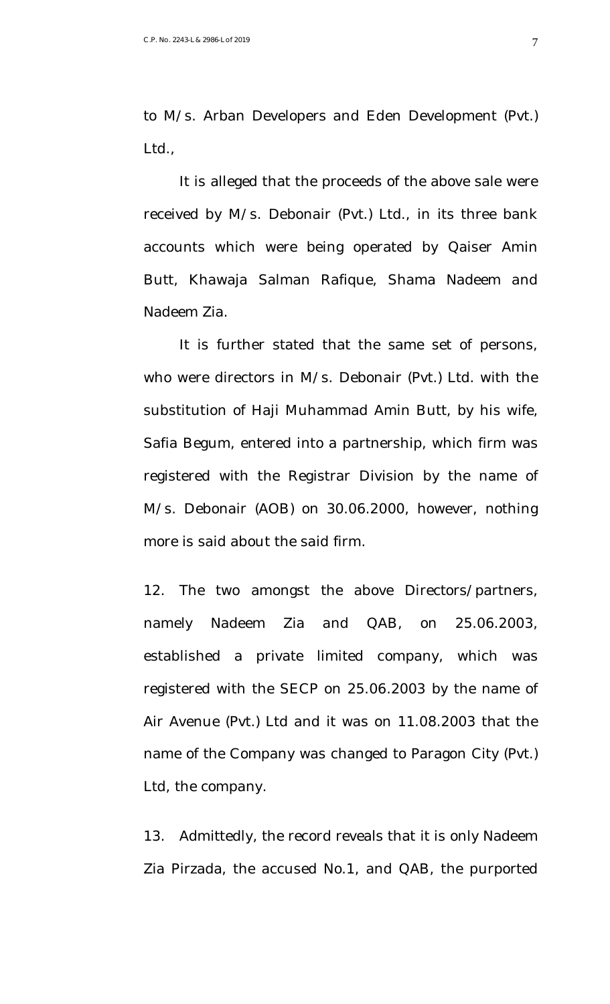to M/s. Arban Developers and Eden Development (Pvt.) Ltd.,

It is alleged that the proceeds of the above sale were received by M/s. Debonair (Pvt.) Ltd., in its three bank accounts which were being operated by Qaiser Amin Butt, Khawaja Salman Rafique, Shama Nadeem and Nadeem Zia.

It is further stated that the same set of persons, who were directors in M/s. Debonair (Pvt.) Ltd. with the substitution of Haji Muhammad Amin Butt, by his wife, Safia Begum, entered into a partnership, which firm was registered with the Registrar Division by the name of M/s. Debonair (AOB) on 30.06.2000, however, nothing more is said about the said firm.

12. The two amongst the above Directors/partners, namely Nadeem Zia and QAB, on 25.06.2003, established a private limited company, which was registered with the SECP on 25.06.2003 by the name of Air Avenue (Pvt.) Ltd and it was on 11.08.2003 that the name of the Company was changed to Paragon City (Pvt.) Ltd, the company.

13. Admittedly, the record reveals that it is only Nadeem Zia Pirzada, the accused No.1, and QAB, the purported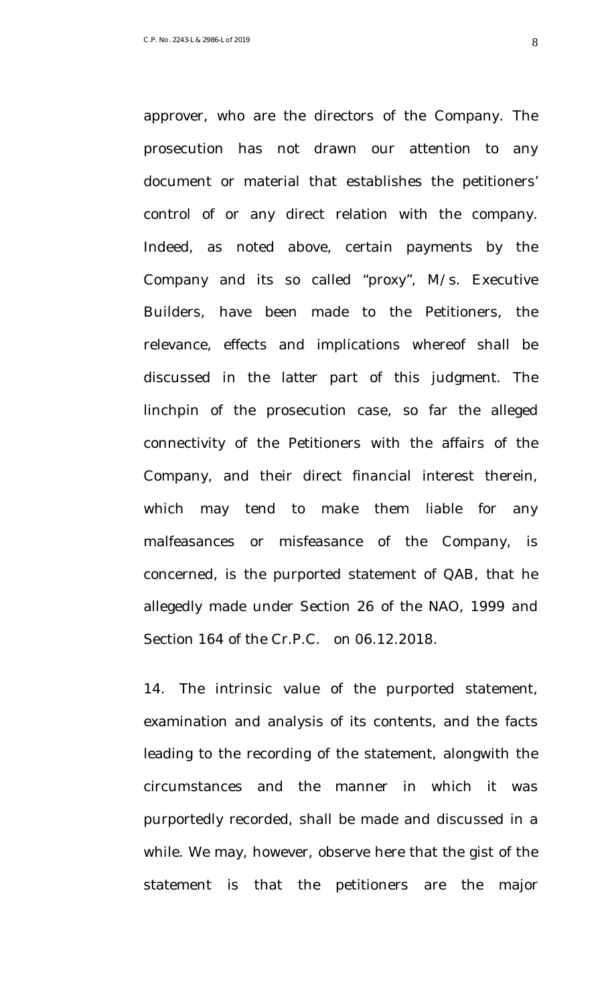approver, who are the directors of the Company. The prosecution has not drawn our attention to any document or material that establishes the petitioners' control of or any direct relation with the company. Indeed, as noted above, certain payments by the Company and its so called "proxy", M/s. Executive Builders, have been made to the Petitioners, the relevance, effects and implications whereof shall be discussed in the latter part of this judgment. The linchpin of the prosecution case, so far the alleged connectivity of the Petitioners with the affairs of the Company, and their direct financial interest therein, which may tend to make them liable for any malfeasances or misfeasance of the Company, is concerned, is the purported statement of QAB, that he allegedly made under Section 26 of the NAO, 1999 and Section 164 of the Cr.P.C. on 06.12.2018.

14. The intrinsic value of the purported statement, examination and analysis of its contents, and the facts leading to the recording of the statement, alongwith the circumstances and the manner in which it was purportedly recorded, shall be made and discussed in a while. We may, however, observe here that the gist of the statement is that the petitioners are the major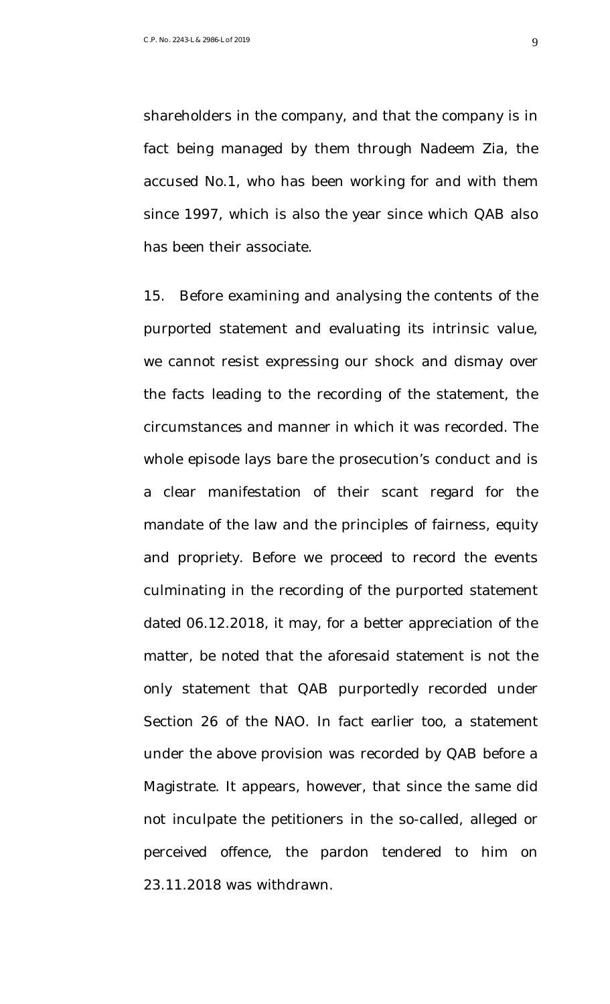shareholders in the company, and that the company is in fact being managed by them through Nadeem Zia, the accused No.1, who has been working for and with them since 1997, which is also the year since which QAB also has been their associate.

15. Before examining and analysing the contents of the purported statement and evaluating its intrinsic value, we cannot resist expressing our shock and dismay over the facts leading to the recording of the statement, the circumstances and manner in which it was recorded. The whole episode lays bare the prosecution's conduct and is a clear manifestation of their scant regard for the mandate of the law and the principles of fairness, equity and propriety. Before we proceed to record the events culminating in the recording of the purported statement dated 06.12.2018, it may, for a better appreciation of the matter, be noted that the aforesaid statement is not the only statement that QAB purportedly recorded under Section 26 of the NAO. In fact earlier too, a statement under the above provision was recorded by QAB before a Magistrate. It appears, however, that since the same did not inculpate the petitioners in the so-called, alleged or perceived offence, the pardon tendered to him on 23.11.2018 was withdrawn.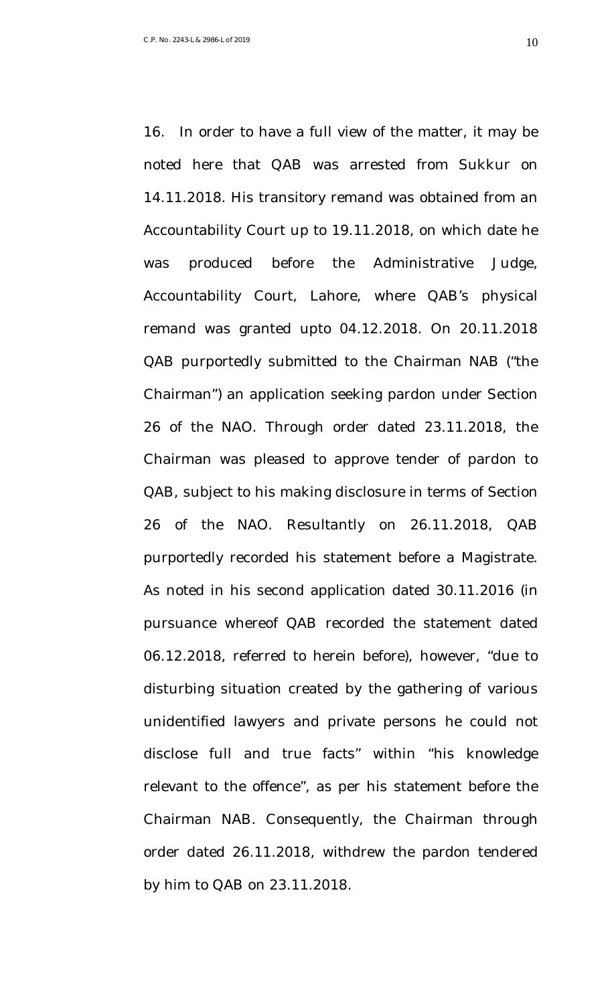16. In order to have a full view of the matter, it may be noted here that QAB was arrested from Sukkur on 14.11.2018. His transitory remand was obtained from an Accountability Court up to 19.11.2018, on which date he was produced before the Administrative Judge, Accountability Court, Lahore, where QAB's physical remand was granted upto 04.12.2018. On 20.11.2018 QAB purportedly submitted to the Chairman NAB ("the Chairman") an application seeking pardon under Section 26 of the NAO. Through order dated 23.11.2018, the Chairman was pleased to approve tender of pardon to QAB, subject to his making disclosure in terms of Section 26 of the NAO. Resultantly on 26.11.2018, QAB purportedly recorded his statement before a Magistrate. As noted in his second application dated 30.11.2016 (in pursuance whereof QAB recorded the statement dated 06.12.2018, referred to herein before), however, "due to disturbing situation created by the gathering of various unidentified lawyers and private persons he could not disclose full and true facts" within "his knowledge relevant to the offence", as per his statement before the Chairman NAB. Consequently, the Chairman through order dated 26.11.2018, withdrew the pardon tendered by him to QAB on 23.11.2018.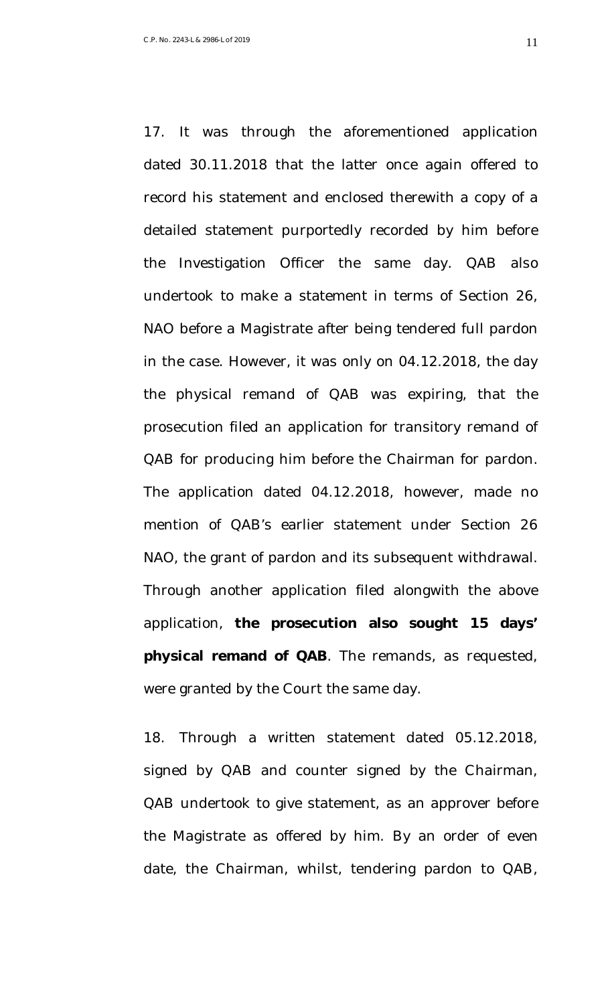17. It was through the aforementioned application dated 30.11.2018 that the latter once again offered to record his statement and enclosed therewith a copy of a detailed statement purportedly recorded by him before the Investigation Officer the same day. QAB also undertook to make a statement in terms of Section 26, NAO before a Magistrate after being tendered full pardon in the case. However, it was only on 04.12.2018, the day the physical remand of QAB was expiring, that the prosecution filed an application for transitory remand of QAB for producing him before the Chairman for pardon. The application dated 04.12.2018, however, made no mention of QAB's earlier statement under Section 26 NAO, the grant of pardon and its subsequent withdrawal. Through another application filed alongwith the above application, **the prosecution also sought 15 days' physical remand of QAB**. The remands, as requested, were granted by the Court the same day.

18. Through a written statement dated 05.12.2018, signed by QAB and counter signed by the Chairman, QAB undertook to give statement, as an approver before the Magistrate as offered by him. By an order of even date, the Chairman, whilst, tendering pardon to QAB,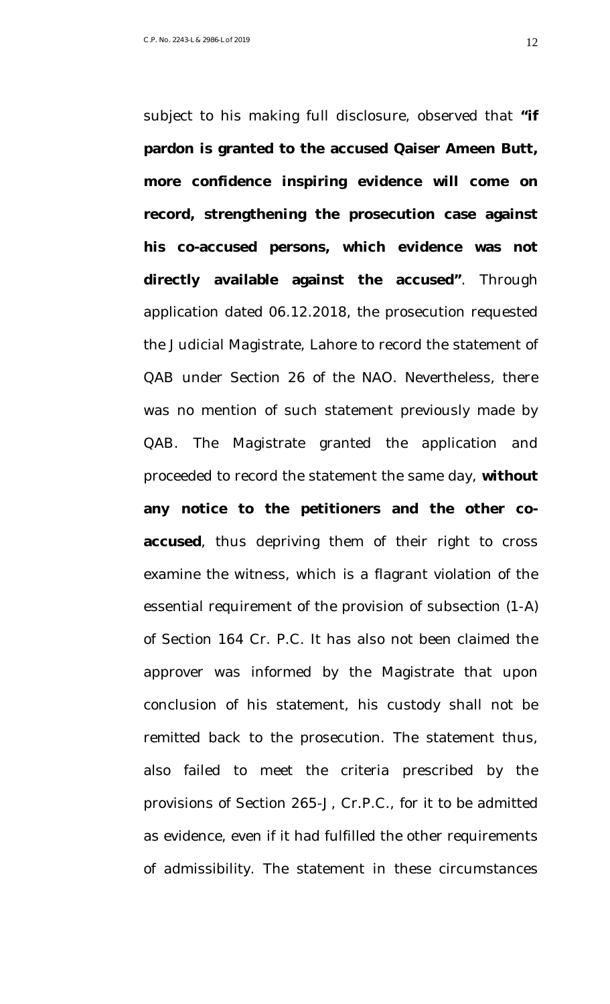subject to his making full disclosure, observed that **"if pardon is granted to the accused Qaiser Ameen Butt, more confidence inspiring evidence will come on record, strengthening the prosecution case against his co-accused persons, which evidence was not directly available against the accused"**. Through application dated 06.12.2018, the prosecution requested the Judicial Magistrate, Lahore to record the statement of QAB under Section 26 of the NAO. Nevertheless, there was no mention of such statement previously made by QAB. The Magistrate granted the application and proceeded to record the statement the same day, **without any notice to the petitioners and the other coaccused**, thus depriving them of their right to cross examine the witness, which is a flagrant violation of the essential requirement of the provision of subsection (1-A) of Section 164 Cr. P.C. It has also not been claimed the approver was informed by the Magistrate that upon conclusion of his statement, his custody shall not be remitted back to the prosecution. The statement thus, also failed to meet the criteria prescribed by the provisions of Section 265-J, Cr.P.C., for it to be admitted as evidence, even if it had fulfilled the other requirements of admissibility. The statement in these circumstances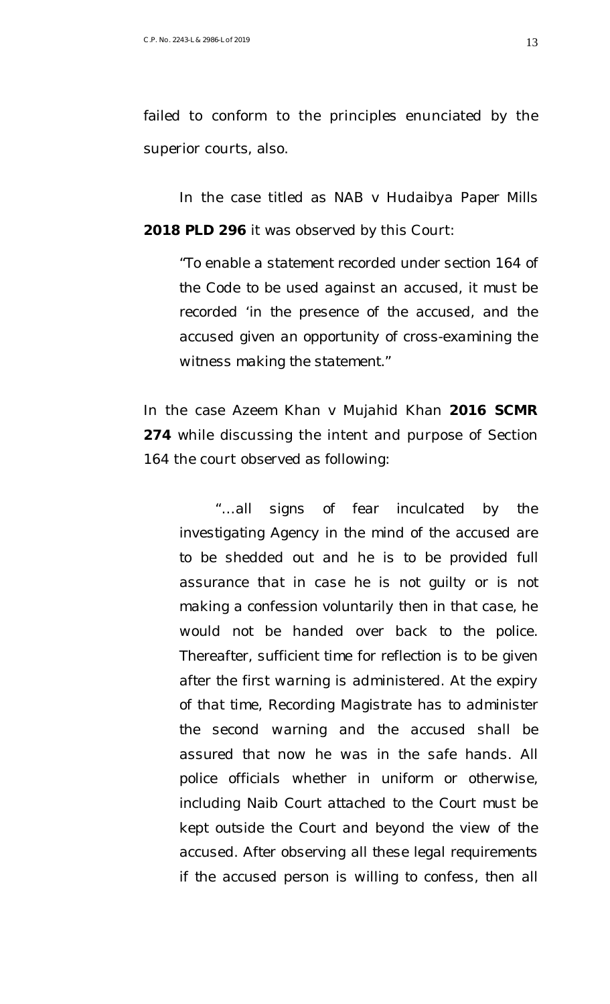failed to conform to the principles enunciated by the superior courts, also.

In the case titled as *NAB v Hudaibya Paper Mills* **2018 PLD 296** it was observed by this Court:

"*To enable a statement recorded under section 164 of the Code to be used against an accused, it must be recorded 'in the presence of the accused, and the accused given an opportunity of cross-examining the witness making the statement."*

In the case *Azeem Khan v Mujahid Khan* **2016 SCMR 274** while discussing the intent and purpose of Section 164 the court observed as following:

*"…all signs of fear inculcated by the investigating Agency in the mind of the accused are to be shedded out and he is to be provided full assurance that in case he is not guilty or is not making a confession voluntarily then in that case, he would not be handed over back to the police. Thereafter, sufficient time for reflection is to be given after the first warning is administered. At the expiry of that time, Recording Magistrate has to administer the second warning and the accused shall be assured that now he was in the safe hands. All police officials whether in uniform or otherwise, including Naib Court attached to the Court must be kept outside the Court and beyond the view of the accused. After observing all these legal requirements if the accused person is willing to confess, then all*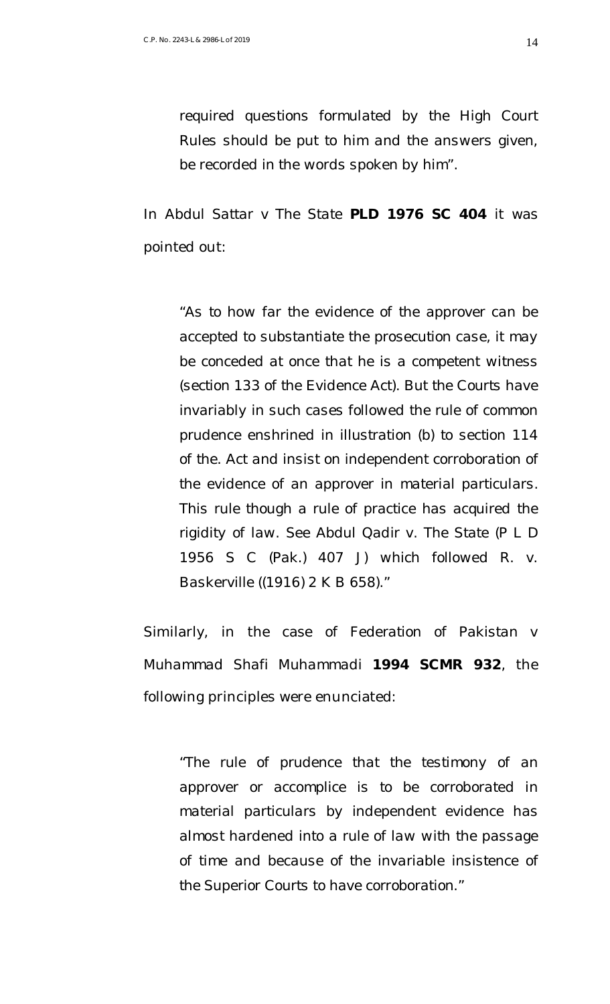*required questions formulated by the High Court Rules should be put to him and the answers given, be recorded in the words spoken by him".* 

In *Abdul Sattar v The State* **PLD 1976 SC 404** it was pointed out:

"*As to how far the evidence of the approver can be accepted to substantiate the prosecution case, it may be conceded at once that he is a competent witness (section 133 of the Evidence Act). But the Courts have invariably in such cases followed the rule of common prudence enshrined in illustration (b) to section 114 of the. Act and insist on independent corroboration of the evidence of an approver in material particulars. This rule though a rule of practice has acquired the rigidity of law. See Abdul Qadir v. The State (P L D 1956 S C (Pak.) 407 J) which followed R. v. Baskerville ((1916) 2 K B 658).*"

Similarly, in the case of *Federation of Pakistan v Muhammad Shafi Muhammadi* **1994 SCMR 932**, the following principles were enunciated:

"*The rule of prudence that the testimony of an approver or accomplice is to be corroborated in material particulars by independent evidence has almost hardened into a rule of law with the passage of time and because of the invariable insistence of the Superior Courts to have corroboration.*"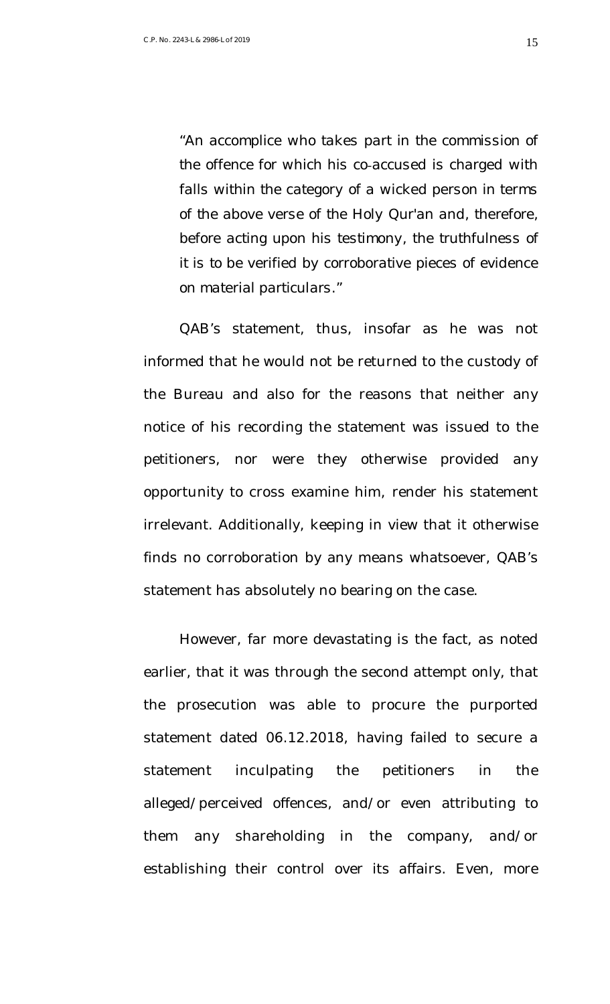"*An accomplice who takes part in the commission of the offence for which his co‑accused is charged with falls within the category of a wicked person in terms of the above verse of the Holy Qur'an and, therefore, before acting upon his testimony, the truthfulness of it is to be verified by corroborative pieces of evidence on material particulars*."

QAB's statement, thus, insofar as he was not informed that he would not be returned to the custody of the Bureau and also for the reasons that neither any notice of his recording the statement was issued to the petitioners, nor were they otherwise provided any opportunity to cross examine him, render his statement irrelevant. Additionally, keeping in view that it otherwise finds no corroboration by any means whatsoever, QAB's statement has absolutely no bearing on the case.

However, far more devastating is the fact, as noted earlier, that it was through the second attempt only, that the prosecution was able to procure the purported statement dated 06.12.2018, having failed to secure a statement inculpating the petitioners in the alleged/perceived offences, and/or even attributing to them any shareholding in the company, and/or establishing their control over its affairs. Even, more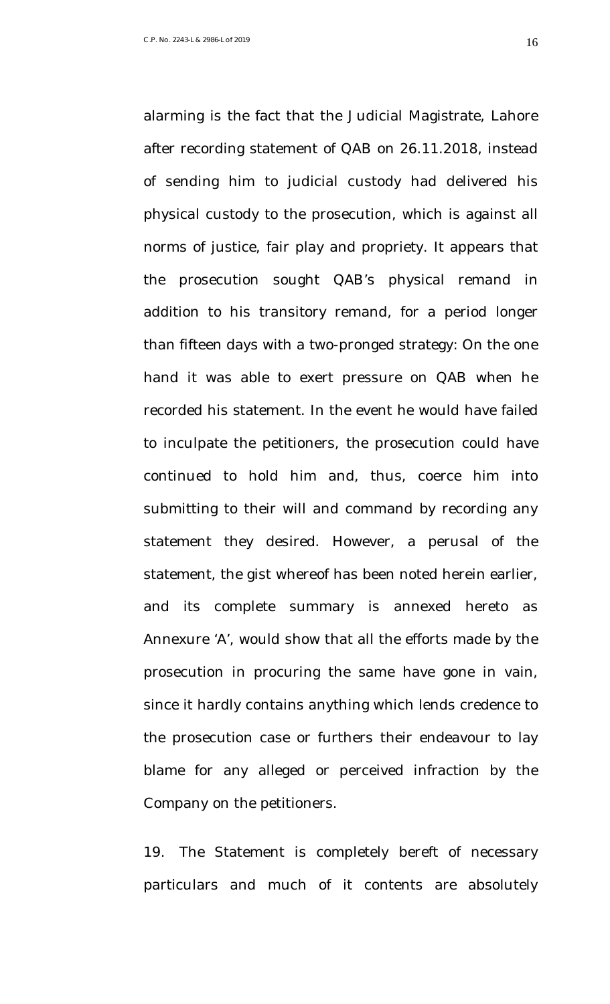after recording statement of QAB on 26.11.2018, instead of sending him to judicial custody had delivered his physical custody to the prosecution, which is against all norms of justice, fair play and propriety. It appears that the prosecution sought QAB's physical remand in addition to his transitory remand, for a period longer than fifteen days with a two-pronged strategy: On the one hand it was able to exert pressure on QAB when he recorded his statement. In the event he would have failed to inculpate the petitioners, the prosecution could have continued to hold him and, thus, coerce him into submitting to their will and command by recording any statement they desired. However, a perusal of the statement, the gist whereof has been noted herein earlier, and its complete summary is annexed hereto as Annexure 'A', would show that all the efforts made by the prosecution in procuring the same have gone in vain, since it hardly contains anything which lends credence to the prosecution case or furthers their endeavour to lay blame for any alleged or perceived infraction by the

alarming is the fact that the Judicial Magistrate, Lahore

Company on the petitioners.

19. The Statement is completely bereft of necessary particulars and much of it contents are absolutely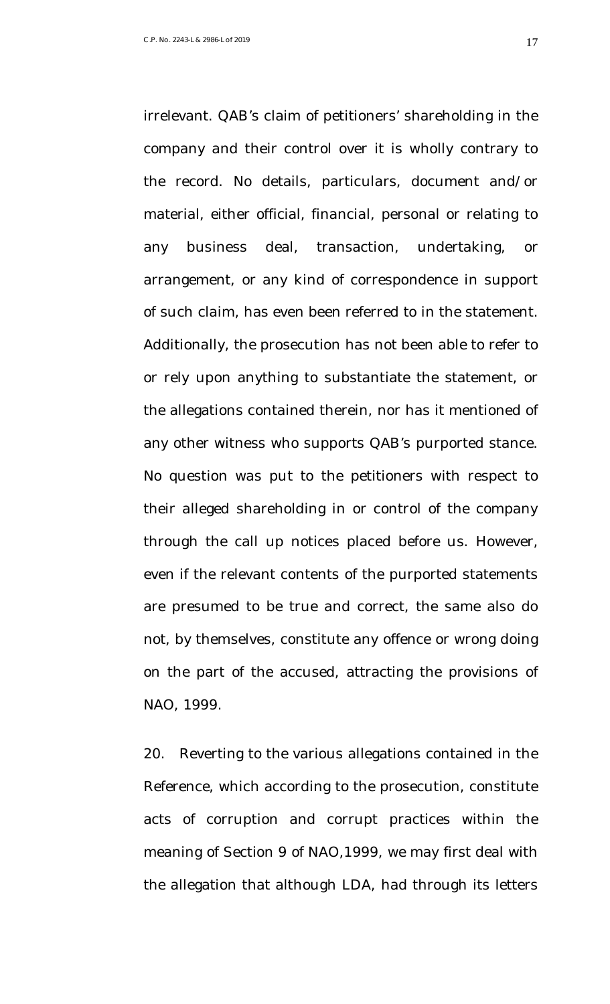irrelevant. QAB's claim of petitioners' shareholding in the company and their control over it is wholly contrary to the record. No details, particulars, document and/or material, either official, financial, personal or relating to any business deal, transaction, undertaking, or arrangement, or any kind of correspondence in support of such claim, has even been referred to in the statement. Additionally, the prosecution has not been able to refer to or rely upon anything to substantiate the statement, or the allegations contained therein, nor has it mentioned of any other witness who supports QAB's purported stance. No question was put to the petitioners with respect to their alleged shareholding in or control of the company through the call up notices placed before us. However, even if the relevant contents of the purported statements are presumed to be true and correct, the same also do not, by themselves, constitute any offence or wrong doing on the part of the accused, attracting the provisions of NAO, 1999.

20. Reverting to the various allegations contained in the Reference, which according to the prosecution, constitute acts of corruption and corrupt practices within the meaning of Section 9 of NAO,1999, we may first deal with the allegation that although LDA, had through its letters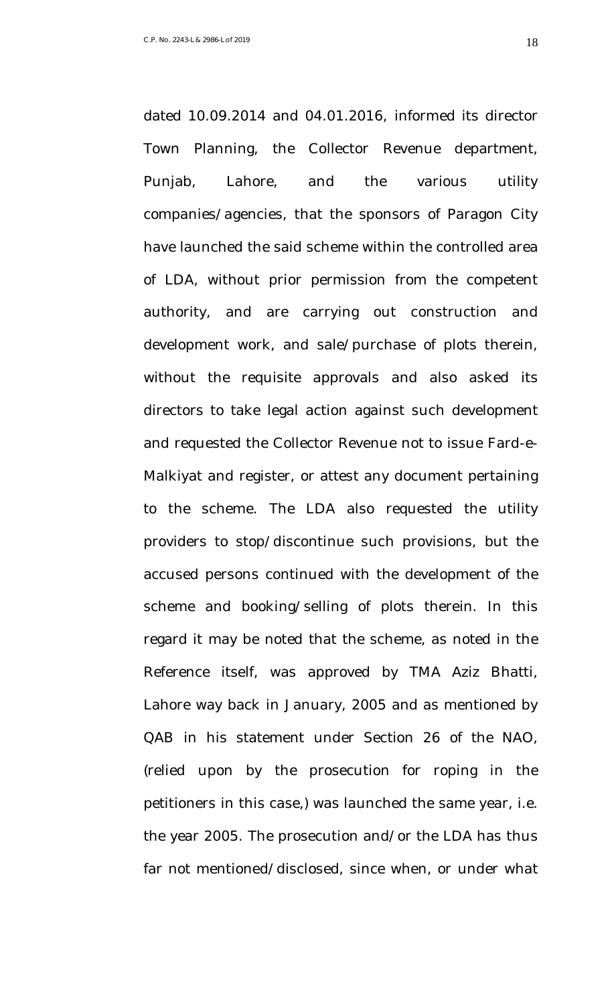dated 10.09.2014 and 04.01.2016, informed its director Town Planning, the Collector Revenue department, Punjab, Lahore, and the various utility companies/agencies, that the sponsors of Paragon City have launched the said scheme within the controlled area of LDA, without prior permission from the competent authority, and are carrying out construction and development work, and sale/purchase of plots therein, without the requisite approvals and also asked its directors to take legal action against such development and requested the Collector Revenue not to issue Fard-e-Malkiyat and register, or attest any document pertaining to the scheme. The LDA also requested the utility providers to stop/discontinue such provisions, but the accused persons continued with the development of the scheme and booking/selling of plots therein. In this regard it may be noted that the scheme, as noted in the Reference itself, was approved by TMA Aziz Bhatti, Lahore way back in January, 2005 and as mentioned by QAB in his statement under Section 26 of the NAO, (relied upon by the prosecution for roping in the petitioners in this case,) was launched the same year, i.e. the year 2005. The prosecution and/or the LDA has thus far not mentioned/disclosed, since when, or under what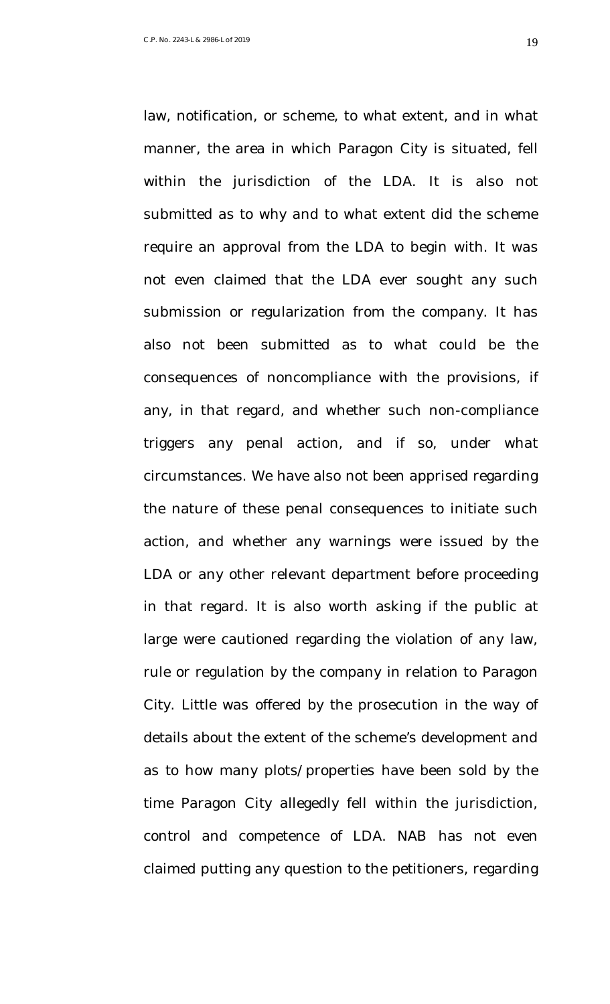law, notification, or scheme, to what extent, and in what manner, the area in which Paragon City is situated, fell within the jurisdiction of the LDA. It is also not submitted as to why and to what extent did the scheme require an approval from the LDA to begin with. It was not even claimed that the LDA ever sought any such submission or regularization from the company. It has also not been submitted as to what could be the consequences of noncompliance with the provisions, if any, in that regard, and whether such non-compliance triggers any penal action, and if so, under what circumstances. We have also not been apprised regarding the nature of these penal consequences to initiate such action, and whether any warnings were issued by the LDA or any other relevant department before proceeding in that regard. It is also worth asking if the public at large were cautioned regarding the violation of any law, rule or regulation by the company in relation to Paragon City. Little was offered by the prosecution in the way of details about the extent of the scheme's development and as to how many plots/properties have been sold by the time Paragon City allegedly fell within the jurisdiction, control and competence of LDA. NAB has not even claimed putting any question to the petitioners, regarding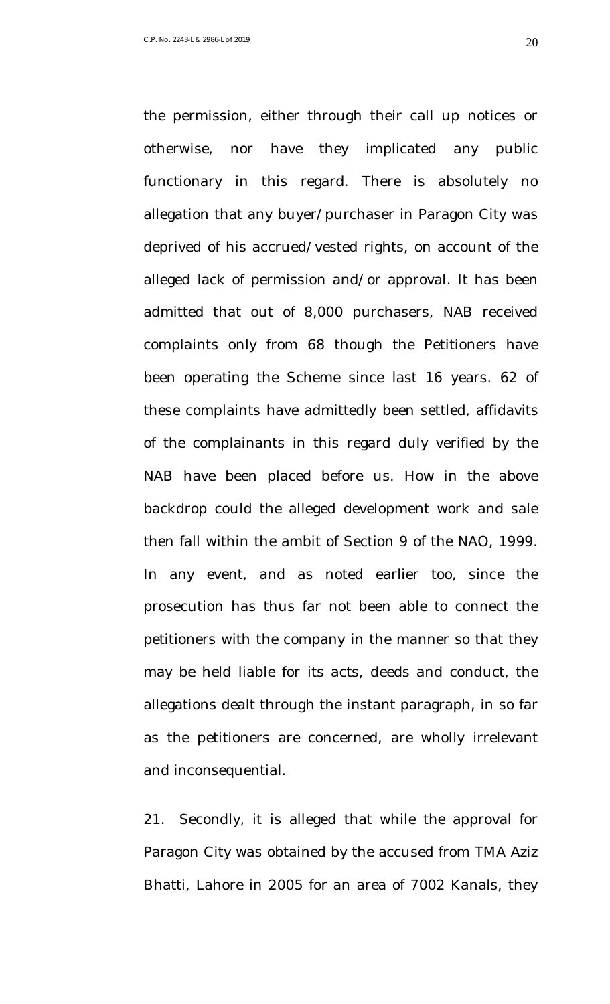otherwise, nor have they implicated any public functionary in this regard. There is absolutely no allegation that any buyer/purchaser in Paragon City was deprived of his accrued/vested rights, on account of the alleged lack of permission and/or approval. It has been admitted that out of 8,000 purchasers, NAB received complaints only from 68 though the Petitioners have been operating the Scheme since last 16 years. 62 of these complaints have admittedly been settled, affidavits of the complainants in this regard duly verified by the NAB have been placed before us. How in the above backdrop could the alleged development work and sale then fall within the ambit of Section 9 of the NAO, 1999. In any event, and as noted earlier too, since the prosecution has thus far not been able to connect the petitioners with the company in the manner so that they may be held liable for its acts, deeds and conduct, the allegations dealt through the instant paragraph, in so far as the petitioners are concerned, are wholly irrelevant

the permission, either through their call up notices or

and inconsequential.

21. Secondly, it is alleged that while the approval for Paragon City was obtained by the accused from TMA Aziz Bhatti, Lahore in 2005 for an area of 7002 Kanals, they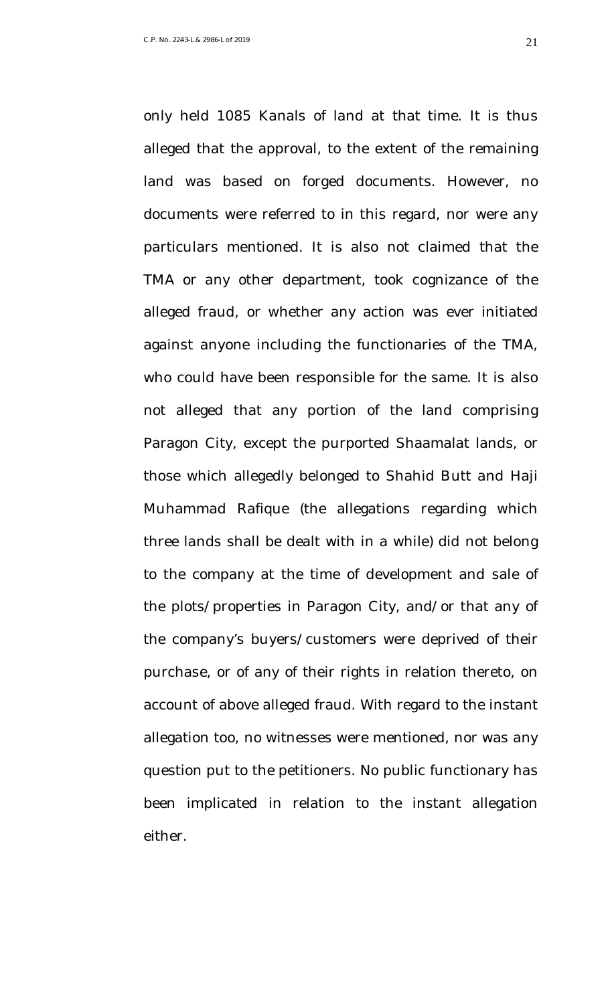only held 1085 Kanals of land at that time. It is thus alleged that the approval, to the extent of the remaining land was based on forged documents. However, no documents were referred to in this regard, nor were any particulars mentioned. It is also not claimed that the TMA or any other department, took cognizance of the alleged fraud, or whether any action was ever initiated against anyone including the functionaries of the TMA, who could have been responsible for the same. It is also not alleged that any portion of the land comprising Paragon City, except the purported Shaamalat lands, or those which allegedly belonged to Shahid Butt and Haji Muhammad Rafique (the allegations regarding which three lands shall be dealt with in a while) did not belong to the company at the time of development and sale of the plots/properties in Paragon City, and/or that any of the company's buyers/customers were deprived of their purchase, or of any of their rights in relation thereto, on account of above alleged fraud. With regard to the instant allegation too, no witnesses were mentioned, nor was any question put to the petitioners. No public functionary has been implicated in relation to the instant allegation either.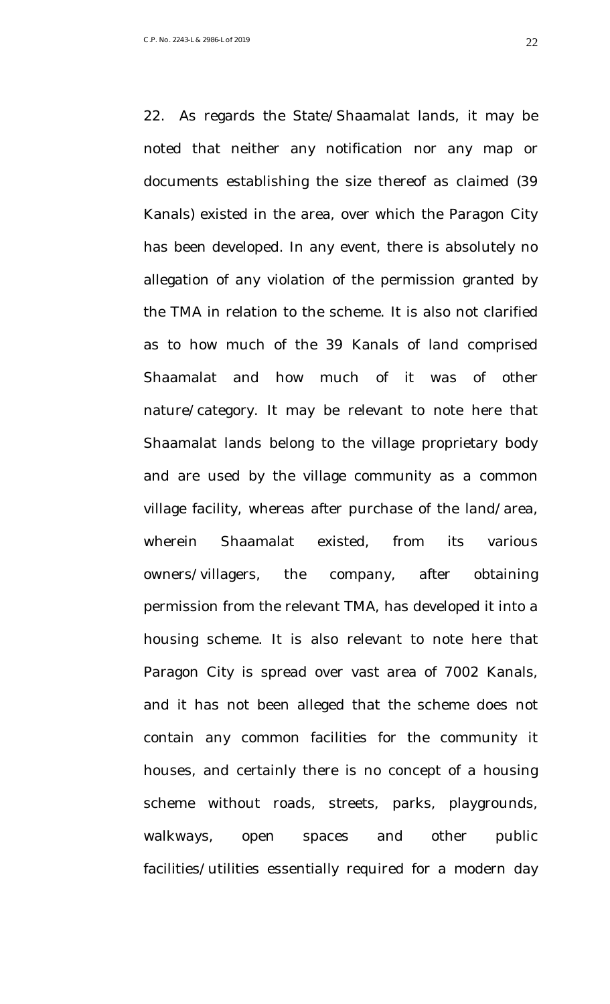22. As regards the State/Shaamalat lands, it may be noted that neither any notification nor any map or documents establishing the size thereof as claimed (39 Kanals) existed in the area, over which the Paragon City has been developed. In any event, there is absolutely no allegation of any violation of the permission granted by the TMA in relation to the scheme. It is also not clarified as to how much of the 39 Kanals of land comprised Shaamalat and how much of it was of other nature/category. It may be relevant to note here that Shaamalat lands belong to the village proprietary body and are used by the village community as a common village facility, whereas after purchase of the land/area, wherein Shaamalat existed, from its various owners/villagers, the company, after obtaining permission from the relevant TMA, has developed it into a housing scheme. It is also relevant to note here that Paragon City is spread over vast area of 7002 Kanals, and it has not been alleged that the scheme does not contain any common facilities for the community it houses, and certainly there is no concept of a housing scheme without roads, streets, parks, playgrounds, walkways, open spaces and other public facilities/utilities essentially required for a modern day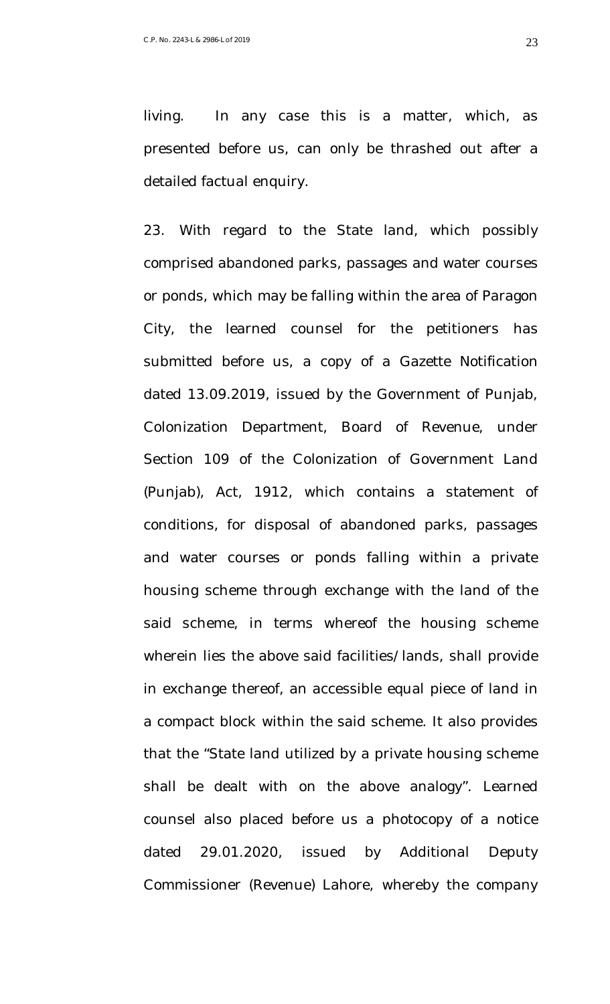living. In any case this is a matter, which, as presented before us, can only be thrashed out after a detailed factual enquiry.

23. With regard to the State land, which possibly comprised abandoned parks, passages and water courses or ponds, which may be falling within the area of Paragon City, the learned counsel for the petitioners has submitted before us, a copy of a Gazette Notification dated 13.09.2019, issued by the Government of Punjab, Colonization Department, Board of Revenue, under Section 109 of the Colonization of Government Land (Punjab), Act, 1912, which contains a statement of conditions, for disposal of abandoned parks, passages and water courses or ponds falling within a private housing scheme through exchange with the land of the said scheme, in terms whereof the housing scheme wherein lies the above said facilities/lands, shall provide in exchange thereof, an accessible equal piece of land in a compact block within the said scheme. It also provides that the "State land utilized by a private housing scheme shall be dealt with on the above analogy". Learned counsel also placed before us a photocopy of a notice dated 29.01.2020, issued by Additional Deputy Commissioner (Revenue) Lahore, whereby the company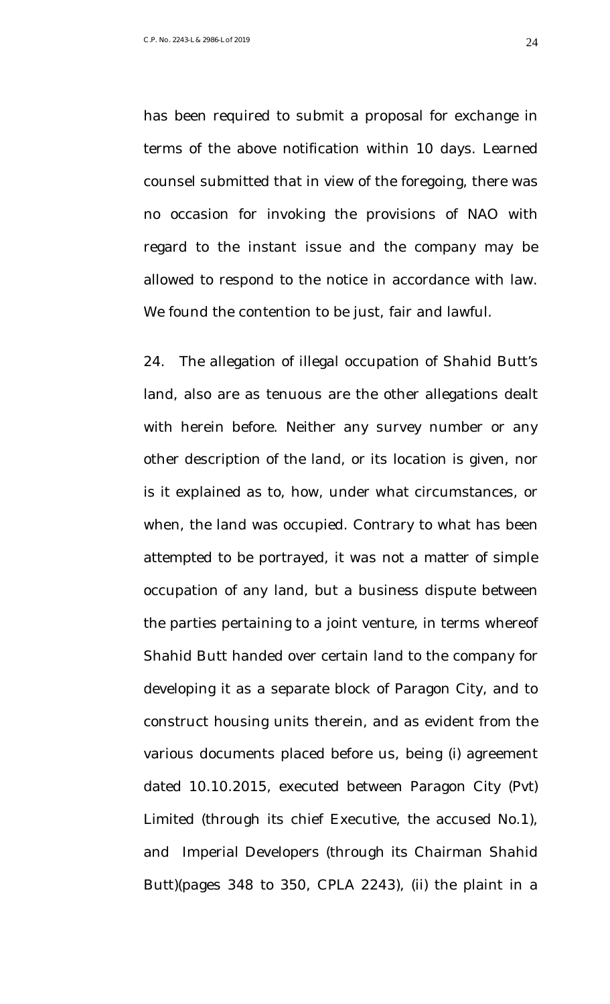has been required to submit a proposal for exchange in terms of the above notification within 10 days. Learned counsel submitted that in view of the foregoing, there was no occasion for invoking the provisions of NAO with regard to the instant issue and the company may be allowed to respond to the notice in accordance with law. We found the contention to be just, fair and lawful.

24. The allegation of illegal occupation of Shahid Butt's land, also are as tenuous are the other allegations dealt with herein before. Neither any survey number or any other description of the land, or its location is given, nor is it explained as to, how, under what circumstances, or when, the land was occupied. Contrary to what has been attempted to be portrayed, it was not a matter of simple occupation of any land, but a business dispute between the parties pertaining to a joint venture, in terms whereof Shahid Butt handed over certain land to the company for developing it as a separate block of Paragon City, and to construct housing units therein, and as evident from the various documents placed before us, being (i) agreement dated 10.10.2015, executed between Paragon City (Pvt) Limited (through its chief Executive, the accused No.1), and Imperial Developers (through its Chairman Shahid Butt)(pages 348 to 350, CPLA 2243), (ii) the plaint in a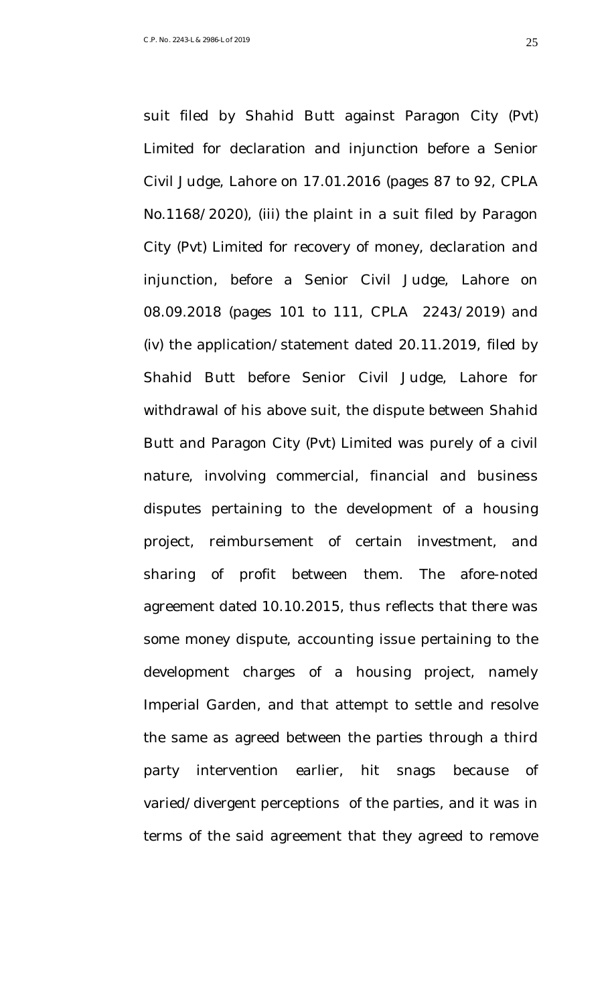Limited for declaration and injunction before a Senior Civil Judge, Lahore on 17.01.2016 (pages 87 to 92, CPLA No.1168/2020), (iii) the plaint in a suit filed by Paragon City (Pvt) Limited for recovery of money, declaration and injunction, before a Senior Civil Judge, Lahore on 08.09.2018 (pages 101 to 111, CPLA 2243/2019) and (iv) the application/statement dated 20.11.2019, filed by Shahid Butt before Senior Civil Judge, Lahore for withdrawal of his above suit, the dispute between Shahid Butt and Paragon City (Pvt) Limited was purely of a civil nature, involving commercial, financial and business disputes pertaining to the development of a housing project, reimbursement of certain investment, and sharing of profit between them. The afore-noted agreement dated 10.10.2015, thus reflects that there was some money dispute, accounting issue pertaining to the development charges of a housing project, namely Imperial Garden, and that attempt to settle and resolve the same as agreed between the parties through a third party intervention earlier, hit snags because of varied/divergent perceptions of the parties, and it was in terms of the said agreement that they agreed to remove

suit filed by Shahid Butt against Paragon City (Pvt)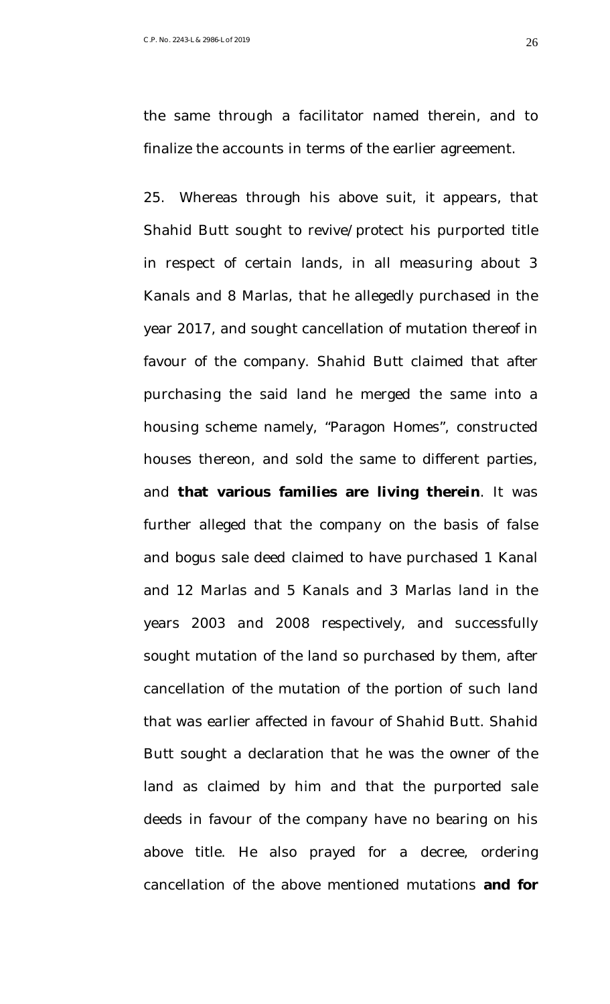the same through a facilitator named therein, and to finalize the accounts in terms of the earlier agreement.

25. Whereas through his above suit, it appears, that Shahid Butt sought to revive/protect his purported title in respect of certain lands, in all measuring about 3 Kanals and 8 Marlas, that he allegedly purchased in the year 2017, and sought cancellation of mutation thereof in favour of the company. Shahid Butt claimed that after purchasing the said land he merged the same into a housing scheme namely, "Paragon Homes", constructed houses thereon, and sold the same to different parties, and **that various families are living therein**. It was further alleged that the company on the basis of false and bogus sale deed claimed to have purchased 1 Kanal and 12 Marlas and 5 Kanals and 3 Marlas land in the years 2003 and 2008 respectively, and successfully sought mutation of the land so purchased by them, after cancellation of the mutation of the portion of such land that was earlier affected in favour of Shahid Butt. Shahid Butt sought a declaration that he was the owner of the land as claimed by him and that the purported sale deeds in favour of the company have no bearing on his above title. He also prayed for a decree, ordering cancellation of the above mentioned mutations **and for**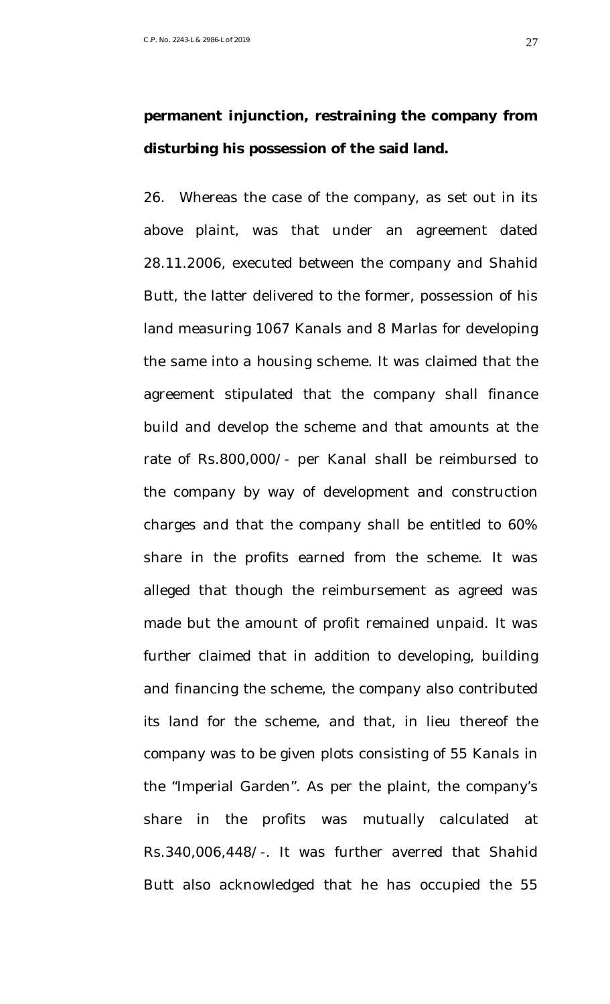# **permanent injunction, restraining the company from disturbing his possession of the said land.**

26. Whereas the case of the company, as set out in its above plaint, was that under an agreement dated 28.11.2006, executed between the company and Shahid Butt, the latter delivered to the former, possession of his land measuring 1067 Kanals and 8 Marlas for developing the same into a housing scheme. It was claimed that the agreement stipulated that the company shall finance build and develop the scheme and that amounts at the rate of Rs.800,000/- per Kanal shall be reimbursed to the company by way of development and construction charges and that the company shall be entitled to 60% share in the profits earned from the scheme. It was alleged that though the reimbursement as agreed was made but the amount of profit remained unpaid. It was further claimed that in addition to developing, building and financing the scheme, the company also contributed its land for the scheme, and that, in lieu thereof the company was to be given plots consisting of 55 Kanals in the "Imperial Garden". As per the plaint, the company's share in the profits was mutually calculated at Rs.340,006,448/-. It was further averred that Shahid Butt also acknowledged that he has occupied the 55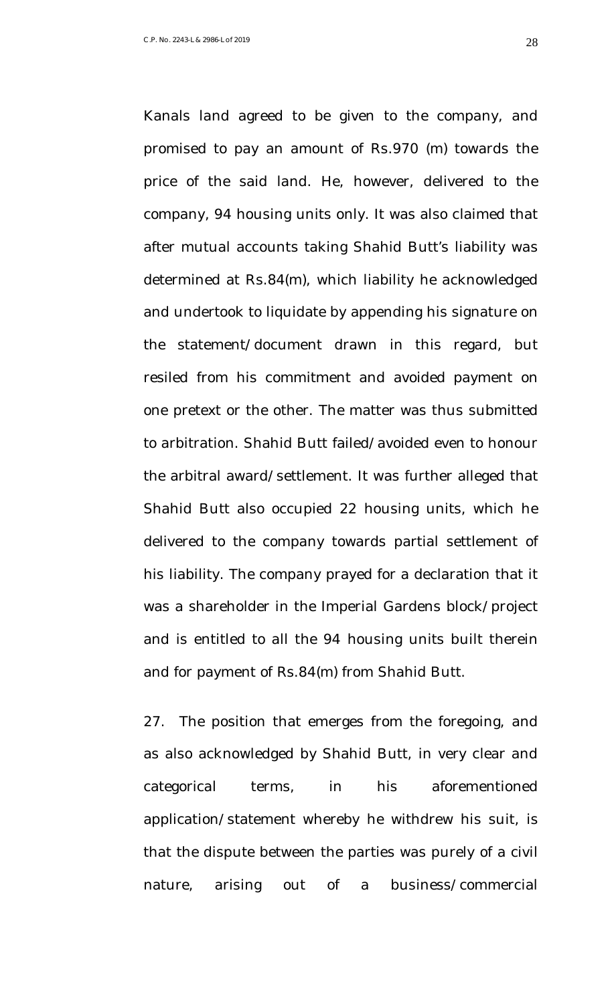promised to pay an amount of Rs.970 (m) towards the price of the said land. He, however, delivered to the company, 94 housing units only. It was also claimed that after mutual accounts taking Shahid Butt's liability was determined at Rs.84(m), which liability he acknowledged and undertook to liquidate by appending his signature on the statement/document drawn in this regard, but resiled from his commitment and avoided payment on one pretext or the other. The matter was thus submitted to arbitration. Shahid Butt failed/avoided even to honour the arbitral award/settlement. It was further alleged that Shahid Butt also occupied 22 housing units, which he delivered to the company towards partial settlement of his liability. The company prayed for a declaration that it was a shareholder in the Imperial Gardens block/project and is entitled to all the 94 housing units built therein

Kanals land agreed to be given to the company, and

and for payment of Rs.84(m) from Shahid Butt.

27. The position that emerges from the foregoing, and as also acknowledged by Shahid Butt, in very clear and categorical terms, in his aforementioned application/statement whereby he withdrew his suit, is that the dispute between the parties was purely of a civil nature, arising out of a business/commercial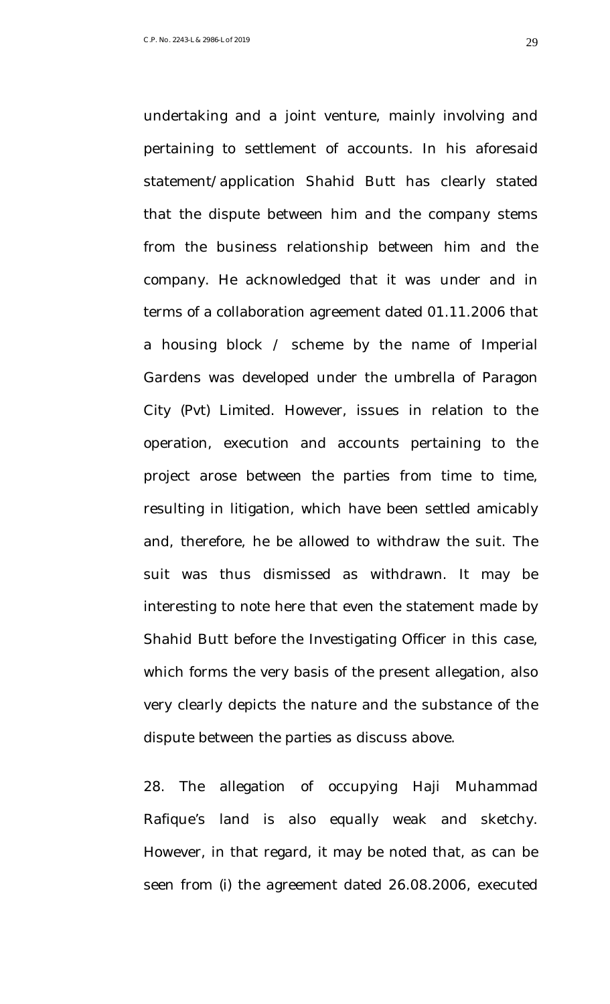undertaking and a joint venture, mainly involving and pertaining to settlement of accounts. In his aforesaid statement/application Shahid Butt has clearly stated that the dispute between him and the company stems from the business relationship between him and the company. He acknowledged that it was under and in terms of a collaboration agreement dated 01.11.2006 that a housing block / scheme by the name of Imperial Gardens was developed under the umbrella of Paragon City (Pvt) Limited. However, issues in relation to the operation, execution and accounts pertaining to the project arose between the parties from time to time, resulting in litigation, which have been settled amicably and, therefore, he be allowed to withdraw the suit. The suit was thus dismissed as withdrawn. It may be interesting to note here that even the statement made by Shahid Butt before the Investigating Officer in this case, which forms the very basis of the present allegation, also very clearly depicts the nature and the substance of the dispute between the parties as discuss above.

28. The allegation of occupying Haji Muhammad Rafique's land is also equally weak and sketchy. However, in that regard, it may be noted that, as can be seen from (i) the agreement dated 26.08.2006, executed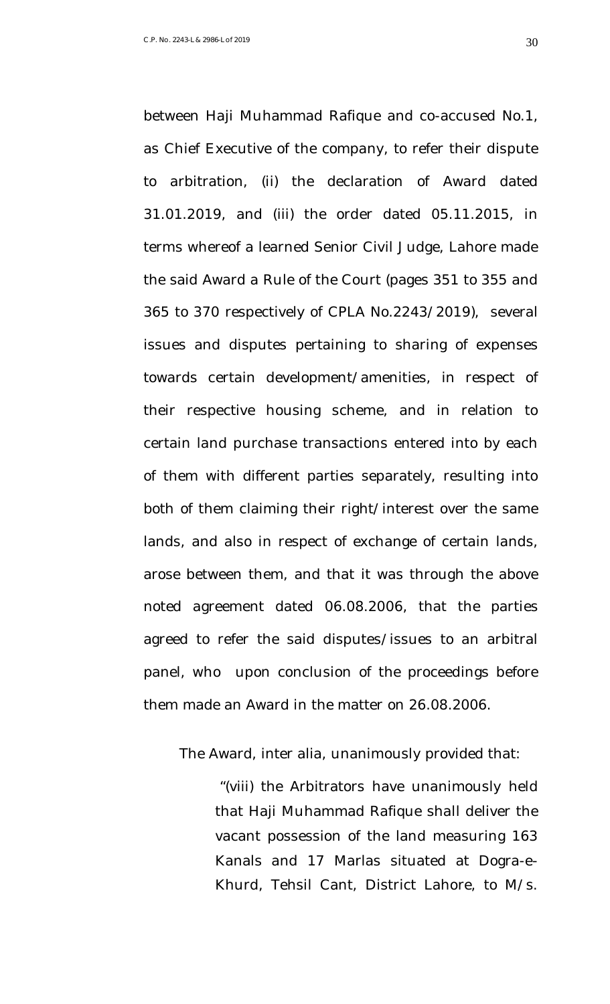between Haji Muhammad Rafique and co-accused No.1, as Chief Executive of the company, to refer their dispute to arbitration, (ii) the declaration of Award dated 31.01.2019, and (iii) the order dated 05.11.2015, in terms whereof a learned Senior Civil Judge, Lahore made the said Award a Rule of the Court (pages 351 to 355 and 365 to 370 respectively of CPLA No.2243/2019), several issues and disputes pertaining to sharing of expenses towards certain development/amenities, in respect of their respective housing scheme, and in relation to certain land purchase transactions entered into by each of them with different parties separately, resulting into both of them claiming their right/interest over the same lands, and also in respect of exchange of certain lands, arose between them, and that it was through the above noted agreement dated 06.08.2006, that the parties agreed to refer the said disputes/issues to an arbitral panel, who upon conclusion of the proceedings before them made an Award in the matter on 26.08.2006.

The Award, inter alia, unanimously provided that:

"(viii) the Arbitrators have unanimously held that Haji Muhammad Rafique shall deliver the vacant possession of the land measuring 163 Kanals and 17 Marlas situated at Dogra-e-Khurd, Tehsil Cant, District Lahore, to M/s.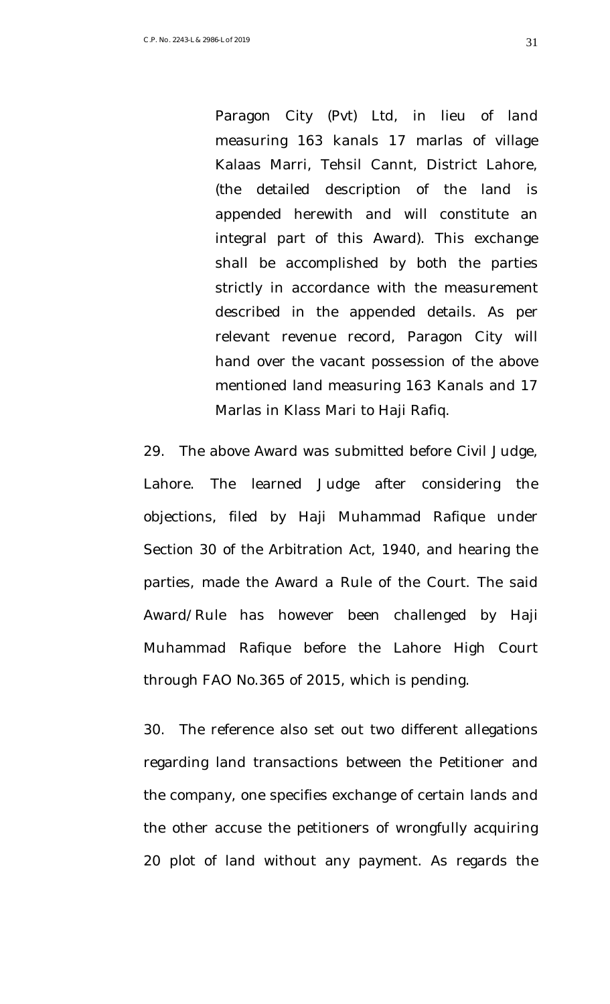Paragon City (Pvt) Ltd, in lieu of land measuring 163 kanals 17 marlas of village Kalaas Marri, Tehsil Cannt, District Lahore, (the detailed description of the land is appended herewith and will constitute an integral part of this Award). This exchange shall be accomplished by both the parties strictly in accordance with the measurement described in the appended details. As per relevant revenue record, Paragon City will hand over the vacant possession of the above mentioned land measuring 163 Kanals and 17 Marlas in Klass Mari to Haji Rafiq.

29. The above Award was submitted before Civil Judge, Lahore. The learned Judge after considering the objections, filed by Haji Muhammad Rafique under Section 30 of the Arbitration Act, 1940, and hearing the parties, made the Award a Rule of the Court. The said Award/Rule has however been challenged by Haji Muhammad Rafique before the Lahore High Court through FAO No.365 of 2015, which is pending.

30. The reference also set out two different allegations regarding land transactions between the Petitioner and the company, one specifies exchange of certain lands and the other accuse the petitioners of wrongfully acquiring 20 plot of land without any payment. As regards the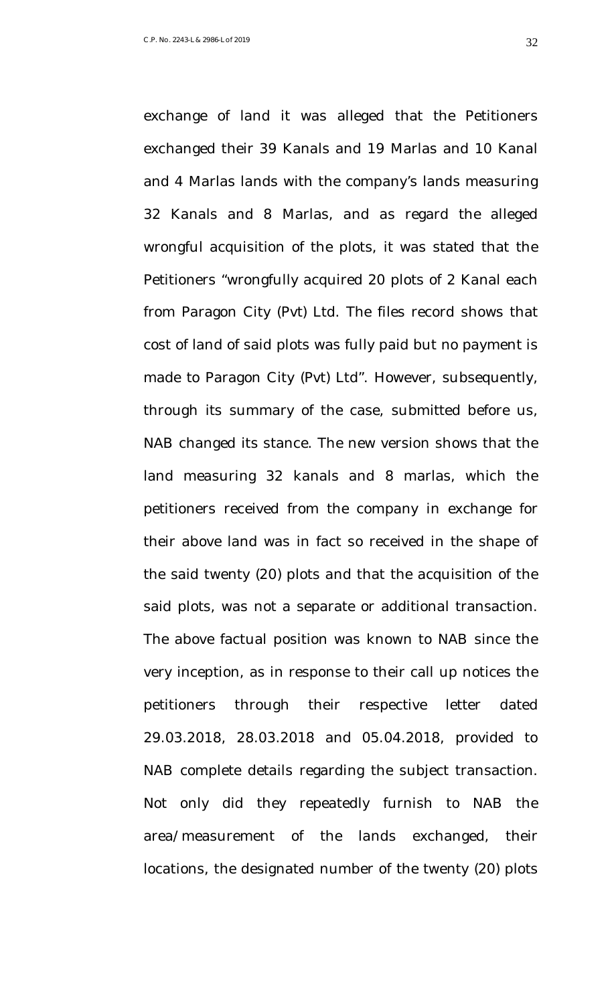exchanged their 39 Kanals and 19 Marlas and 10 Kanal and 4 Marlas lands with the company's lands measuring 32 Kanals and 8 Marlas, and as regard the alleged wrongful acquisition of the plots, it was stated that the Petitioners "wrongfully acquired 20 plots of 2 Kanal each from Paragon City (Pvt) Ltd. The files record shows that cost of land of said plots was fully paid but no payment is made to Paragon City (Pvt) Ltd". However, subsequently, through its summary of the case, submitted before us, NAB changed its stance. The new version shows that the land measuring 32 kanals and 8 marlas, which the petitioners received from the company in exchange for their above land was in fact so received in the shape of the said twenty (20) plots and that the acquisition of the said plots, was not a separate or additional transaction. The above factual position was known to NAB since the very inception, as in response to their call up notices the petitioners through their respective letter dated 29.03.2018, 28.03.2018 and 05.04.2018, provided to NAB complete details regarding the subject transaction.

exchange of land it was alleged that the Petitioners

area/measurement of the lands exchanged, their locations, the designated number of the twenty (20) plots

Not only did they repeatedly furnish to NAB the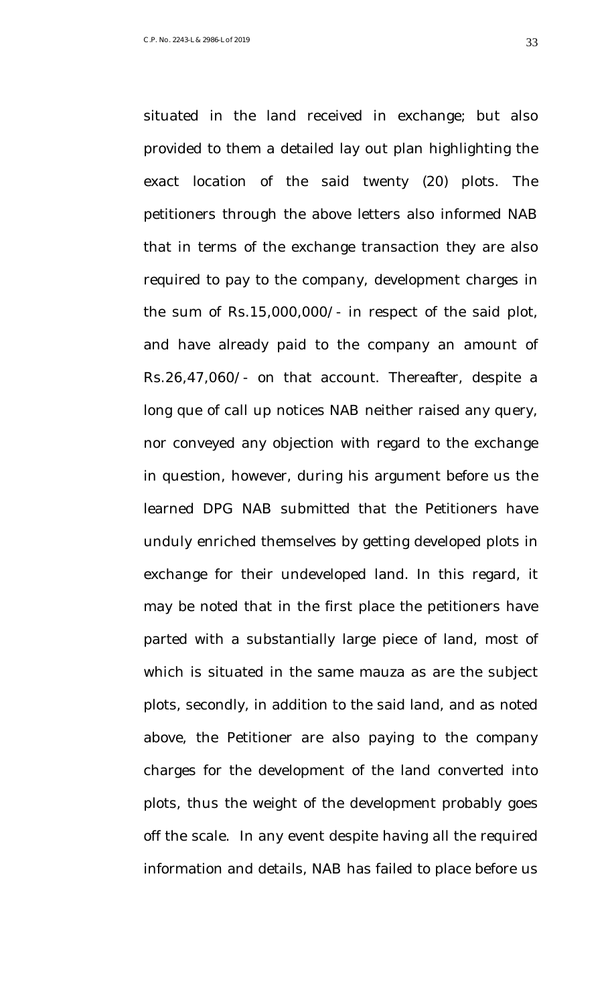exact location of the said twenty (20) plots. The petitioners through the above letters also informed NAB that in terms of the exchange transaction they are also required to pay to the company, development charges in the sum of Rs.15,000,000/- in respect of the said plot, and have already paid to the company an amount of Rs.26,47,060/- on that account. Thereafter, despite a long que of call up notices NAB neither raised any query, nor conveyed any objection with regard to the exchange in question, however, during his argument before us the learned DPG NAB submitted that the Petitioners have unduly enriched themselves by getting developed plots in

situated in the land received in exchange; but also

provided to them a detailed lay out plan highlighting the

exchange for their undeveloped land. In this regard, it may be noted that in the first place the petitioners have parted with a substantially large piece of land, most of which is situated in the same mauza as are the subject plots, secondly, in addition to the said land, and as noted above, the Petitioner are also paying to the company charges for the development of the land converted into plots, thus the weight of the development probably goes off the scale. In any event despite having all the required information and details, NAB has failed to place before us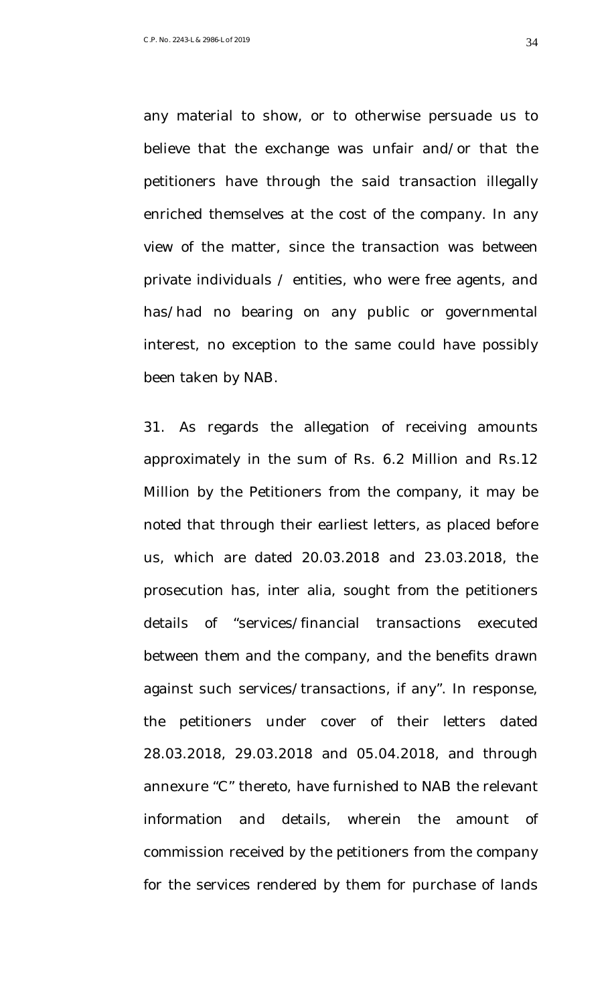any material to show, or to otherwise persuade us to believe that the exchange was unfair and/or that the petitioners have through the said transaction illegally enriched themselves at the cost of the company. In any view of the matter, since the transaction was between private individuals / entities, who were free agents, and has/had no bearing on any public or governmental interest, no exception to the same could have possibly been taken by NAB.

31. As regards the allegation of receiving amounts approximately in the sum of Rs. 6.2 Million and Rs.12 Million by the Petitioners from the company, it may be noted that through their earliest letters, as placed before us, which are dated 20.03.2018 and 23.03.2018, the prosecution has, inter alia, sought from the petitioners details of "services/financial transactions executed between them and the company, and the benefits drawn against such services/transactions, if any". In response, the petitioners under cover of their letters dated 28.03.2018, 29.03.2018 and 05.04.2018, and through annexure "C" thereto, have furnished to NAB the relevant information and details, wherein the amount of commission received by the petitioners from the company for the services rendered by them for purchase of lands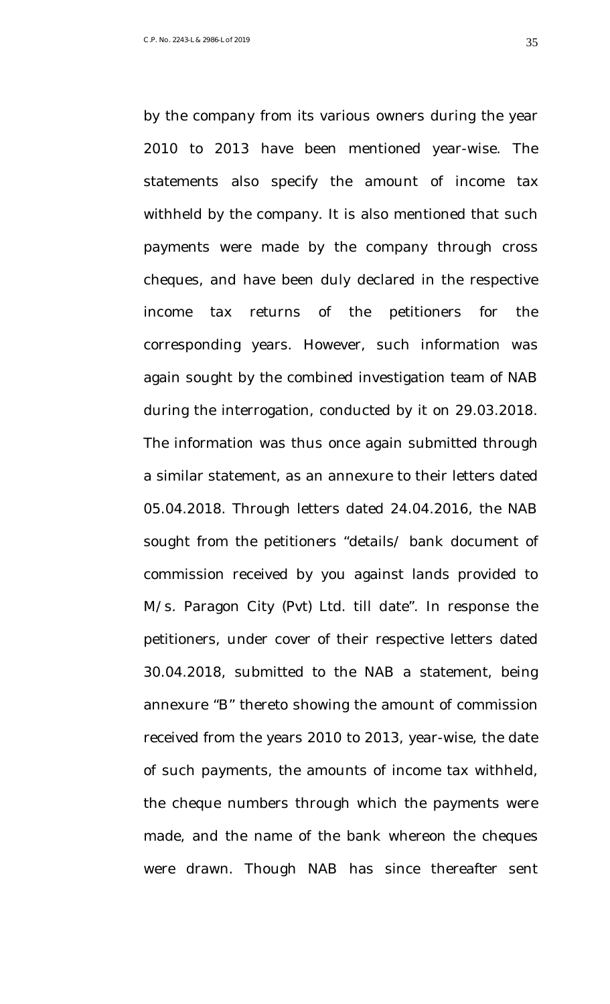by the company from its various owners during the year 2010 to 2013 have been mentioned year-wise. The statements also specify the amount of income tax withheld by the company. It is also mentioned that such payments were made by the company through cross cheques, and have been duly declared in the respective income tax returns of the petitioners for the corresponding years. However, such information was again sought by the combined investigation team of NAB during the interrogation, conducted by it on 29.03.2018. The information was thus once again submitted through a similar statement, as an annexure to their letters dated 05.04.2018. Through letters dated 24.04.2016, the NAB sought from the petitioners "details/ bank document of commission received by you against lands provided to M/s. Paragon City (Pvt) Ltd. till date". In response the petitioners, under cover of their respective letters dated 30.04.2018, submitted to the NAB a statement, being annexure "B" thereto showing the amount of commission received from the years 2010 to 2013, year-wise, the date of such payments, the amounts of income tax withheld, the cheque numbers through which the payments were made, and the name of the bank whereon the cheques were drawn. Though NAB has since thereafter sent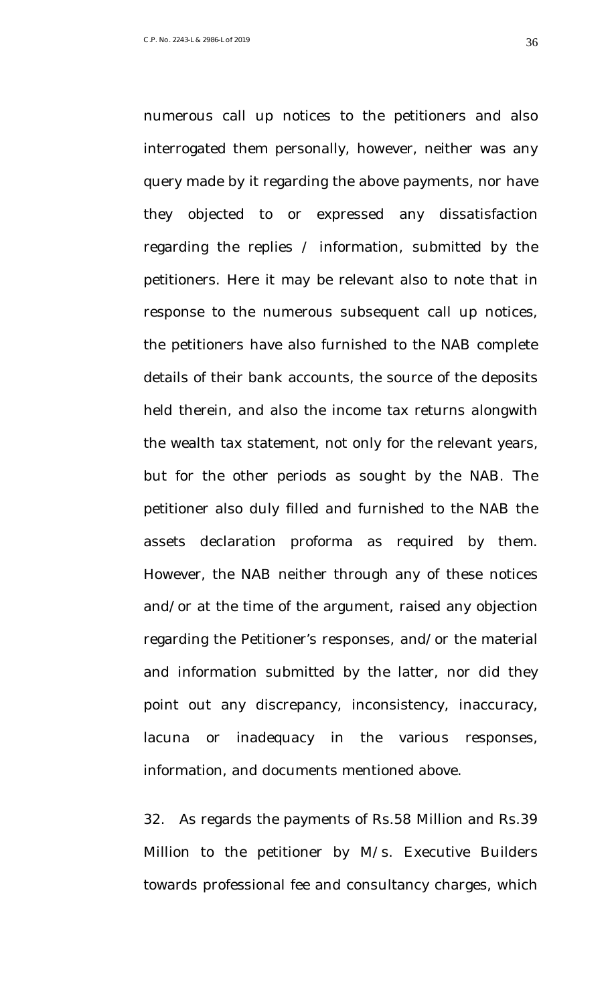numerous call up notices to the petitioners and also interrogated them personally, however, neither was any query made by it regarding the above payments, nor have they objected to or expressed any dissatisfaction regarding the replies / information, submitted by the petitioners. Here it may be relevant also to note that in response to the numerous subsequent call up notices, the petitioners have also furnished to the NAB complete details of their bank accounts, the source of the deposits held therein, and also the income tax returns alongwith the wealth tax statement, not only for the relevant years, but for the other periods as sought by the NAB. The petitioner also duly filled and furnished to the NAB the assets declaration proforma as required by them. However, the NAB neither through any of these notices and/or at the time of the argument, raised any objection regarding the Petitioner's responses, and/or the material and information submitted by the latter, nor did they point out any discrepancy, inconsistency, inaccuracy, lacuna or inadequacy in the various responses, information, and documents mentioned above.

32. As regards the payments of Rs.58 Million and Rs.39 Million to the petitioner by M/s. Executive Builders towards professional fee and consultancy charges, which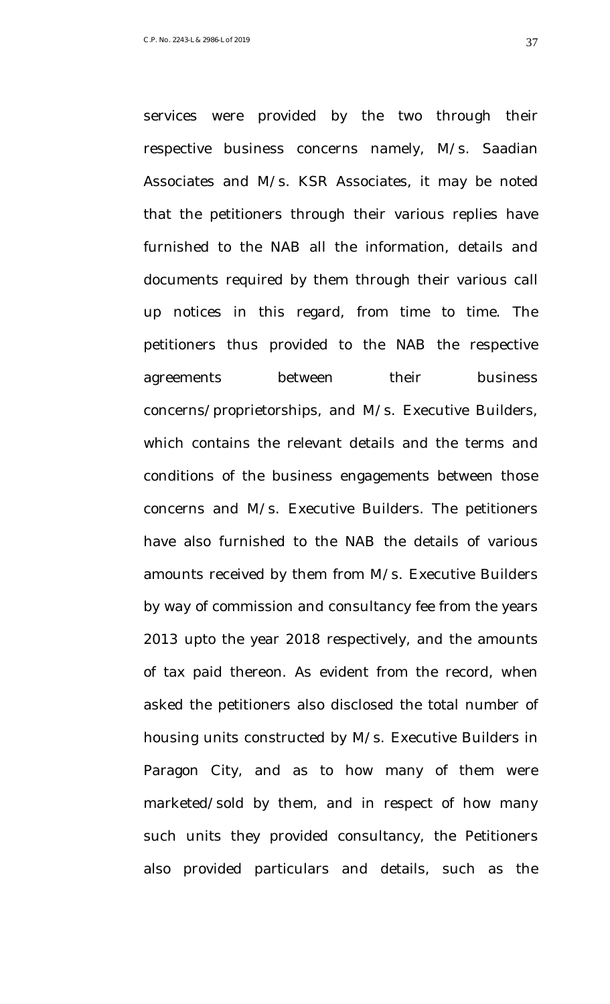respective business concerns namely, M/s. Saadian Associates and M/s. KSR Associates, it may be noted that the petitioners through their various replies have furnished to the NAB all the information, details and documents required by them through their various call up notices in this regard, from time to time. The petitioners thus provided to the NAB the respective agreements between their business concerns/proprietorships, and M/s. Executive Builders, which contains the relevant details and the terms and conditions of the business engagements between those concerns and M/s. Executive Builders. The petitioners have also furnished to the NAB the details of various amounts received by them from M/s. Executive Builders by way of commission and consultancy fee from the years 2013 upto the year 2018 respectively, and the amounts of tax paid thereon. As evident from the record, when asked the petitioners also disclosed the total number of housing units constructed by M/s. Executive Builders in Paragon City, and as to how many of them were marketed/sold by them, and in respect of how many

services were provided by the two through their

such units they provided consultancy, the Petitioners also provided particulars and details, such as the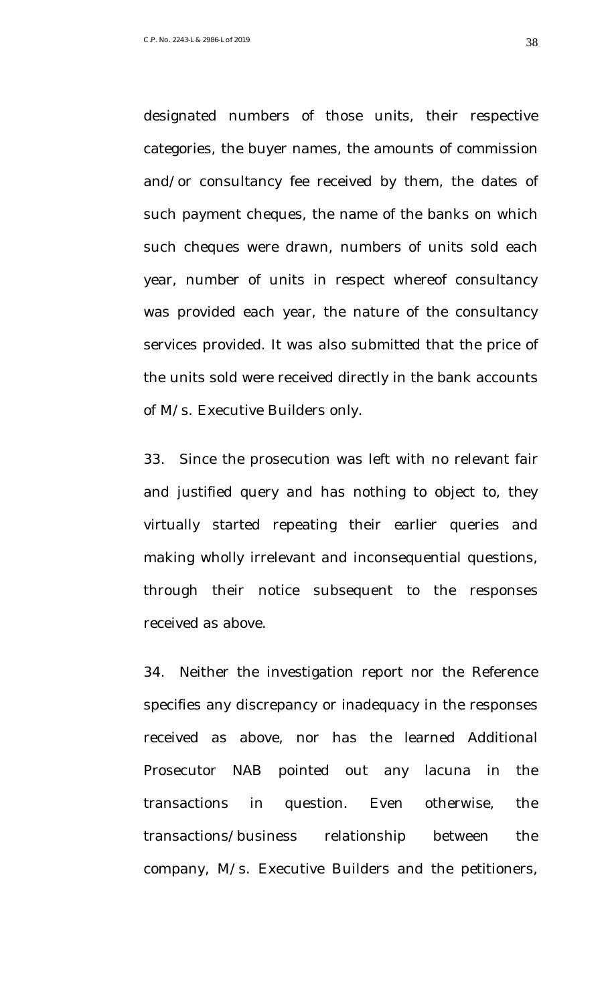designated numbers of those units, their respective categories, the buyer names, the amounts of commission and/or consultancy fee received by them, the dates of such payment cheques, the name of the banks on which such cheques were drawn, numbers of units sold each year, number of units in respect whereof consultancy was provided each year, the nature of the consultancy services provided. It was also submitted that the price of the units sold were received directly in the bank accounts of M/s. Executive Builders only.

33. Since the prosecution was left with no relevant fair and justified query and has nothing to object to, they virtually started repeating their earlier queries and making wholly irrelevant and inconsequential questions, through their notice subsequent to the responses received as above.

34. Neither the investigation report nor the Reference specifies any discrepancy or inadequacy in the responses received as above, nor has the learned Additional Prosecutor NAB pointed out any lacuna in the transactions in question. Even otherwise, the transactions/business relationship between the company, M/s. Executive Builders and the petitioners,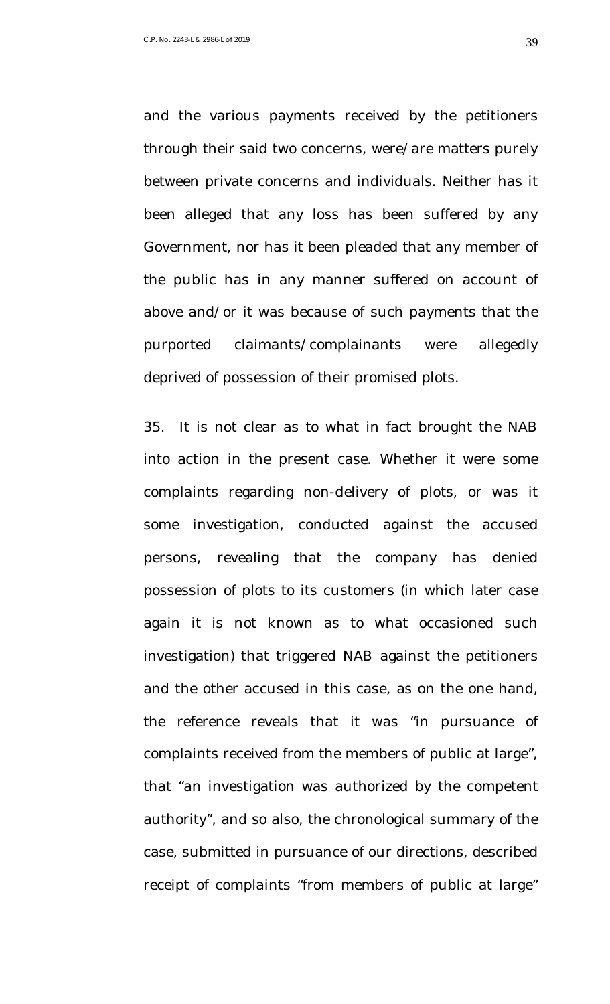and the various payments received by the petitioners through their said two concerns, were/are matters purely between private concerns and individuals. Neither has it been alleged that any loss has been suffered by any Government, nor has it been pleaded that any member of the public has in any manner suffered on account of above and/or it was because of such payments that the purported claimants/complainants were allegedly deprived of possession of their promised plots.

35. It is not clear as to what in fact brought the NAB into action in the present case. Whether it were some complaints regarding non-delivery of plots, or was it some investigation, conducted against the accused persons, revealing that the company has denied possession of plots to its customers (in which later case again it is not known as to what occasioned such investigation) that triggered NAB against the petitioners and the other accused in this case, as on the one hand, the reference reveals that it was "in pursuance of complaints received from the members of public at large", that "an investigation was authorized by the competent authority", and so also, the chronological summary of the case, submitted in pursuance of our directions, described receipt of complaints "from members of public at large"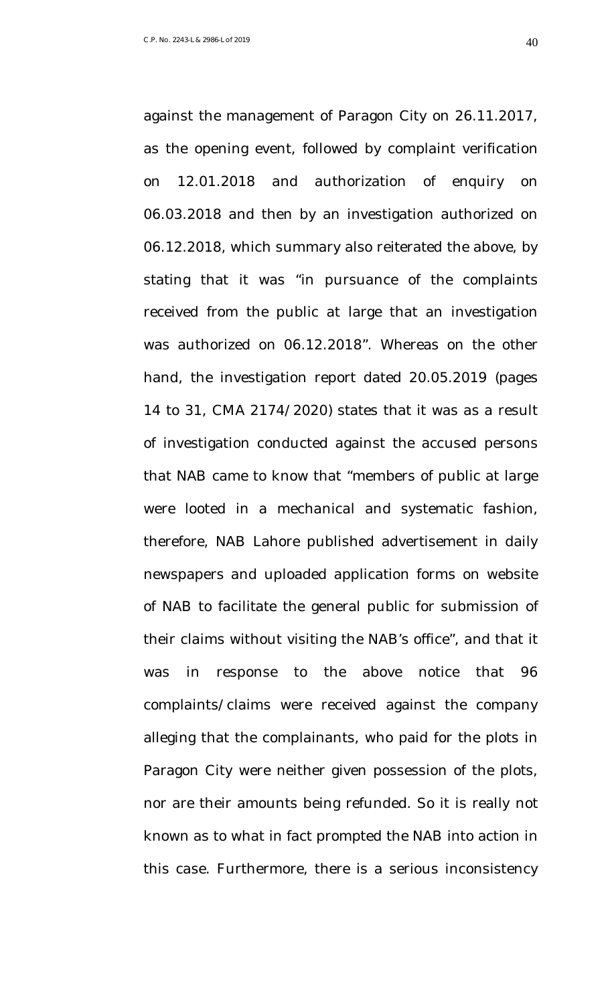against the management of Paragon City on 26.11.2017, as the opening event, followed by complaint verification on 12.01.2018 and authorization of enquiry on 06.03.2018 and then by an investigation authorized on 06.12.2018, which summary also reiterated the above, by stating that it was "in pursuance of the complaints received from the public at large that an investigation was authorized on 06.12.2018". Whereas on the other hand, the investigation report dated 20.05.2019 (pages 14 to 31, CMA 2174/2020) states that it was as a result of investigation conducted against the accused persons that NAB came to know that "members of public at large were looted in a mechanical and systematic fashion, therefore, NAB Lahore published advertisement in daily newspapers and uploaded application forms on website of NAB to facilitate the general public for submission of their claims without visiting the NAB's office", and that it was in response to the above notice that 96 complaints/claims were received against the company alleging that the complainants, who paid for the plots in Paragon City were neither given possession of the plots, nor are their amounts being refunded. So it is really not known as to what in fact prompted the NAB into action in this case. Furthermore, there is a serious inconsistency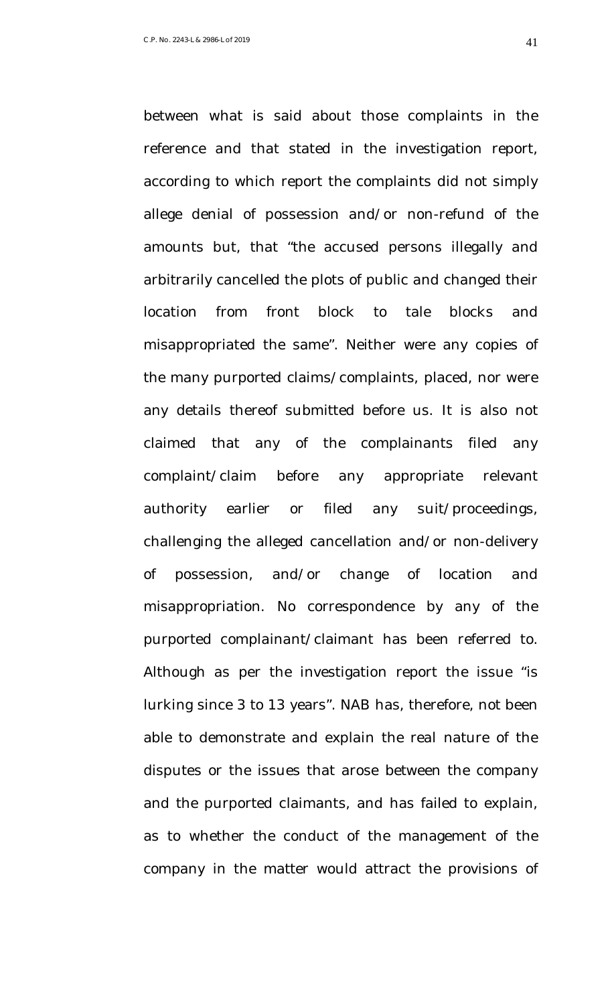according to which report the complaints did not simply allege denial of possession and/or non-refund of the amounts but, that "the accused persons illegally and arbitrarily cancelled the plots of public and changed their

between what is said about those complaints in the

reference and that stated in the investigation report,

location from front block to tale blocks and misappropriated the same". Neither were any copies of the many purported claims/complaints, placed, nor were any details thereof submitted before us. It is also not claimed that any of the complainants filed any complaint/claim before any appropriate relevant authority earlier or filed any suit/proceedings, challenging the alleged cancellation and/or non-delivery of possession, and/or change of location and misappropriation. No correspondence by any of the purported complainant/claimant has been referred to. Although as per the investigation report the issue "is lurking since 3 to 13 years". NAB has, therefore, not been able to demonstrate and explain the real nature of the disputes or the issues that arose between the company and the purported claimants, and has failed to explain, as to whether the conduct of the management of the company in the matter would attract the provisions of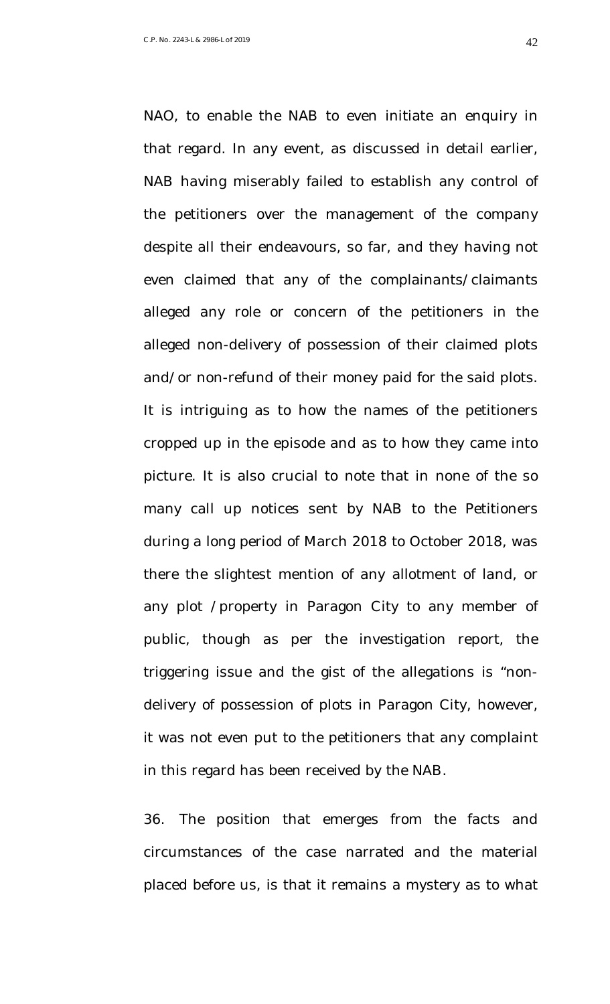NAO, to enable the NAB to even initiate an enquiry in that regard. In any event, as discussed in detail earlier, NAB having miserably failed to establish any control of the petitioners over the management of the company despite all their endeavours, so far, and they having not even claimed that any of the complainants/claimants alleged any role or concern of the petitioners in the alleged non-delivery of possession of their claimed plots and/or non-refund of their money paid for the said plots. It is intriguing as to how the names of the petitioners cropped up in the episode and as to how they came into picture. It is also crucial to note that in none of the so many call up notices sent by NAB to the Petitioners during a long period of March 2018 to October 2018, was there the slightest mention of any allotment of land, or any plot /property in Paragon City to any member of public, though as per the investigation report, the triggering issue and the gist of the allegations is "nondelivery of possession of plots in Paragon City, however, it was not even put to the petitioners that any complaint in this regard has been received by the NAB.

36. The position that emerges from the facts and circumstances of the case narrated and the material placed before us, is that it remains a mystery as to what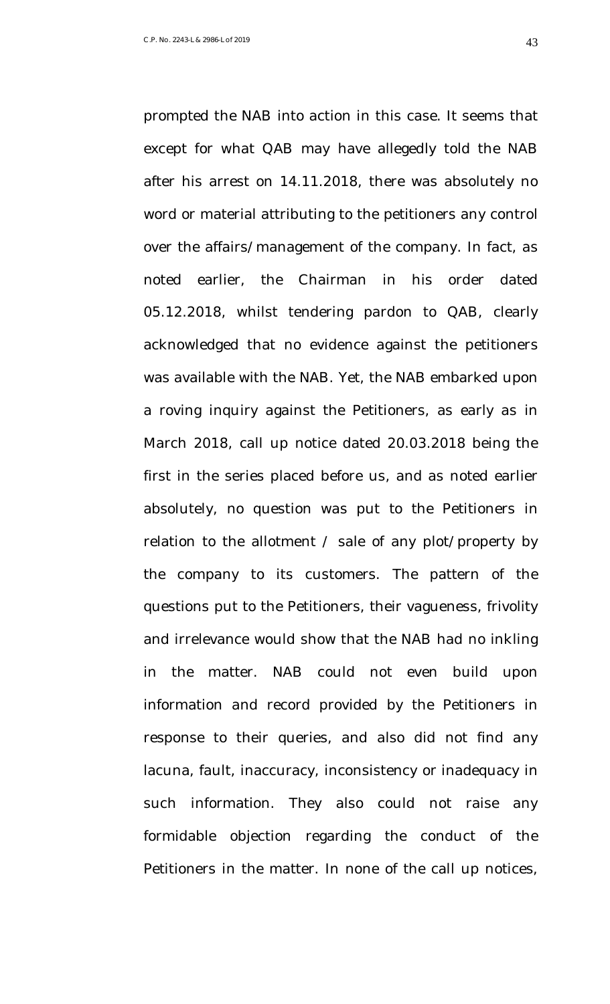prompted the NAB into action in this case. It seems that except for what QAB may have allegedly told the NAB after his arrest on 14.11.2018, there was absolutely no word or material attributing to the petitioners any control over the affairs/management of the company. In fact, as noted earlier, the Chairman in his order dated 05.12.2018, whilst tendering pardon to QAB, clearly acknowledged that no evidence against the petitioners was available with the NAB. Yet, the NAB embarked upon a roving inquiry against the Petitioners, as early as in March 2018, call up notice dated 20.03.2018 being the first in the series placed before us, and as noted earlier absolutely, no question was put to the Petitioners in relation to the allotment / sale of any plot/property by the company to its customers. The pattern of the questions put to the Petitioners, their vagueness, frivolity and irrelevance would show that the NAB had no inkling in the matter. NAB could not even build upon information and record provided by the Petitioners in response to their queries, and also did not find any lacuna, fault, inaccuracy, inconsistency or inadequacy in such information. They also could not raise any formidable objection regarding the conduct of the Petitioners in the matter. In none of the call up notices,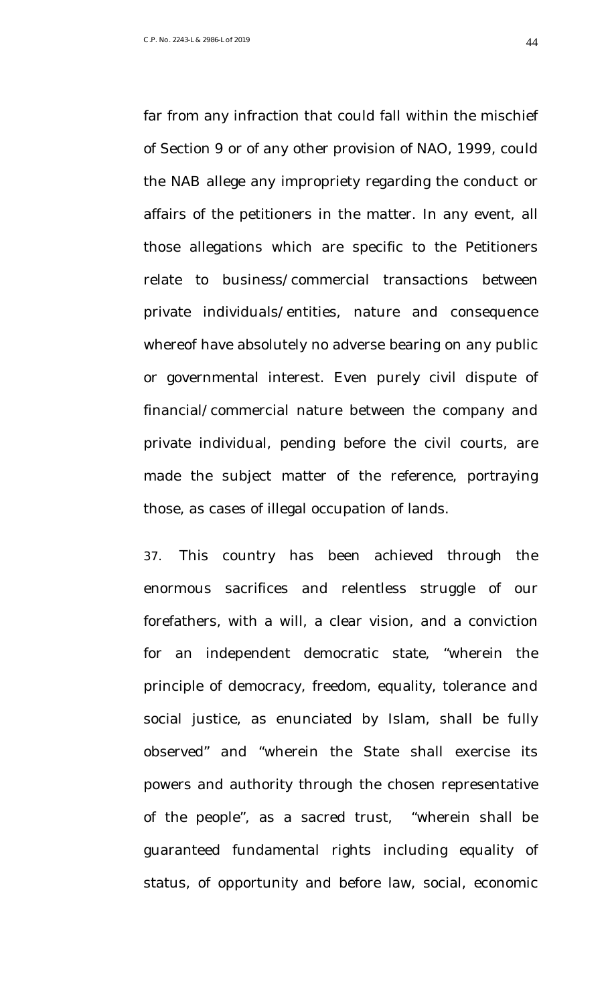far from any infraction that could fall within the mischief of Section 9 or of any other provision of NAO, 1999, could the NAB allege any impropriety regarding the conduct or affairs of the petitioners in the matter. In any event, all those allegations which are specific to the Petitioners relate to business/commercial transactions between private individuals/entities, nature and consequence whereof have absolutely no adverse bearing on any public or governmental interest. Even purely civil dispute of financial/commercial nature between the company and private individual, pending before the civil courts, are made the subject matter of the reference, portraying those, as cases of illegal occupation of lands.

37. This country has been achieved through the enormous sacrifices and relentless struggle of our forefathers, with a will, a clear vision, and a conviction for an independent democratic state, "wherein the principle of democracy, freedom, equality, tolerance and social justice, as enunciated by Islam, shall be fully observed" and "wherein the State shall exercise its powers and authority through the chosen representative of the people", as a sacred trust, "wherein shall be guaranteed fundamental rights including equality of status, of opportunity and before law, social, economic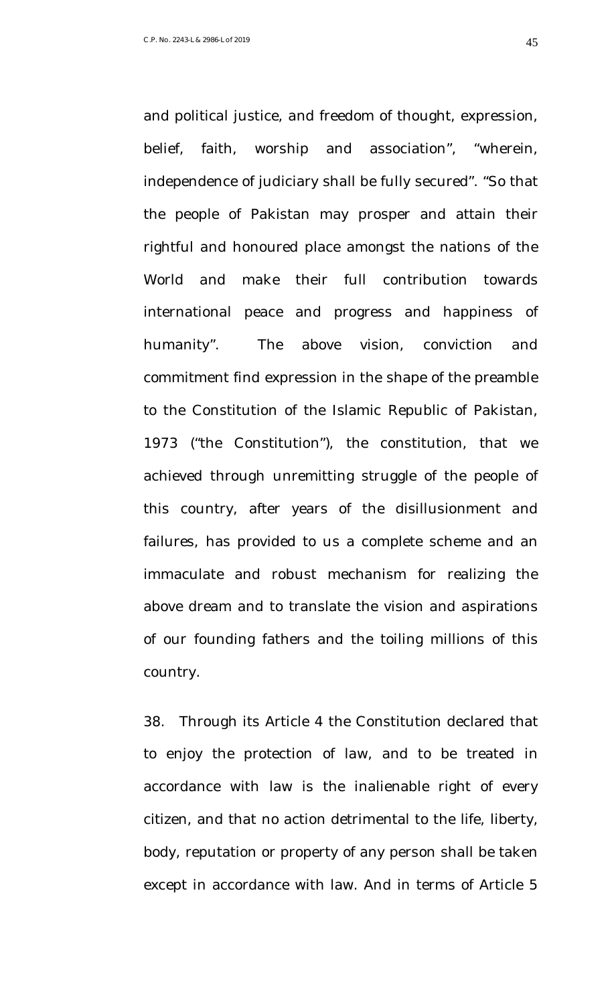and political justice, and freedom of thought, expression, belief, faith, worship and association", "wherein, independence of judiciary shall be fully secured". "So that the people of Pakistan may prosper and attain their rightful and honoured place amongst the nations of the World and make their full contribution towards international peace and progress and happiness of humanity". The above vision, conviction and commitment find expression in the shape of the preamble to the Constitution of the Islamic Republic of Pakistan, 1973 ("the Constitution"), the constitution, that we achieved through unremitting struggle of the people of this country, after years of the disillusionment and failures, has provided to us a complete scheme and an immaculate and robust mechanism for realizing the above dream and to translate the vision and aspirations of our founding fathers and the toiling millions of this country.

38. Through its Article 4 the Constitution declared that to enjoy the protection of law, and to be treated in accordance with law is the inalienable right of every citizen, and that no action detrimental to the life, liberty, body, reputation or property of any person shall be taken except in accordance with law. And in terms of Article 5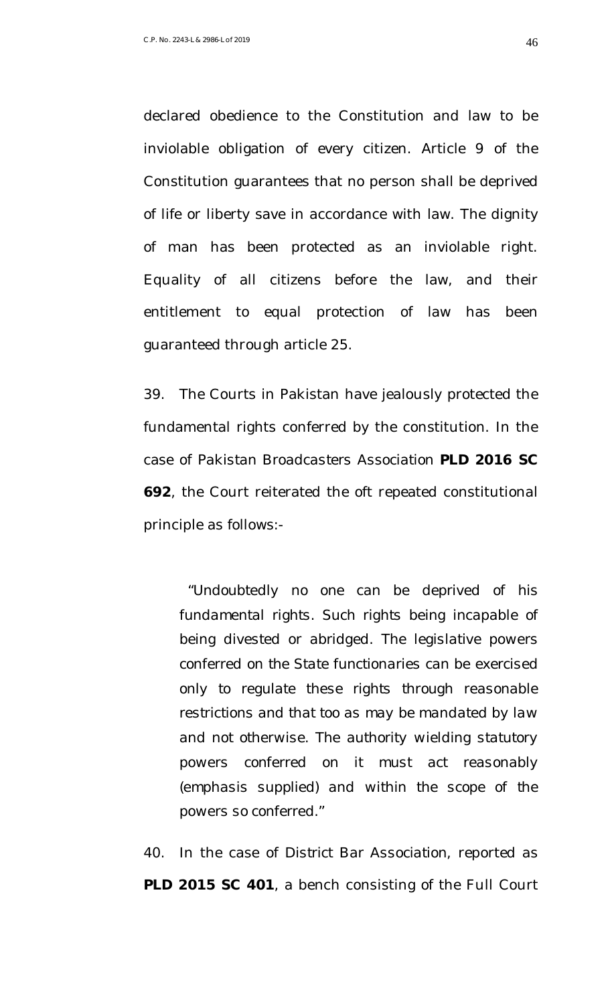declared obedience to the Constitution and law to be inviolable obligation of every citizen. Article 9 of the Constitution guarantees that no person shall be deprived of life or liberty save in accordance with law. The dignity of man has been protected as an inviolable right. Equality of all citizens before the law, and their entitlement to equal protection of law has been guaranteed through article 25.

39. The Courts in Pakistan have jealously protected the fundamental rights conferred by the constitution. In the case of *Pakistan Broadcasters Association* **PLD 2016 SC 692**, the Court reiterated the oft repeated constitutional principle as follows:-

"*Undoubtedly no one can be deprived of his fundamental rights. Such rights being incapable of being divested or abridged. The legislative powers conferred on the State functionaries can be exercised only to regulate these rights through reasonable restrictions and that too as may be mandated by law and not otherwise. The authority wielding statutory powers conferred on it must act reasonably (emphasis supplied) and within the scope of the powers so conferred.*"

40. In the case of *District Bar Association*, reported as **PLD 2015 SC 401**, a bench consisting of the Full Court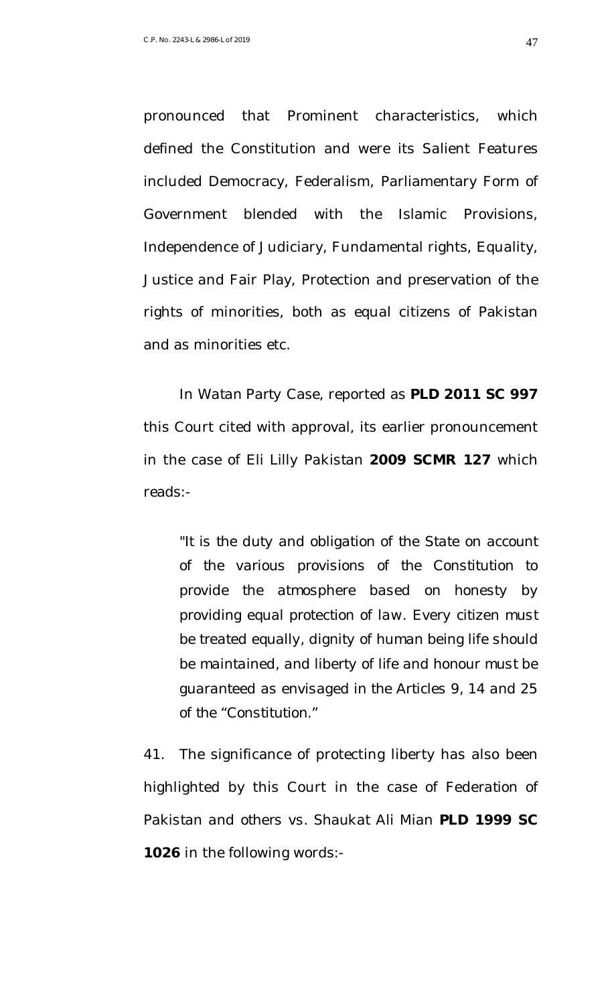pronounced that Prominent characteristics, which defined the Constitution and were its Salient Features included Democracy, Federalism, Parliamentary Form of Government blended with the Islamic Provisions, Independence of Judiciary, Fundamental rights, Equality, Justice and Fair Play, Protection and preservation of the rights of minorities, both as equal citizens of Pakistan and as minorities etc.

In *Watan Party* Case, reported as **PLD 2011 SC 997** this Court cited with approval, its earlier pronouncement in the case of *Eli Lilly Pakistan* **2009 SCMR 127** which reads:-

"*It is the duty and obligation of the State on account of the various provisions of the Constitution to provide the atmosphere based on honesty by providing equal protection of law. Every citizen must be treated equally, dignity of human being life should be maintained, and liberty of life and honour must be guaranteed as envisaged in the Articles 9, 14 and 25 of the "Constitution.*"

41. The significance of protecting liberty has also been highlighted by this Court in the case of *Federation of Pakistan and others vs. Shaukat Ali Mian* **PLD 1999 SC 1026** in the following words:-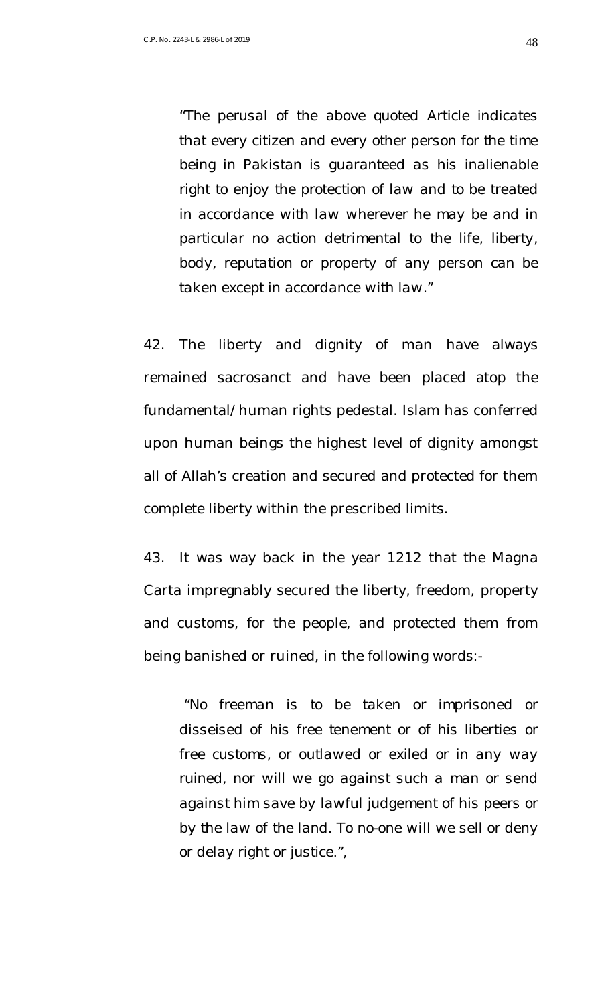"*The perusal of the above quoted Article indicates that every citizen and every other person for the time being in Pakistan is guaranteed as his inalienable right to enjoy the protection of law and to be treated in accordance with law wherever he may be and in particular no action detrimental to the life, liberty, body, reputation or property of any person can be taken except in accordance with law.*"

42. The liberty and dignity of man have always remained sacrosanct and have been placed atop the fundamental/human rights pedestal. Islam has conferred upon human beings the highest level of dignity amongst all of Allah's creation and secured and protected for them complete liberty within the prescribed limits.

43. It was way back in the year 1212 that the Magna Carta impregnably secured the liberty, freedom, property and customs, for the people, and protected them from being banished or ruined, in the following words:-

"*No freeman is to be taken or imprisoned or disseised of his free tenement or of his liberties or free customs, or outlawed or exiled or in any way ruined, nor will we go against such a man or send against him save by lawful judgement of his peers or by the law of the land. To no-one will we sell or deny or delay right or justice.*",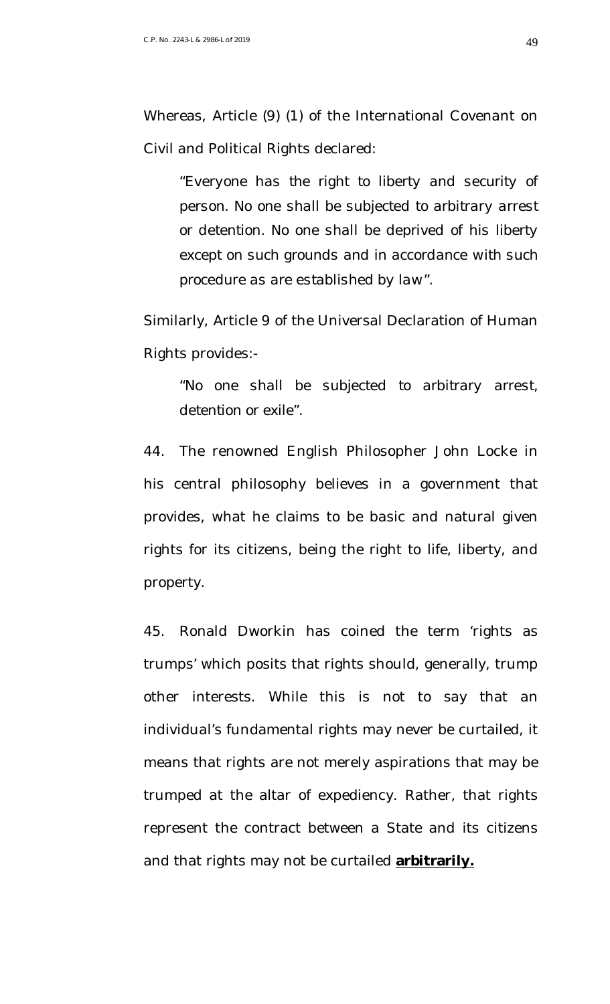Whereas, Article (9) (1) of the International Covenant on Civil and Political Rights declared:

"*Everyone has the right to liberty and security of person. No one shall be subjected to arbitrary arrest or detention. No one shall be deprived of his liberty except on such grounds and in accordance with such procedure as are established by law*".

Similarly, Article 9 of the Universal Declaration of Human Rights provides:-

"*No one shall be subjected to arbitrary arrest, detention or exile*".

44. The renowned English Philosopher John Locke in his central philosophy believes in a government that provides, what he claims to be basic and natural given rights for its citizens, being the right to life, liberty, and property.

45. Ronald Dworkin has coined the term 'rights as trumps' which posits that rights should, generally, trump other interests. While this is not to say that an individual's fundamental rights may never be curtailed, it means that rights are not merely aspirations that may be trumped at the altar of expediency. Rather, that rights represent the contract between a State and its citizens and that rights may not be curtailed **arbitrarily.**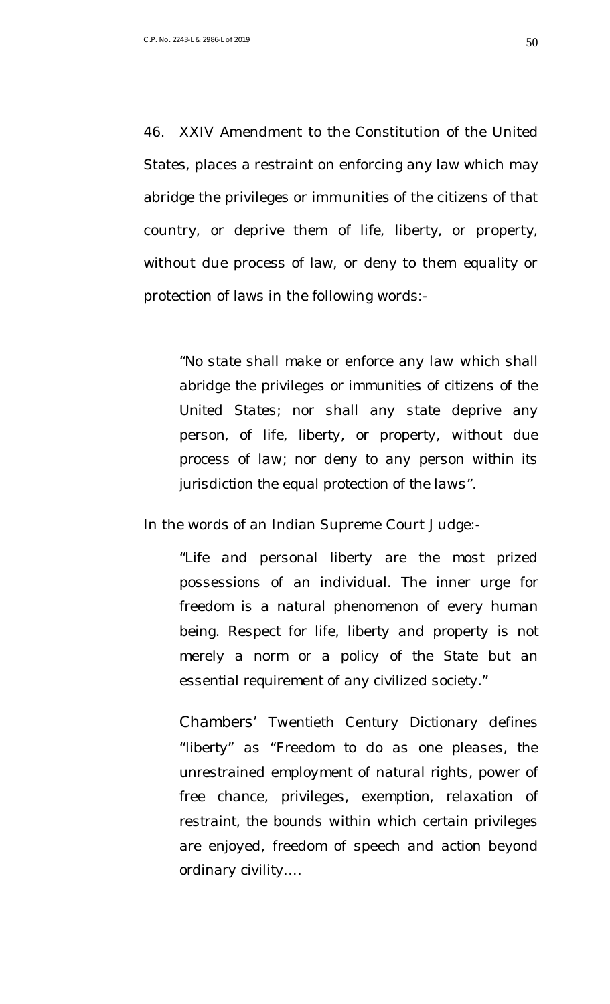46. XXIV Amendment to the Constitution of the United States, places a restraint on enforcing any law which may abridge the privileges or immunities of the citizens of that country, or deprive them of life, liberty, or property, without due process of law, or deny to them equality or protection of laws in the following words:-

"*No state shall make or enforce any law which shall abridge the privileges or immunities of citizens of the United States; nor shall any state deprive any person, of life, liberty, or property, without due process of law; nor deny to any person within its jurisdiction the equal protection of the laws*".

In the words of an Indian Supreme Court Judge:-

"*Life and personal liberty are the most prized possessions of an individual. The inner urge for freedom is a natural phenomenon of every human being. Respect for life, liberty and property is not merely a norm or a policy of the State but an essential requirement of any civilized society.*"

*Chambers' Twentieth Century Dictionary defines "liberty" as "Freedom to do as one pleases, the unrestrained employment of natural rights, power of free chance, privileges, exemption, relaxation of restraint, the bounds within which certain privileges are enjoyed, freedom of speech and action beyond ordinary civility….*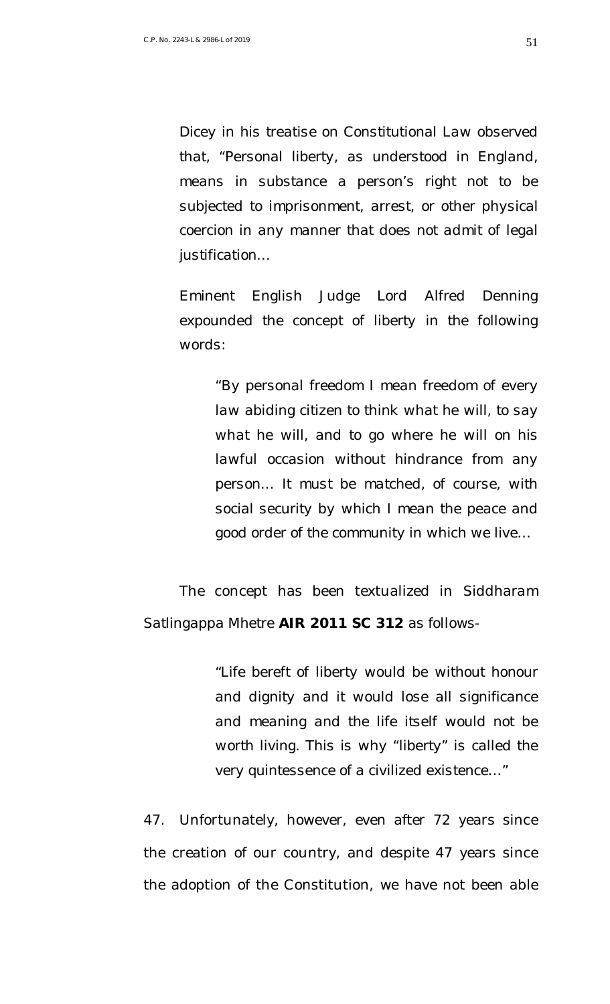*Dicey in his treatise on Constitutional Law observed that, "Personal liberty, as understood in England, means in substance a person's right not to be subjected to imprisonment, arrest, or other physical coercion in any manner that does not admit of legal justification…* 

*Eminent English Judge Lord Alfred Denning expounded the concept of liberty in the following words:*

*"By personal freedom I mean freedom of every law abiding citizen to think what he will, to say what he will, and to go where he will on his lawful occasion without hindrance from any person… It must be matched, of course, with social security by which I mean the peace and good order of the community in which we live…*

The concept has been textualized in *Siddharam Satlingappa Mhetre* **AIR 2011 SC 312** as follows-

> "*Life bereft of liberty would be without honour and dignity and it would lose all significance and meaning and the life itself would not be worth living. This is why "liberty" is called the very quintessence of a civilized existence…*"

47. Unfortunately, however, even after 72 years since the creation of our country, and despite 47 years since the adoption of the Constitution, we have not been able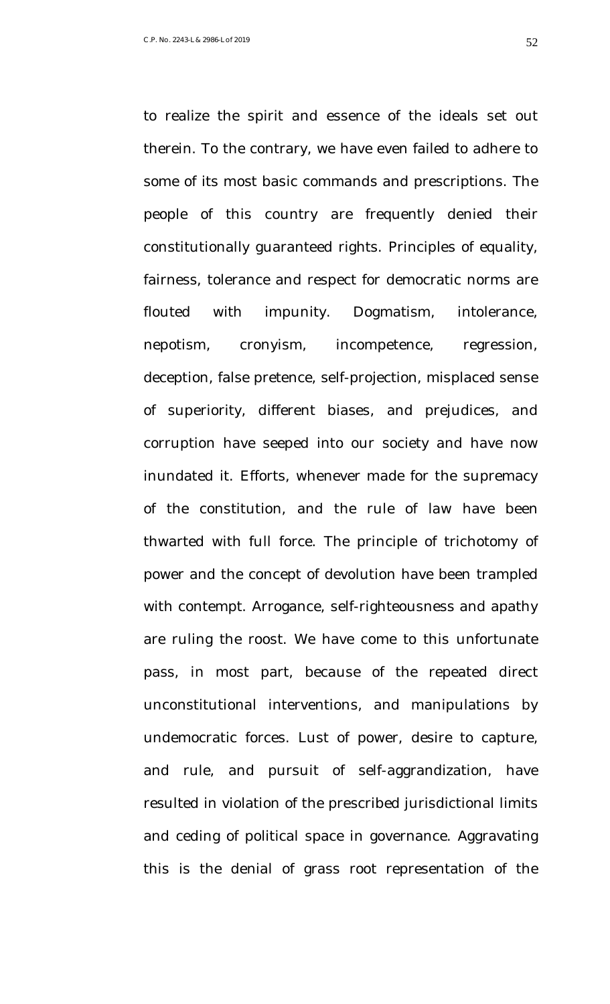therein. To the contrary, we have even failed to adhere to some of its most basic commands and prescriptions. The people of this country are frequently denied their constitutionally guaranteed rights. Principles of equality, fairness, tolerance and respect for democratic norms are flouted with impunity. Dogmatism, intolerance, nepotism, cronyism, incompetence, regression, deception, false pretence, self-projection, misplaced sense of superiority, different biases, and prejudices, and

to realize the spirit and essence of the ideals set out

corruption have seeped into our society and have now inundated it. Efforts, whenever made for the supremacy of the constitution, and the rule of law have been thwarted with full force. The principle of trichotomy of power and the concept of devolution have been trampled with contempt. Arrogance, self-righteousness and apathy are ruling the roost. We have come to this unfortunate pass, in most part, because of the repeated direct unconstitutional interventions, and manipulations by undemocratic forces. Lust of power, desire to capture, and rule, and pursuit of self-aggrandization, have resulted in violation of the prescribed jurisdictional limits and ceding of political space in governance. Aggravating this is the denial of grass root representation of the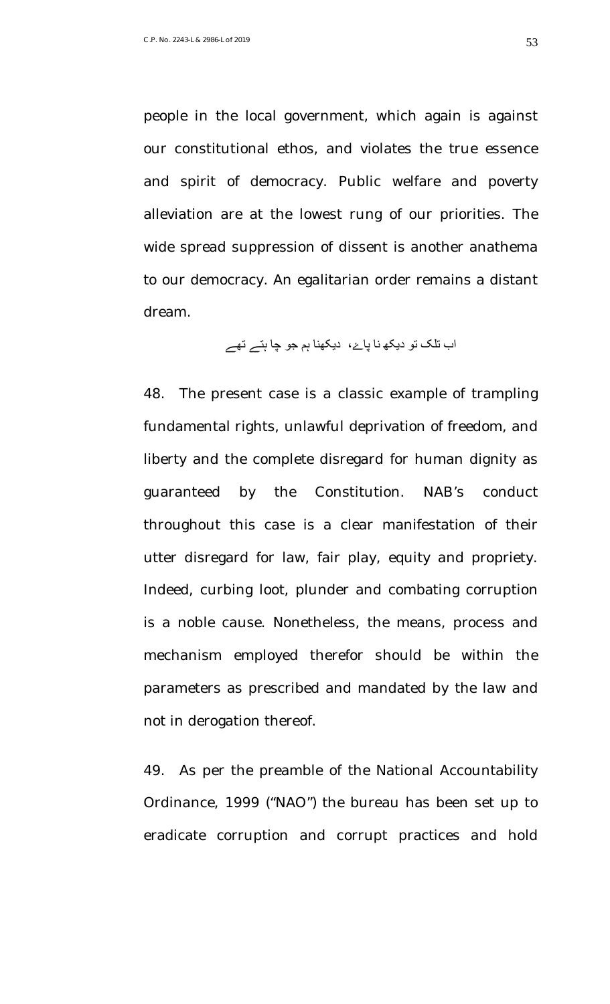people in the local government, which again is against our constitutional ethos, and violates the true essence and spirit of democracy. Public welfare and poverty alleviation are at the lowest rung of our priorities. The wide spread suppression of dissent is another anathema to our democracy. An egalitarian order remains a distant dream.

## اب تلک تو دیکھ نا پاۓ، دیکھنا ہم جو چا ہتے تھے

48. The present case is a classic example of trampling fundamental rights, unlawful deprivation of freedom, and liberty and the complete disregard for human dignity as guaranteed by the Constitution. NAB's conduct throughout this case is a clear manifestation of their utter disregard for law, fair play, equity and propriety. Indeed, curbing loot, plunder and combating corruption is a noble cause. Nonetheless, the means, process and mechanism employed therefor should be within the parameters as prescribed and mandated by the law and not in derogation thereof.

49. As per the preamble of the National Accountability Ordinance, 1999 ("NAO") the bureau has been set up to eradicate corruption and corrupt practices and hold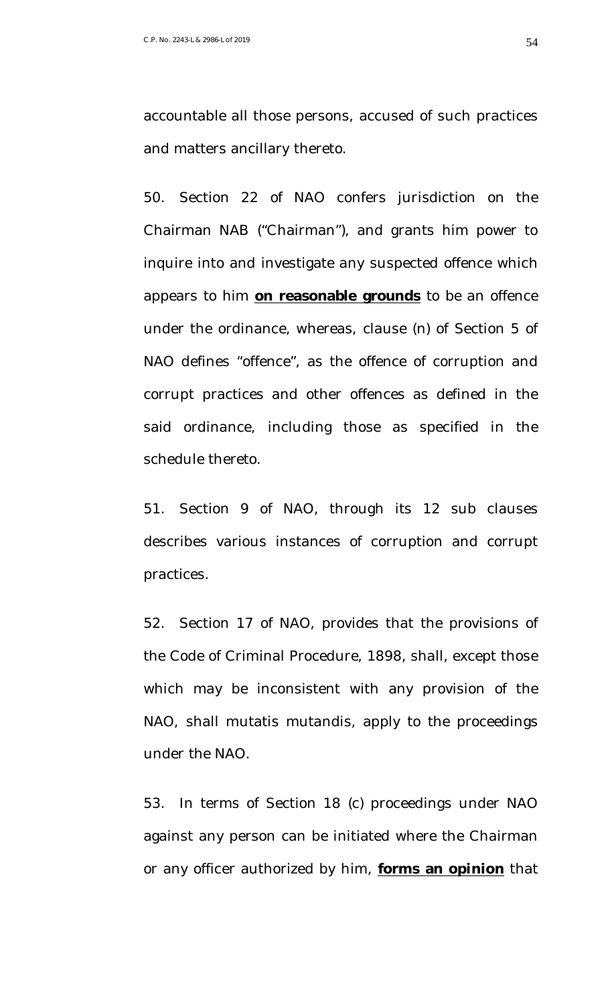accountable all those persons, accused of such practices and matters ancillary thereto.

50. Section 22 of NAO confers jurisdiction on the Chairman NAB ("Chairman"), and grants him power to inquire into and investigate any suspected offence which appears to him **on reasonable grounds** to be an offence under the ordinance, whereas, clause (n) of Section 5 of NAO defines "offence", as the offence of corruption and corrupt practices and other offences as defined in the said ordinance, including those as specified in the schedule thereto.

51. Section 9 of NAO, through its 12 sub clauses describes various instances of corruption and corrupt practices.

52. Section 17 of NAO, provides that the provisions of the Code of Criminal Procedure, 1898, shall, except those which may be inconsistent with any provision of the NAO, shall mutatis mutandis, apply to the proceedings under the NAO.

53. In terms of Section 18 (c) proceedings under NAO against any person can be initiated where the Chairman or any officer authorized by him, **forms an opinion** that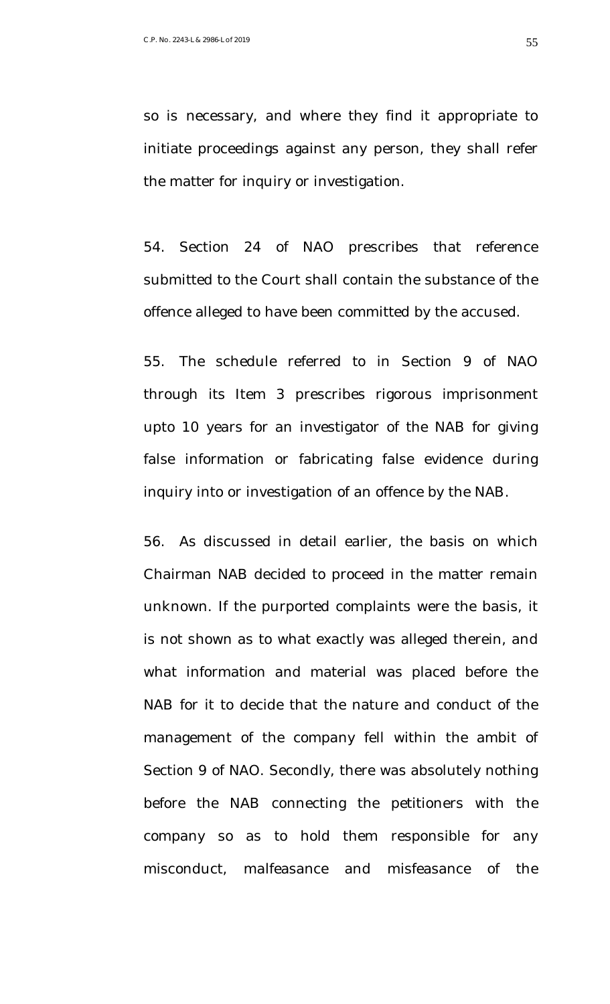so is necessary, and where they find it appropriate to initiate proceedings against any person, they shall refer the matter for inquiry or investigation.

54. Section 24 of NAO prescribes that reference submitted to the Court shall contain the substance of the offence alleged to have been committed by the accused.

55. The schedule referred to in Section 9 of NAO through its Item 3 prescribes rigorous imprisonment upto 10 years for an investigator of the NAB for giving false information or fabricating false evidence during inquiry into or investigation of an offence by the NAB.

56. As discussed in detail earlier, the basis on which Chairman NAB decided to proceed in the matter remain unknown. If the purported complaints were the basis, it is not shown as to what exactly was alleged therein, and what information and material was placed before the NAB for it to decide that the nature and conduct of the management of the company fell within the ambit of Section 9 of NAO. Secondly, there was absolutely nothing before the NAB connecting the petitioners with the company so as to hold them responsible for any misconduct, malfeasance and misfeasance of the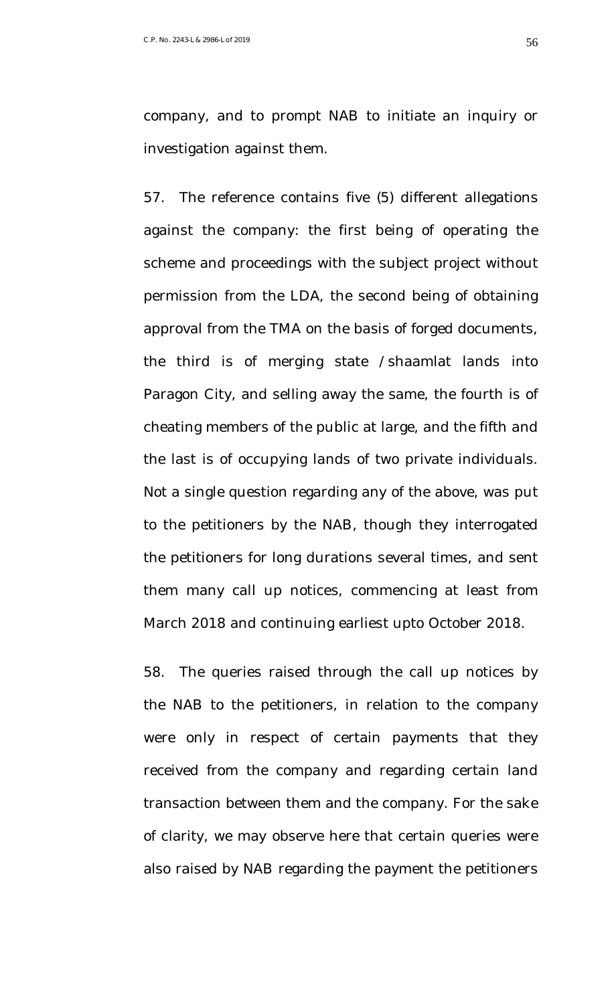company, and to prompt NAB to initiate an inquiry or investigation against them.

57. The reference contains five (5) different allegations against the company: the first being of operating the scheme and proceedings with the subject project without permission from the LDA, the second being of obtaining approval from the TMA on the basis of forged documents, the third is of merging state /shaamlat lands into Paragon City, and selling away the same, the fourth is of cheating members of the public at large, and the fifth and the last is of occupying lands of two private individuals. Not a single question regarding any of the above, was put to the petitioners by the NAB, though they interrogated the petitioners for long durations several times, and sent them many call up notices, commencing at least from March 2018 and continuing earliest upto October 2018.

58. The queries raised through the call up notices by the NAB to the petitioners, in relation to the company were only in respect of certain payments that they received from the company and regarding certain land transaction between them and the company. For the sake of clarity, we may observe here that certain queries were also raised by NAB regarding the payment the petitioners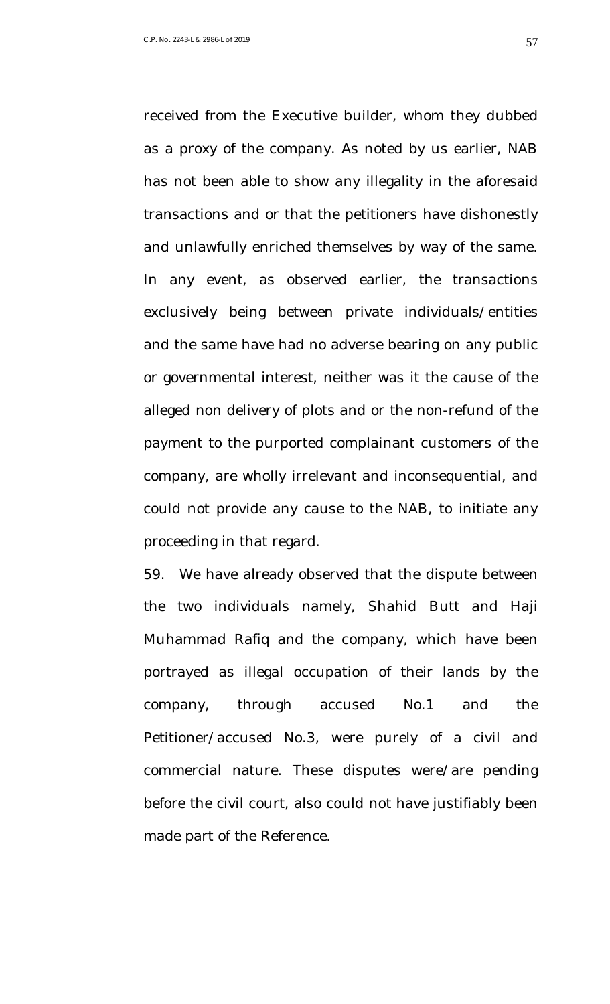received from the Executive builder, whom they dubbed as a proxy of the company. As noted by us earlier, NAB has not been able to show any illegality in the aforesaid transactions and or that the petitioners have dishonestly and unlawfully enriched themselves by way of the same. In any event, as observed earlier, the transactions exclusively being between private individuals/entities and the same have had no adverse bearing on any public or governmental interest, neither was it the cause of the alleged non delivery of plots and or the non-refund of the payment to the purported complainant customers of the company, are wholly irrelevant and inconsequential, and could not provide any cause to the NAB, to initiate any proceeding in that regard.

59. We have already observed that the dispute between the two individuals namely, Shahid Butt and Haji Muhammad Rafiq and the company, which have been portrayed as illegal occupation of their lands by the company, through accused No.1 and the Petitioner/accused No.3, were purely of a civil and commercial nature. These disputes were/are pending before the civil court, also could not have justifiably been made part of the Reference.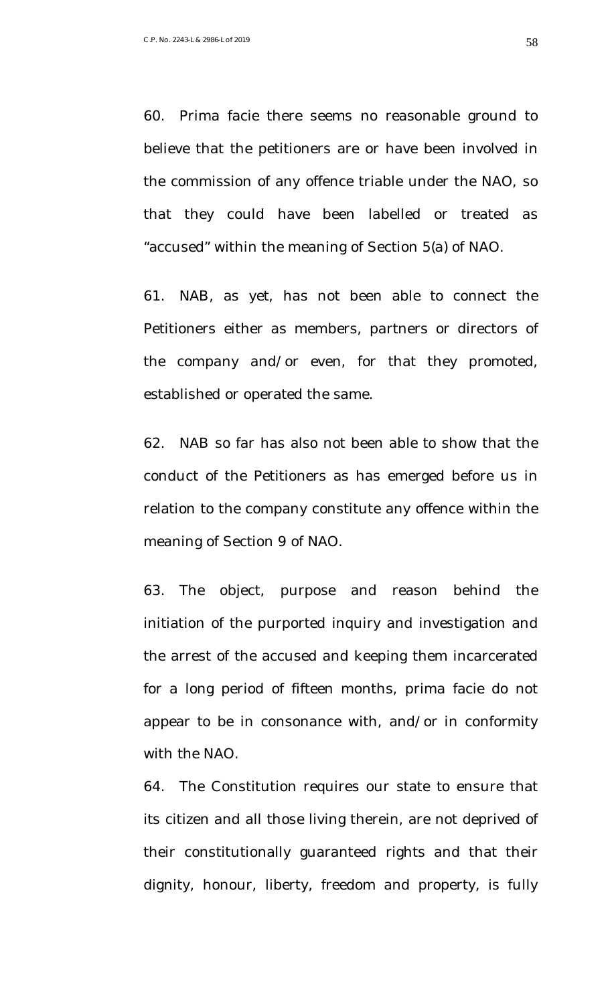60. Prima facie there seems no reasonable ground to believe that the petitioners are or have been involved in the commission of any offence triable under the NAO, so that they could have been labelled or treated as "accused" within the meaning of Section 5(a) of NAO.

61. NAB, as yet, has not been able to connect the Petitioners either as members, partners or directors of the company and/or even, for that they promoted, established or operated the same.

62. NAB so far has also not been able to show that the conduct of the Petitioners as has emerged before us in relation to the company constitute any offence within the meaning of Section 9 of NAO.

63. The object, purpose and reason behind the initiation of the purported inquiry and investigation and the arrest of the accused and keeping them incarcerated for a long period of fifteen months, prima facie do not appear to be in consonance with, and/or in conformity with the NAO.

64. The Constitution requires our state to ensure that its citizen and all those living therein, are not deprived of their constitutionally guaranteed rights and that their dignity, honour, liberty, freedom and property, is fully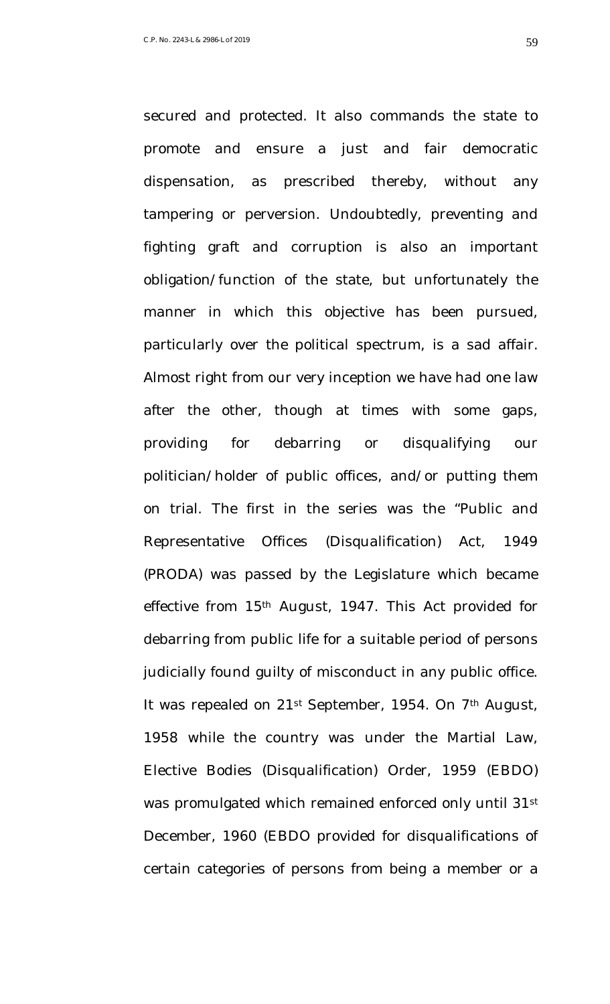secured and protected. It also commands the state to promote and ensure a just and fair democratic dispensation, as prescribed thereby, without any tampering or perversion. Undoubtedly, preventing and fighting graft and corruption is also an important obligation/function of the state, but unfortunately the manner in which this objective has been pursued, particularly over the political spectrum, is a sad affair. Almost right from our very inception we have had one law after the other, though at times with some gaps, providing for debarring or disqualifying our politician/holder of public offices, and/or putting them on trial. The first in the series was the "Public and Representative Offices (Disqualification) Act, 1949 (PRODA) was passed by the Legislature which became effective from 15<sup>th</sup> August, 1947. This Act provided for debarring from public life for a suitable period of persons judicially found guilty of misconduct in any public office. It was repealed on 21<sup>st</sup> September, 1954. On 7<sup>th</sup> August, 1958 while the country was under the Martial Law, Elective Bodies (Disqualification) Order, 1959 (EBDO) was promulgated which remained enforced only until 31st December, 1960 (EBDO provided for disqualifications of certain categories of persons from being a member or a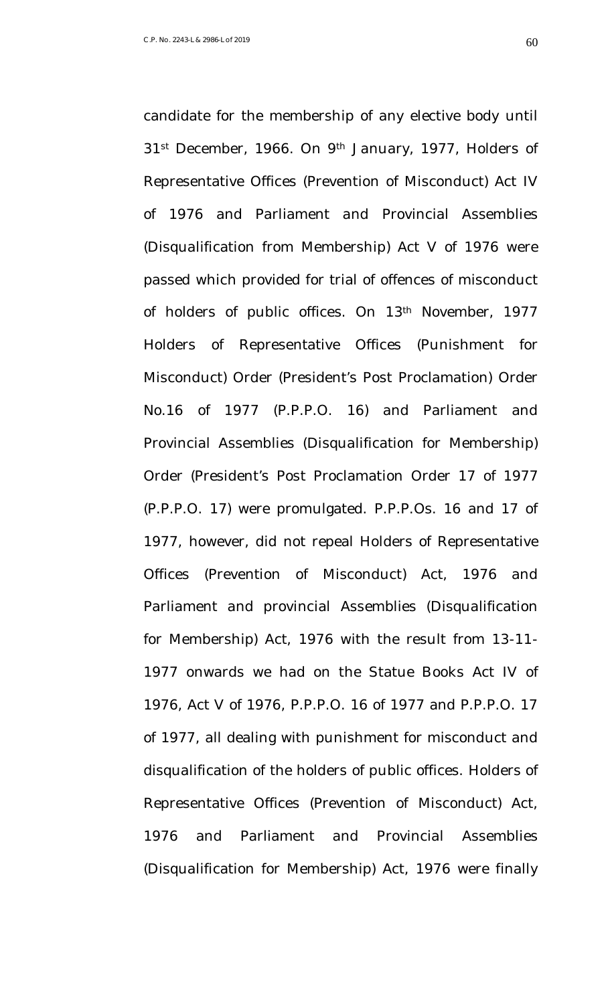31<sup>st</sup> December, 1966. On 9<sup>th</sup> January, 1977, Holders of Representative Offices (Prevention of Misconduct) Act IV of 1976 and Parliament and Provincial Assemblies (Disqualification from Membership) Act V of 1976 were passed which provided for trial of offences of misconduct of holders of public offices. On 13th November, 1977 Holders of Representative Offices (Punishment for Misconduct) Order (President's Post Proclamation) Order No.16 of 1977 (P.P.P.O. 16) and Parliament and Provincial Assemblies (Disqualification for Membership) Order (President's Post Proclamation Order 17 of 1977 (P.P.P.O. 17) were promulgated. P.P.P.Os. 16 and 17 of 1977, however, did not repeal Holders of Representative Offices (Prevention of Misconduct) Act, 1976 and Parliament and provincial Assemblies (Disqualification for Membership) Act, 1976 with the result from 13-11-

candidate for the membership of any elective body until

1977 onwards we had on the Statue Books Act IV of 1976, Act V of 1976, P.P.P.O. 16 of 1977 and P.P.P.O. 17 of 1977, all dealing with punishment for misconduct and disqualification of the holders of public offices. Holders of Representative Offices (Prevention of Misconduct) Act, 1976 and Parliament and Provincial Assemblies (Disqualification for Membership) Act, 1976 were finally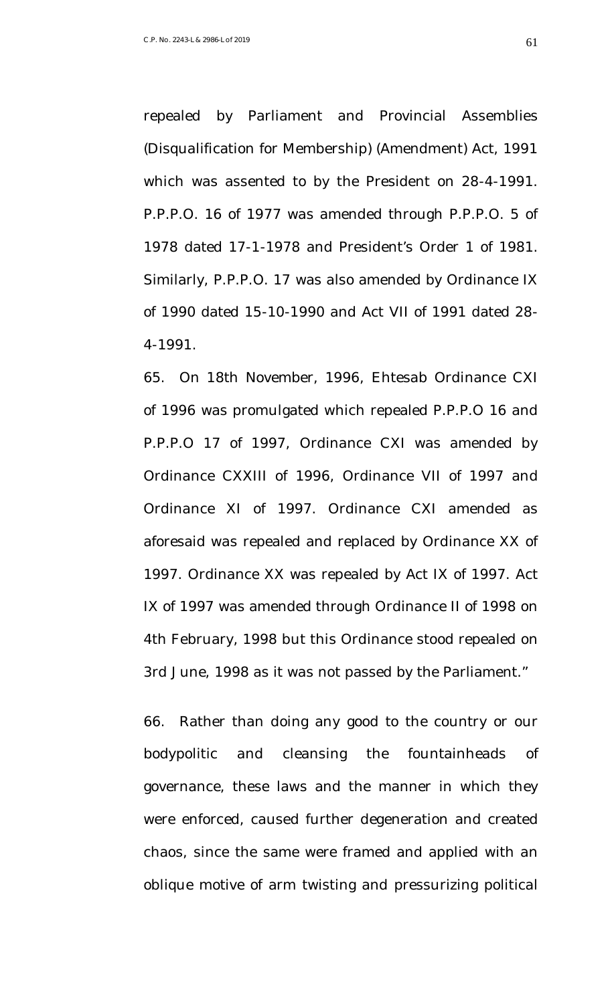repealed by Parliament and Provincial Assemblies (Disqualification for Membership) (Amendment) Act, 1991 which was assented to by the President on 28-4-1991. P.P.P.O. 16 of 1977 was amended through P.P.P.O. 5 of 1978 dated 17-1-1978 and President's Order 1 of 1981. Similarly, P.P.P.O. 17 was also amended by Ordinance IX of 1990 dated 15-10-1990 and Act VII of 1991 dated 28- 4-1991.

65. On 18th November, 1996, Ehtesab Ordinance CXI of 1996 was promulgated which repealed P.P.P.O 16 and P.P.P.O 17 of 1997, Ordinance CXI was amended by Ordinance CXXIII of 1996, Ordinance VII of 1997 and Ordinance XI of 1997. Ordinance CXI amended as aforesaid was repealed and replaced by Ordinance XX of 1997. Ordinance XX was repealed by Act IX of 1997. Act IX of 1997 was amended through Ordinance II of 1998 on 4th February, 1998 but this Ordinance stood repealed on 3rd June, 1998 as it was not passed by the Parliament."

66. Rather than doing any good to the country or our bodypolitic and cleansing the fountainheads of governance, these laws and the manner in which they were enforced, caused further degeneration and created chaos, since the same were framed and applied with an oblique motive of arm twisting and pressurizing political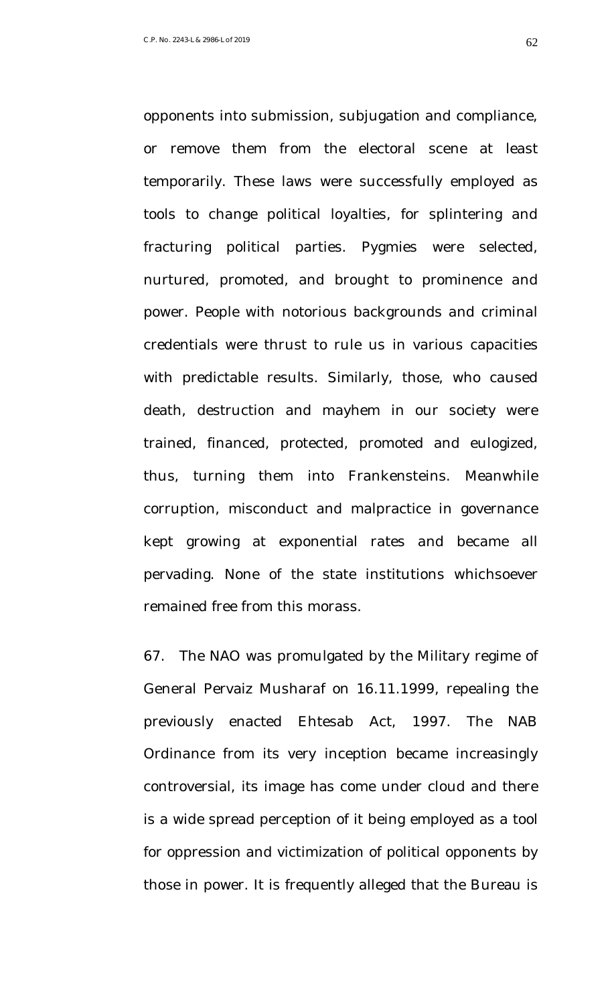opponents into submission, subjugation and compliance, or remove them from the electoral scene at least temporarily. These laws were successfully employed as tools to change political loyalties, for splintering and fracturing political parties. Pygmies were selected, nurtured, promoted, and brought to prominence and power. People with notorious backgrounds and criminal credentials were thrust to rule us in various capacities with predictable results. Similarly, those, who caused death, destruction and mayhem in our society were trained, financed, protected, promoted and eulogized, thus, turning them into Frankensteins. Meanwhile corruption, misconduct and malpractice in governance kept growing at exponential rates and became all pervading. None of the state institutions whichsoever remained free from this morass.

67. The NAO was promulgated by the Military regime of General Pervaiz Musharaf on 16.11.1999, repealing the previously enacted Ehtesab Act, 1997. The NAB Ordinance from its very inception became increasingly controversial, its image has come under cloud and there is a wide spread perception of it being employed as a tool for oppression and victimization of political opponents by those in power. It is frequently alleged that the Bureau is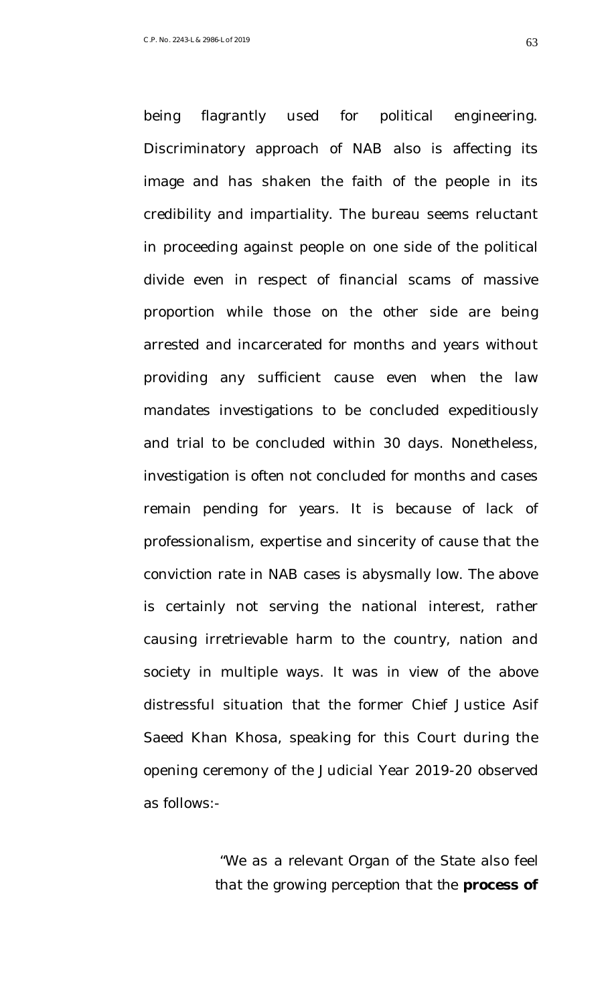being flagrantly used for political engineering. Discriminatory approach of NAB also is affecting its image and has shaken the faith of the people in its credibility and impartiality. The bureau seems reluctant in proceeding against people on one side of the political divide even in respect of financial scams of massive proportion while those on the other side are being arrested and incarcerated for months and years without providing any sufficient cause even when the law mandates investigations to be concluded expeditiously and trial to be concluded within 30 days. Nonetheless, investigation is often not concluded for months and cases remain pending for years. It is because of lack of professionalism, expertise and sincerity of cause that the conviction rate in NAB cases is abysmally low. The above is certainly not serving the national interest, rather causing irretrievable harm to the country, nation and society in multiple ways. It was in view of the above distressful situation that the former Chief Justice Asif Saeed Khan Khosa, speaking for this Court during the opening ceremony of the Judicial Year 2019-20 observed as follows:-

> "*We as a relevant Organ of the State also feel that the growing perception that the process of*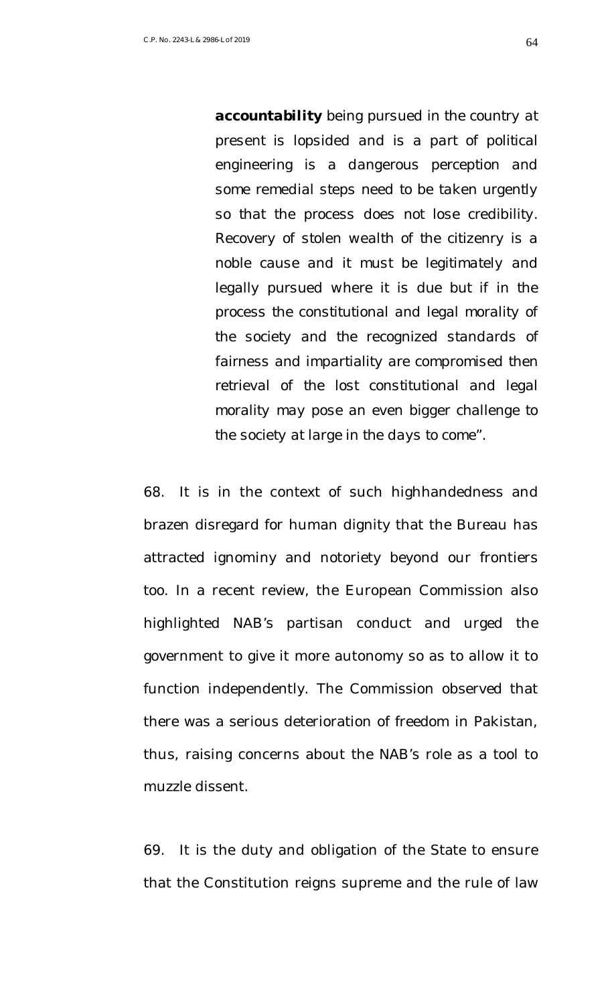*accountability being pursued in the country at present is lopsided and is a part of political engineering is a dangerous perception and some remedial steps need to be taken urgently so that the process does not lose credibility. Recovery of stolen wealth of the citizenry is a noble cause and it must be legitimately and legally pursued where it is due but if in the process the constitutional and legal morality of the society and the recognized standards of fairness and impartiality are compromised then retrieval of the lost constitutional and legal morality may pose an even bigger challenge to the society at large in the days to come".*

68. It is in the context of such highhandedness and brazen disregard for human dignity that the Bureau has attracted ignominy and notoriety beyond our frontiers too. In a recent review, the European Commission also highlighted NAB's partisan conduct and urged the government to give it more autonomy so as to allow it to function independently. The Commission observed that there was a serious deterioration of freedom in Pakistan, thus, raising concerns about the NAB's role as a tool to muzzle dissent.

69. It is the duty and obligation of the State to ensure that the Constitution reigns supreme and the rule of law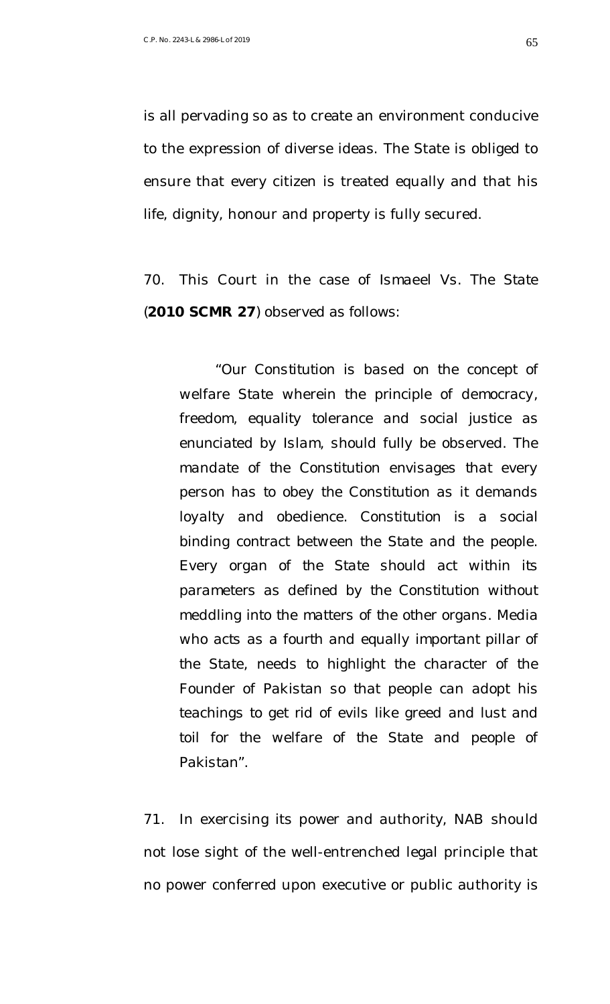is all pervading so as to create an environment conducive to the expression of diverse ideas. The State is obliged to ensure that every citizen is treated equally and that his life, dignity, honour and property is fully secured.

70. This Court in the case of *Ismaeel Vs. The State* (**2010 SCMR 27**) observed as follows:

*"Our Constitution is based on the concept of welfare State wherein the principle of democracy, freedom, equality tolerance and social justice as enunciated by Islam, should fully be observed. The mandate of the Constitution envisages that every person has to obey the Constitution as it demands loyalty and obedience. Constitution is a social binding contract between the State and the people. Every organ of the State should act within its parameters as defined by the Constitution without meddling into the matters of the other organs. Media who acts as a fourth and equally important pillar of the State, needs to highlight the character of the Founder of Pakistan so that people can adopt his teachings to get rid of evils like greed and lust and toil for the welfare of the State and people of Pakistan".*

71. In exercising its power and authority, NAB should not lose sight of the well-entrenched legal principle that no power conferred upon executive or public authority is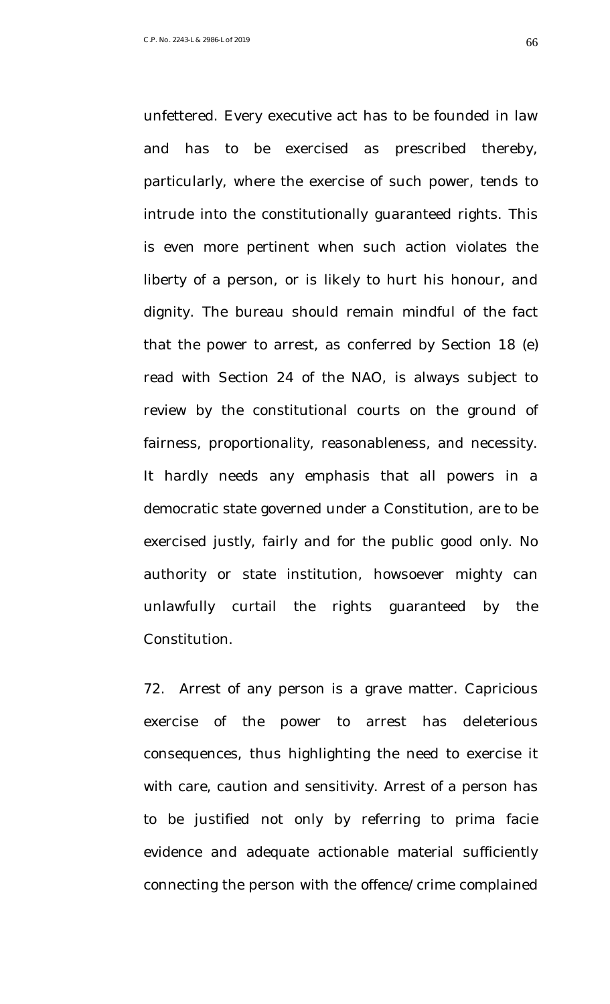unfettered. Every executive act has to be founded in law and has to be exercised as prescribed thereby, particularly, where the exercise of such power, tends to intrude into the constitutionally guaranteed rights. This is even more pertinent when such action violates the liberty of a person, or is likely to hurt his honour, and dignity. The bureau should remain mindful of the fact that the power to arrest, as conferred by Section 18 (e) read with Section 24 of the NAO, is always subject to review by the constitutional courts on the ground of fairness, proportionality, reasonableness, and necessity. It hardly needs any emphasis that all powers in a democratic state governed under a Constitution, are to be exercised justly, fairly and for the public good only. No authority or state institution, howsoever mighty can unlawfully curtail the rights guaranteed by the Constitution.

72. Arrest of any person is a grave matter. Capricious exercise of the power to arrest has deleterious consequences, thus highlighting the need to exercise it with care, caution and sensitivity. Arrest of a person has to be justified not only by referring to prima facie evidence and adequate actionable material sufficiently connecting the person with the offence/crime complained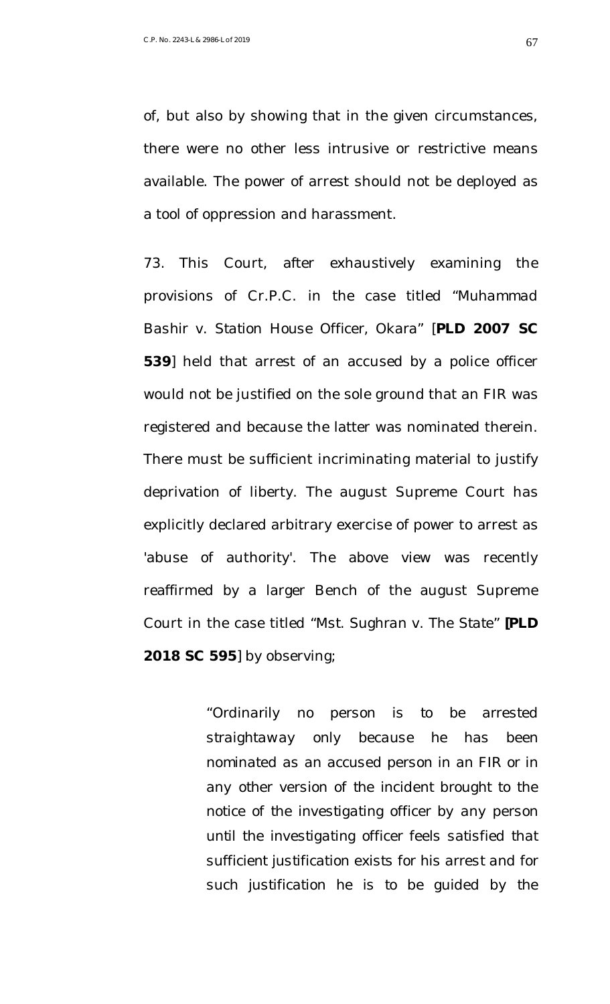of, but also by showing that in the given circumstances, there were no other less intrusive or restrictive means available. The power of arrest should not be deployed as a tool of oppression and harassment.

73. This Court, after exhaustively examining the provisions of Cr.P.C. in the case titled "*Muhammad Bashir v. Station House Officer, Okara"* [**PLD 2007 SC 539**] held that arrest of an accused by a police officer would not be justified on the sole ground that an FIR was registered and because the latter was nominated therein. There must be sufficient incriminating material to justify deprivation of liberty. The august Supreme Court has explicitly declared arbitrary exercise of power to arrest as 'abuse of authority'. The above view was recently reaffirmed by a larger Bench of the august Supreme Court in the case titled "*Mst. Sughran v. The State*" **[PLD 2018 SC 595**] by observing;

> *"Ordinarily no person is to be arrested straightaway only because he has been nominated as an accused person in an FIR or in any other version of the incident brought to the notice of the investigating officer by any person until the investigating officer feels satisfied that sufficient justification exists for his arrest and for such justification he is to be guided by the*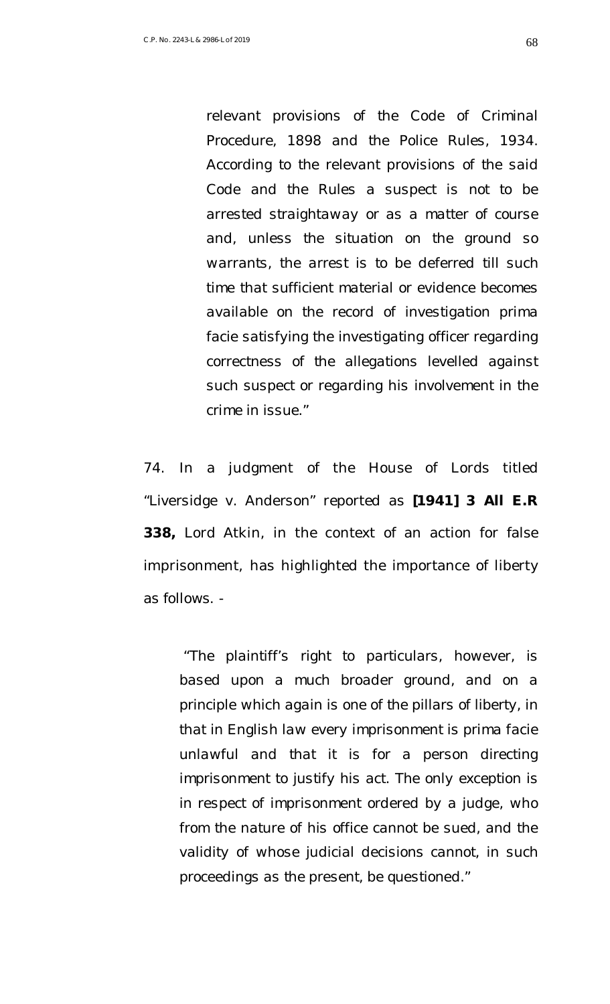*relevant provisions of the Code of Criminal Procedure, 1898 and the Police Rules, 1934. According to the relevant provisions of the said Code and the Rules a suspect is not to be arrested straightaway or as a matter of course and, unless the situation on the ground so warrants, the arrest is to be deferred till such time that sufficient material or evidence becomes available on the record of investigation prima facie satisfying the investigating officer regarding correctness of the allegations levelled against such suspect or regarding his involvement in the crime in issue."* 

74. In a judgment of the House of Lords titled "*Liversidge v. Anderson*" reported as **[1941] 3 All E.R 338,** Lord Atkin, in the context of an action for false imprisonment, has highlighted the importance of liberty as follows. -

*"The plaintiff's right to particulars, however, is based upon a much broader ground, and on a principle which again is one of the pillars of liberty, in that in English law every imprisonment is prima facie unlawful and that it is for a person directing imprisonment to justify his act. The only exception is in respect of imprisonment ordered by a judge, who from the nature of his office cannot be sued, and the validity of whose judicial decisions cannot, in such proceedings as the present, be questioned."*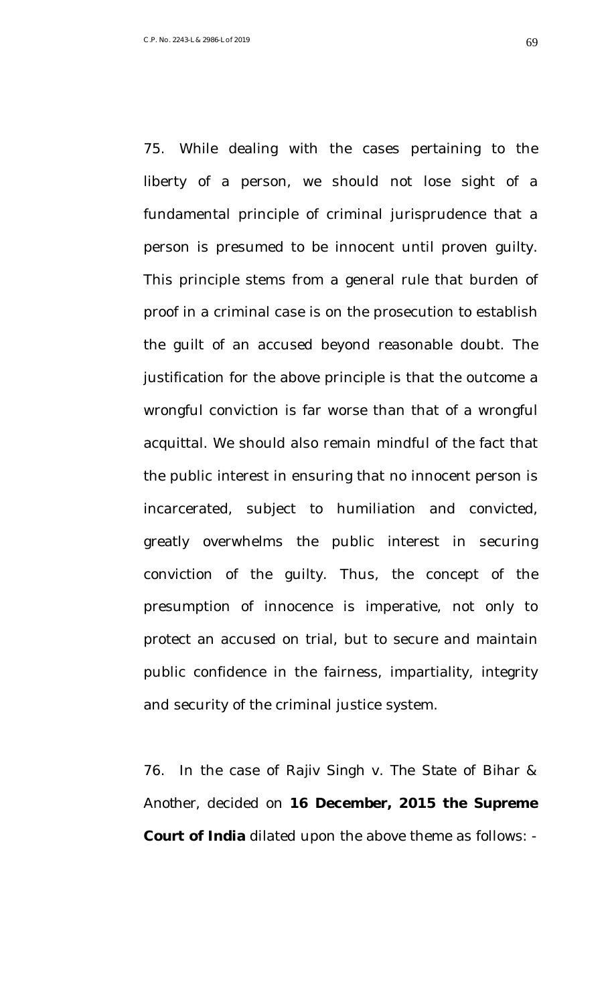75. While dealing with the cases pertaining to the liberty of a person, we should not lose sight of a fundamental principle of criminal jurisprudence that a person is presumed to be innocent until proven guilty. This principle stems from a general rule that burden of proof in a criminal case is on the prosecution to establish the guilt of an accused beyond reasonable doubt. The justification for the above principle is that the outcome a wrongful conviction is far worse than that of a wrongful acquittal. We should also remain mindful of the fact that the public interest in ensuring that no innocent person is incarcerated, subject to humiliation and convicted, greatly overwhelms the public interest in securing conviction of the guilty. Thus, the concept of the presumption of innocence is imperative, not only to protect an accused on trial, but to secure and maintain public confidence in the fairness, impartiality, integrity and security of the criminal justice system.

76. In the case of *Rajiv Singh v. The State of Bihar & Another,* decided on **16 December, 2015 the Supreme Court of India** dilated upon the above theme as follows: -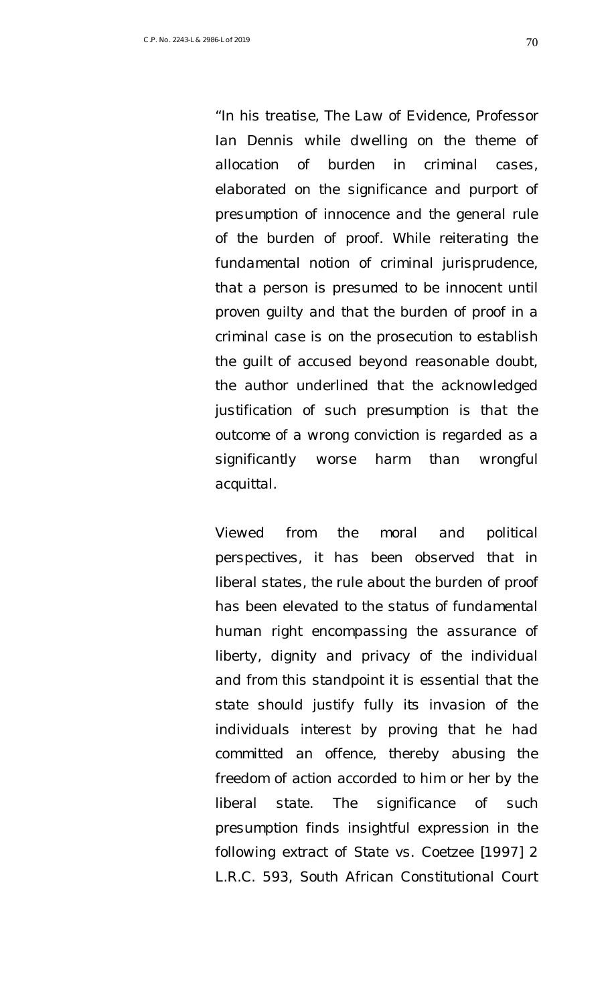*"In his treatise, The Law of Evidence, Professor Ian Dennis while dwelling on the theme of allocation of burden in criminal cases, elaborated on the significance and purport of presumption of innocence and the general rule of the burden of proof. While reiterating the fundamental notion of criminal jurisprudence, that a person is presumed to be innocent until proven guilty and that the burden of proof in a criminal case is on the prosecution to establish the guilt of accused beyond reasonable doubt, the author underlined that the acknowledged justification of such presumption is that the outcome of a wrong conviction is regarded as a significantly worse harm than wrongful acquittal.* 

*Viewed from the moral and political perspectives, it has been observed that in liberal states, the rule about the burden of proof has been elevated to the status of fundamental human right encompassing the assurance of liberty, dignity and privacy of the individual and from this standpoint it is essential that the state should justify fully its invasion of the individuals interest by proving that he had committed an offence, thereby abusing the freedom of action accorded to him or her by the liberal state. The significance of such presumption finds insightful expression in the following extract of State vs. Coetzee [1997] 2 L.R.C. 593, South African Constitutional Court*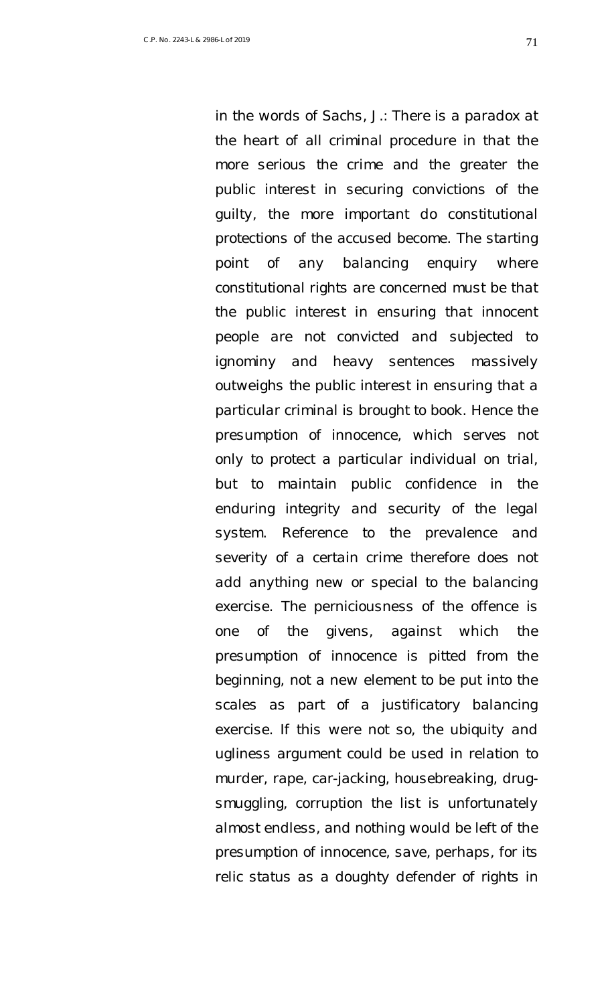*in the words of Sachs, J.: There is a paradox at the heart of all criminal procedure in that the more serious the crime and the greater the public interest in securing convictions of the guilty, the more important do constitutional protections of the accused become. The starting point of any balancing enquiry where constitutional rights are concerned must be that the public interest in ensuring that innocent people are not convicted and subjected to ignominy and heavy sentences massively outweighs the public interest in ensuring that a particular criminal is brought to book. Hence the presumption of innocence, which serves not only to protect a particular individual on trial, but to maintain public confidence in the enduring integrity and security of the legal system. Reference to the prevalence and severity of a certain crime therefore does not add anything new or special to the balancing exercise. The perniciousness of the offence is one of the givens, against which the presumption of innocence is pitted from the beginning, not a new element to be put into the scales as part of a justificatory balancing exercise. If this were not so, the ubiquity and ugliness argument could be used in relation to murder, rape, car-jacking, housebreaking, drugsmuggling, corruption the list is unfortunately almost endless, and nothing would be left of the presumption of innocence, save, perhaps, for its relic status as a doughty defender of rights in*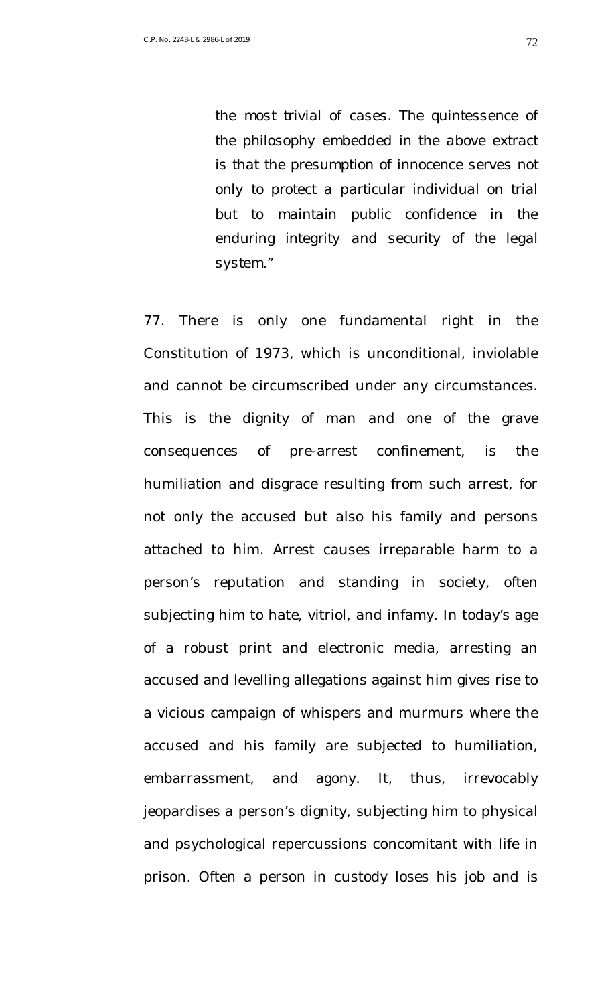*the most trivial of cases. The quintessence of the philosophy embedded in the above extract is that the presumption of innocence serves not only to protect a particular individual on trial but to maintain public confidence in the enduring integrity and security of the legal system."*

77. There is only one fundamental right in the Constitution of 1973, which is unconditional, inviolable and cannot be circumscribed under any circumstances. This is the dignity of man and one of the grave consequences of pre-arrest confinement, is the humiliation and disgrace resulting from such arrest, for not only the accused but also his family and persons attached to him. Arrest causes irreparable harm to a person's reputation and standing in society, often subjecting him to hate, vitriol, and infamy. In today's age of a robust print and electronic media, arresting an accused and levelling allegations against him gives rise to a vicious campaign of whispers and murmurs where the accused and his family are subjected to humiliation, embarrassment, and agony. It, thus, irrevocably jeopardises a person's dignity, subjecting him to physical and psychological repercussions concomitant with life in prison. Often a person in custody loses his job and is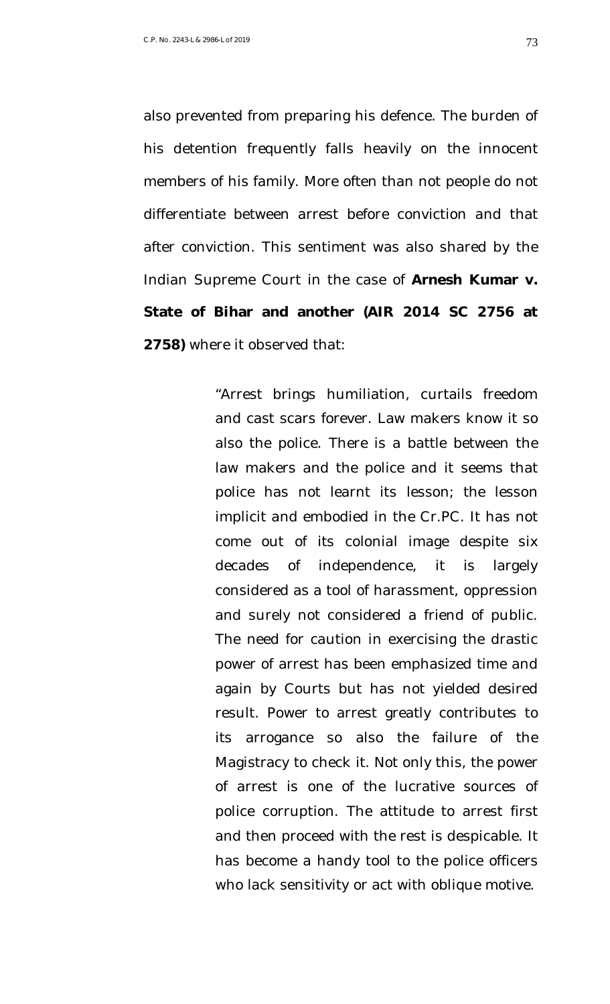also prevented from preparing his defence. The burden of his detention frequently falls heavily on the innocent members of his family. More often than not people do not differentiate between arrest before conviction and that after conviction. This sentiment was also shared by the Indian Supreme Court in the case of **Arnesh Kumar v. State of Bihar and another (AIR 2014 SC 2756 at 2758)** where it observed that:

> "Arrest brings humiliation, curtails freedom and cast scars forever. Law makers know it so also the police. There is a battle between the law makers and the police and it seems that police has not learnt its lesson; the lesson implicit and embodied in the Cr.PC. It has not come out of its colonial image despite six decades of independence, it is largely considered as a tool of harassment, oppression and surely not considered a friend of public. The need for caution in exercising the drastic power of arrest has been emphasized time and again by Courts but has not yielded desired result. Power to arrest greatly contributes to its arrogance so also the failure of the Magistracy to check it. Not only this, the power of arrest is one of the lucrative sources of police corruption. The attitude to arrest first and then proceed with the rest is despicable. It has become a handy tool to the police officers who lack sensitivity or act with oblique motive.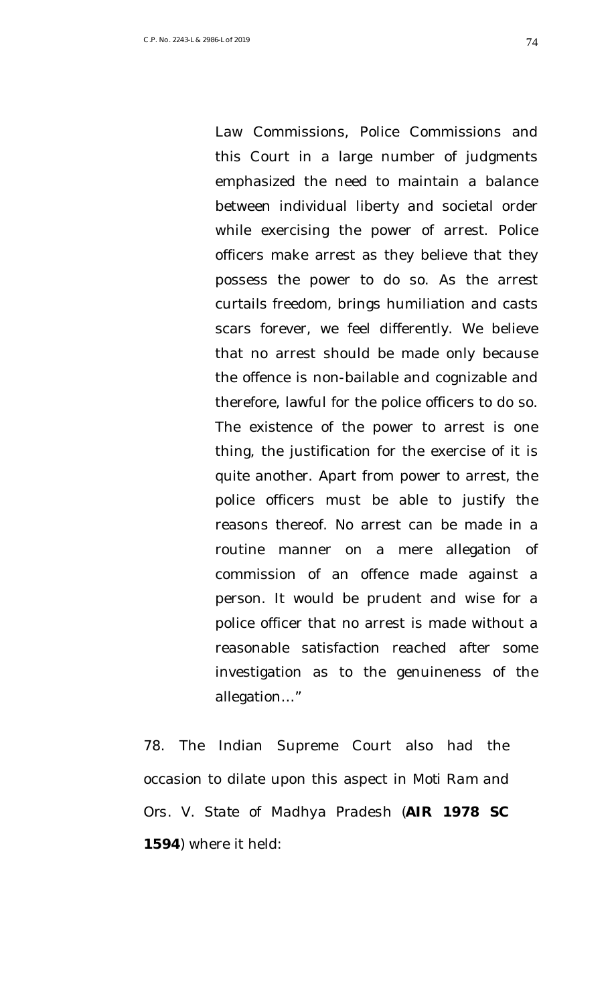Law Commissions, Police Commissions and this Court in a large number of judgments emphasized the need to maintain a balance between individual liberty and societal order while exercising the power of arrest. Police officers make arrest as they believe that they possess the power to do so. As the arrest curtails freedom, brings humiliation and casts scars forever, we feel differently. We believe that no arrest should be made only because the offence is non-bailable and cognizable and therefore, lawful for the police officers to do so. The existence of the power to arrest is one thing, the justification for the exercise of it is quite another. Apart from power to arrest, the police officers must be able to justify the reasons thereof. No arrest can be made in a routine manner on a mere allegation of commission of an offence made against a person. It would be prudent and wise for a police officer that no arrest is made without a reasonable satisfaction reached after some investigation as to the genuineness of the allegation…"

78. The Indian Supreme Court also had the occasion to dilate upon this aspect in *Moti Ram and Ors. V. State of Madhya Pradesh* (**AIR 1978 SC 1594**) where it held: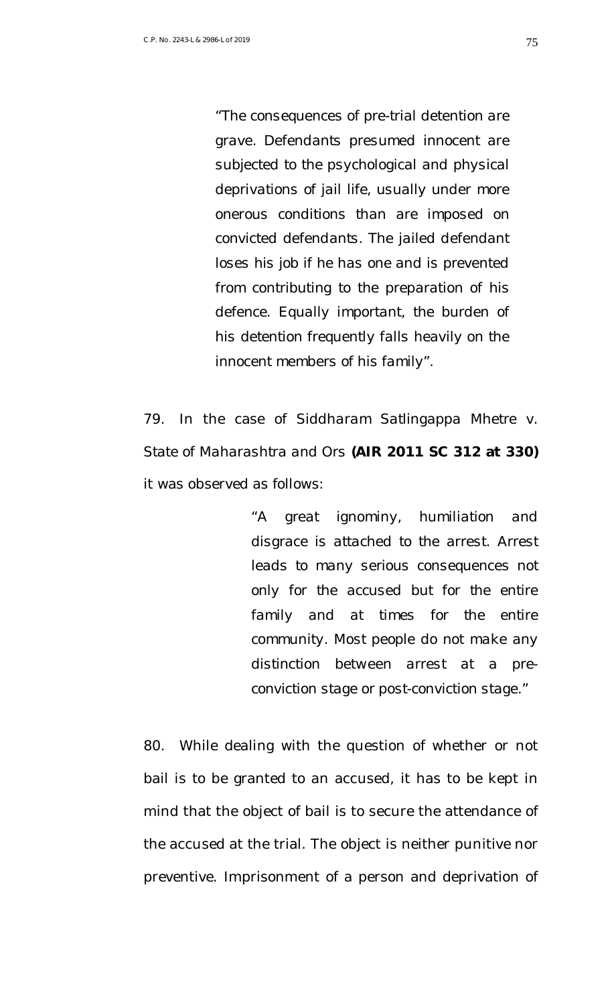*"The consequences of pre-trial detention are grave. Defendants presumed innocent are subjected to the psychological and physical deprivations of jail life, usually under more onerous conditions than are imposed on convicted defendants. The jailed defendant loses his job if he has one and is prevented from contributing to the preparation of his defence. Equally important, the burden of his detention frequently falls heavily on the innocent members of his family".* 

79. In the case of *Siddharam Satlingappa Mhetre v. State of Maharashtra and Ors* **(AIR 2011 SC 312 at 330)** it was observed as follows:

> *"A great ignominy, humiliation and disgrace is attached to the arrest. Arrest leads to many serious consequences not only for the accused but for the entire family and at times for the entire community. Most people do not make any distinction between arrest at a preconviction stage or post-conviction stage."*

80. While dealing with the question of whether or not bail is to be granted to an accused, it has to be kept in mind that the object of bail is to secure the attendance of the accused at the trial. The object is neither punitive nor preventive. Imprisonment of a person and deprivation of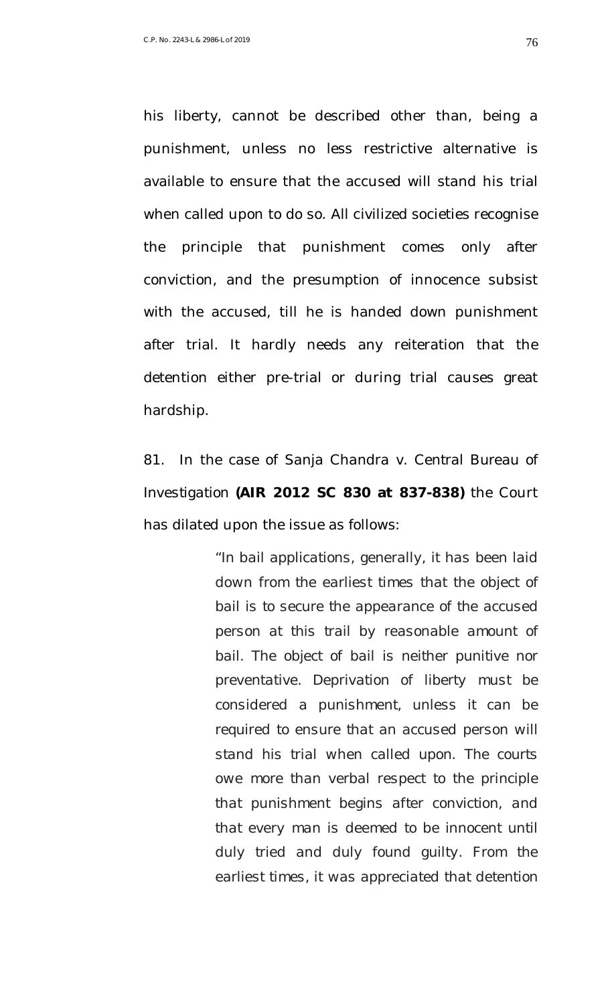his liberty, cannot be described other than, being a punishment, unless no less restrictive alternative is available to ensure that the accused will stand his trial when called upon to do so. All civilized societies recognise the principle that punishment comes only after conviction, and the presumption of innocence subsist with the accused, till he is handed down punishment after trial. It hardly needs any reiteration that the detention either pre-trial or during trial causes great hardship.

81. In the case of *Sanja Chandra v. Central Bureau of Investigation* **(AIR 2012 SC 830 at 837-838)** the Court has dilated upon the issue as follows:

> *"In bail applications, generally, it has been laid down from the earliest times that the object of bail is to secure the appearance of the accused person at this trail by reasonable amount of bail. The object of bail is neither punitive nor preventative. Deprivation of liberty must be considered a punishment, unless it can be required to ensure that an accused person will stand his trial when called upon. The courts owe more than verbal respect to the principle that punishment begins after conviction, and that every man is deemed to be innocent until duly tried and duly found guilty. From the earliest times, it was appreciated that detention*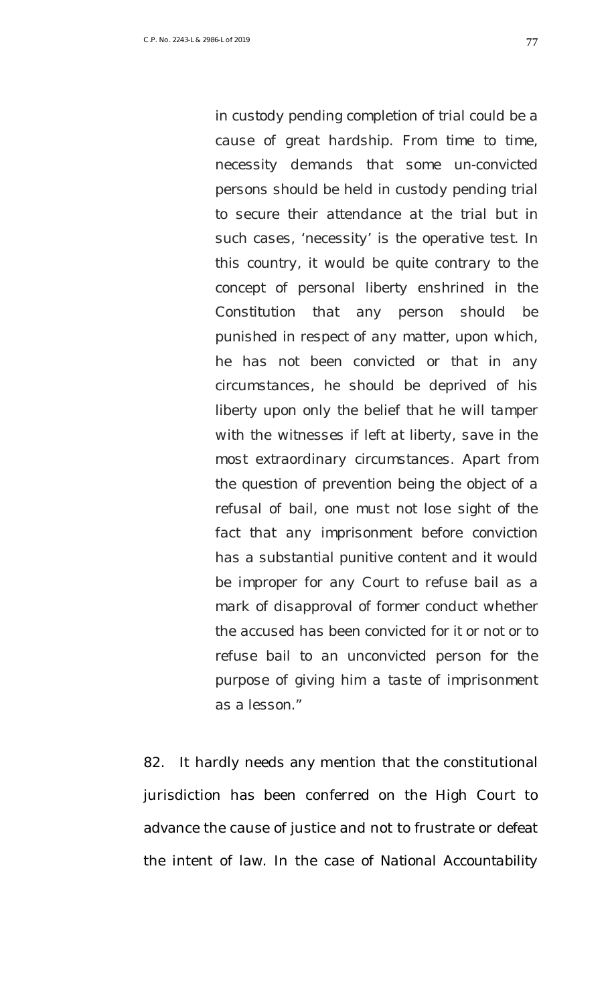*in custody pending completion of trial could be a cause of great hardship. From time to time, necessity demands that some un-convicted persons should be held in custody pending trial to secure their attendance at the trial but in such cases, 'necessity' is the operative test. In this country, it would be quite contrary to the concept of personal liberty enshrined in the Constitution that any person should be punished in respect of any matter, upon which, he has not been convicted or that in any circumstances, he should be deprived of his liberty upon only the belief that he will tamper with the witnesses if left at liberty, save in the most extraordinary circumstances. Apart from the question of prevention being the object of a refusal of bail, one must not lose sight of the fact that any imprisonment before conviction has a substantial punitive content and it would be improper for any Court to refuse bail as a mark of disapproval of former conduct whether the accused has been convicted for it or not or to refuse bail to an unconvicted person for the purpose of giving him a taste of imprisonment as a lesson."*

82. It hardly needs any mention that the constitutional jurisdiction has been conferred on the High Court to advance the cause of justice and not to frustrate or defeat the intent of law. In the case of *National Accountability*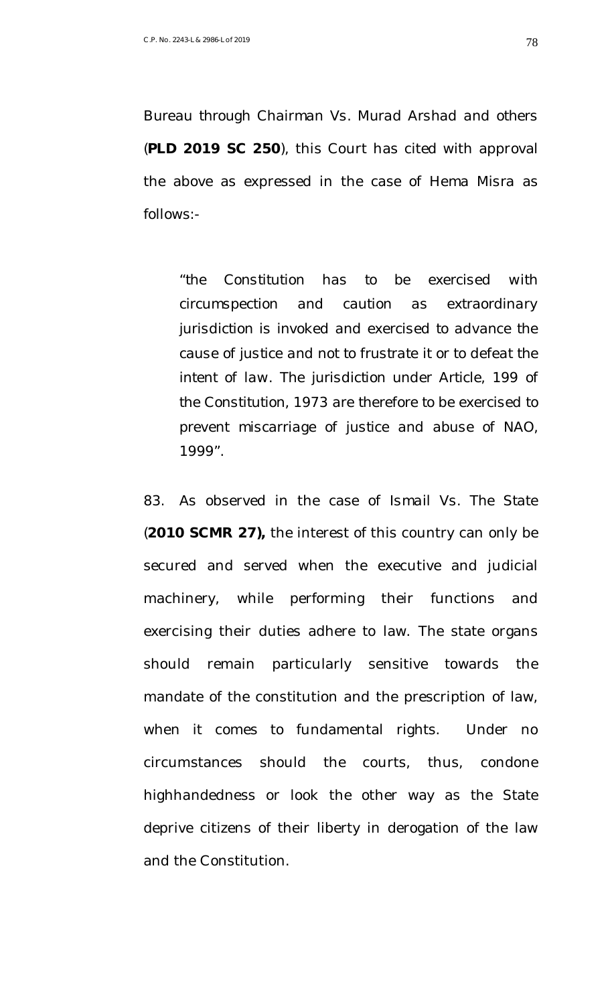*Bureau through Chairman Vs. Murad Arshad and others* (**PLD 2019 SC 250**), this Court has cited with approval the above as expressed in the case of *Hema Misra* as follows:-

*"the Constitution has to be exercised with circumspection and caution as extraordinary jurisdiction is invoked and exercised to advance the cause of justice and not to frustrate it or to defeat the intent of law. The jurisdiction under Article, 199 of the Constitution, 1973 are therefore to be exercised to prevent miscarriage of justice and abuse of NAO, 1999".*

83. As observed in the case of *Ismail Vs. The State* (**2010 SCMR 27),** the interest of this country can only be secured and served when the executive and judicial machinery, while performing their functions and exercising their duties adhere to law. The state organs should remain particularly sensitive towards the mandate of the constitution and the prescription of law, when it comes to fundamental rights. Under no circumstances should the courts, thus, condone highhandedness or look the other way as the State deprive citizens of their liberty in derogation of the law and the Constitution.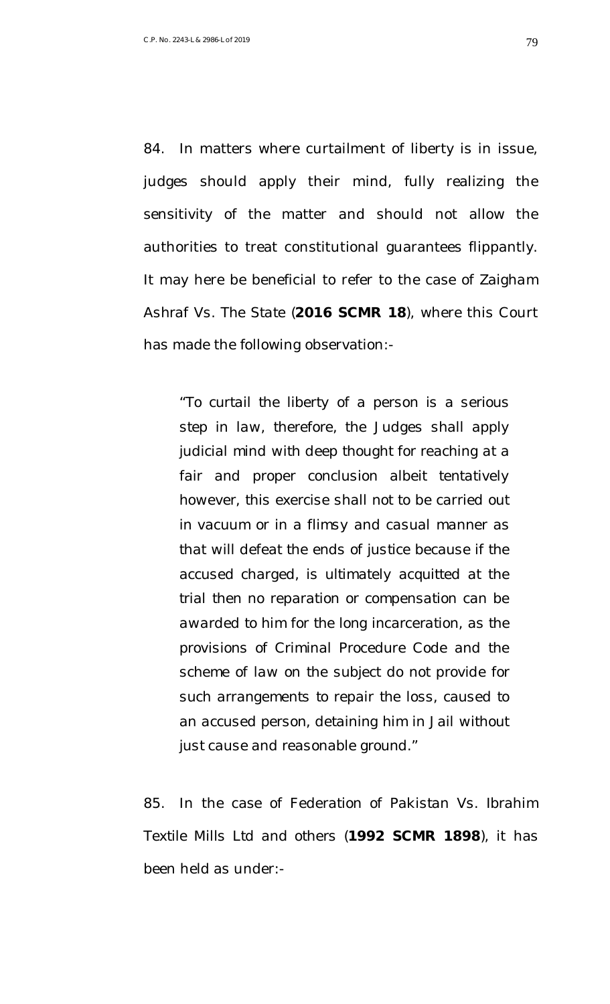84. In matters where curtailment of liberty is in issue, judges should apply their mind, fully realizing the sensitivity of the matter and should not allow the authorities to treat constitutional guarantees flippantly. It may here be beneficial to refer to the case of *Zaigham Ashraf Vs. The State* (**2016 SCMR 18**), where this Court has made the following observation:-

*"To curtail the liberty of a person is a serious step in law, therefore, the Judges shall apply judicial mind with deep thought for reaching at a fair and proper conclusion albeit tentatively however, this exercise shall not to be carried out in vacuum or in a flimsy and casual manner as that will defeat the ends of justice because if the accused charged, is ultimately acquitted at the trial then no reparation or compensation can be awarded to him for the long incarceration, as the provisions of Criminal Procedure Code and the scheme of law on the subject do not provide for such arrangements to repair the loss, caused to an accused person, detaining him in Jail without just cause and reasonable ground."*

85. In the case of *Federation of Pakistan Vs. Ibrahim Textile Mills Ltd and others* (**1992 SCMR 1898**), it has been held as under:-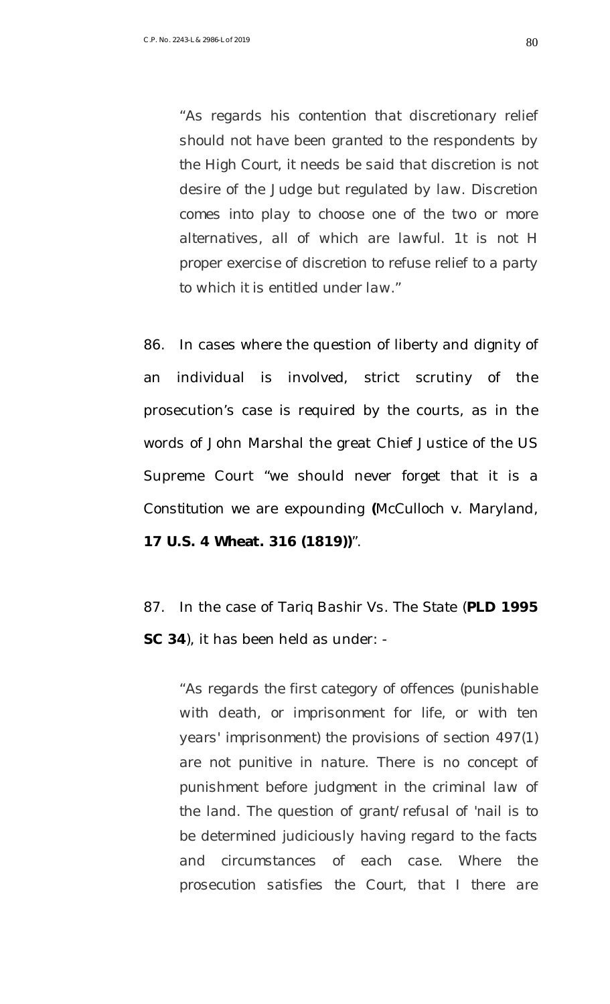*"As regards his contention that discretionary relief should not have been granted to the respondents by the High Court, it needs be said that discretion is not desire of the Judge but regulated by law. Discretion comes into play to choose one of the two or more alternatives, all of which are lawful. 1t is not H proper exercise of discretion to refuse relief to a party to which it is entitled under law."*

86. In cases where the question of liberty and dignity of an individual is involved, strict scrutiny of the prosecution's case is required by the courts, as in the words of John Marshal the great Chief Justice of the US Supreme Court "we should never forget that it is a *Constitution* we are expounding **(***McCulloch v. Maryland,* **17 U.S. 4 Wheat. 316 (1819))**".

87. In the case of *Tariq Bashir Vs. The State* (**PLD 1995 SC 34**), it has been held as under: -

*"As regards the first category of offences (punishable with death, or imprisonment for life, or with ten years' imprisonment) the provisions of section 497(1) are not punitive in nature. There is no concept of punishment before judgment in the criminal law of the land. The question of grant/refusal of 'nail is to be determined judiciously having regard to the facts and circumstances of each case. Where the prosecution satisfies the Court, that I there are*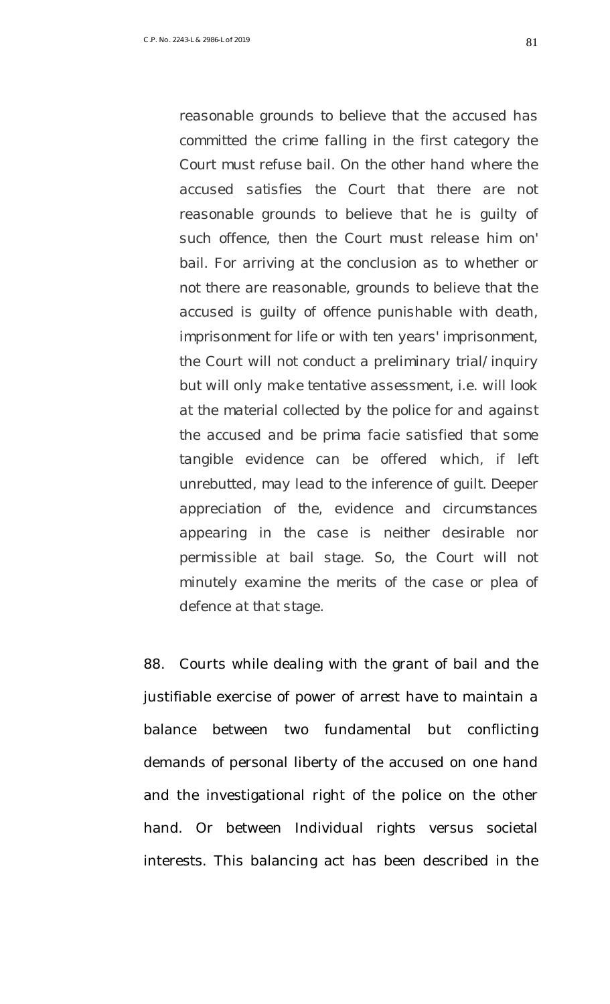*reasonable grounds to believe that the accused has committed the crime falling in the first category the Court must refuse bail. On the other hand where the accused satisfies the Court that there are not reasonable grounds to believe that he is guilty of such offence, then the Court must release him on' bail. For arriving at the conclusion as to whether or not there are reasonable, grounds to believe that the accused is guilty of offence punishable with death, imprisonment for life or with ten years' imprisonment, the Court will not conduct a preliminary trial/inquiry but will only make tentative assessment, i.e. will look at the material collected by the police for and against the accused and be prima facie satisfied that some tangible evidence can be offered which, if left unrebutted, may lead to the inference of guilt. Deeper appreciation of the, evidence and circumstances appearing in the case is neither desirable nor permissible at bail stage. So, the Court will not minutely examine the merits of the case or plea of defence at that stage.*

88. Courts while dealing with the grant of bail and the justifiable exercise of power of arrest have to maintain a balance between two fundamental but conflicting demands of personal liberty of the accused on one hand and the investigational right of the police on the other hand. Or between Individual rights versus societal interests. This balancing act has been described in the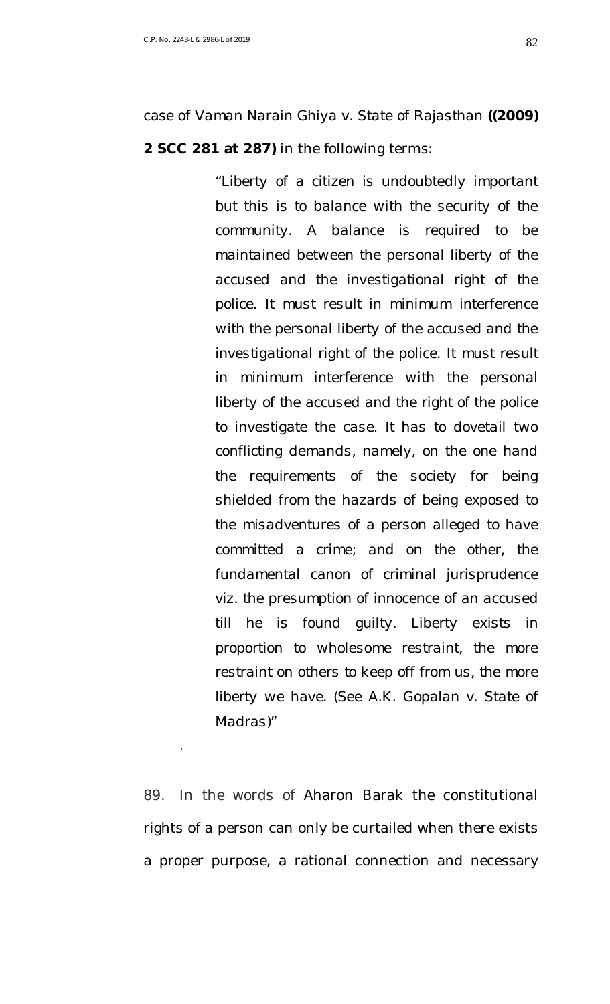.

*"Liberty of a citizen is undoubtedly important but this is to balance with the security of the community. A balance is required to be maintained between the personal liberty of the accused and the investigational right of the police. It must result in minimum interference with the personal liberty of the accused and the investigational right of the police. It must result in minimum interference with the personal liberty of the accused and the right of the police to investigate the case. It has to dovetail two conflicting demands, namely, on the one hand the requirements of the society for being shielded from the hazards of being exposed to the misadventures of a person alleged to have committed a crime; and on the other, the fundamental canon of criminal jurisprudence viz. the presumption of innocence of an accused till he is found guilty. Liberty exists in proportion to wholesome restraint, the more restraint on others to keep off from us, the more liberty we have. (See A.K. Gopalan v. State of Madras)"*

89. In the words of Aharon Barak the constitutional rights of a person can only be curtailed when there exists a proper purpose, a rational connection and necessary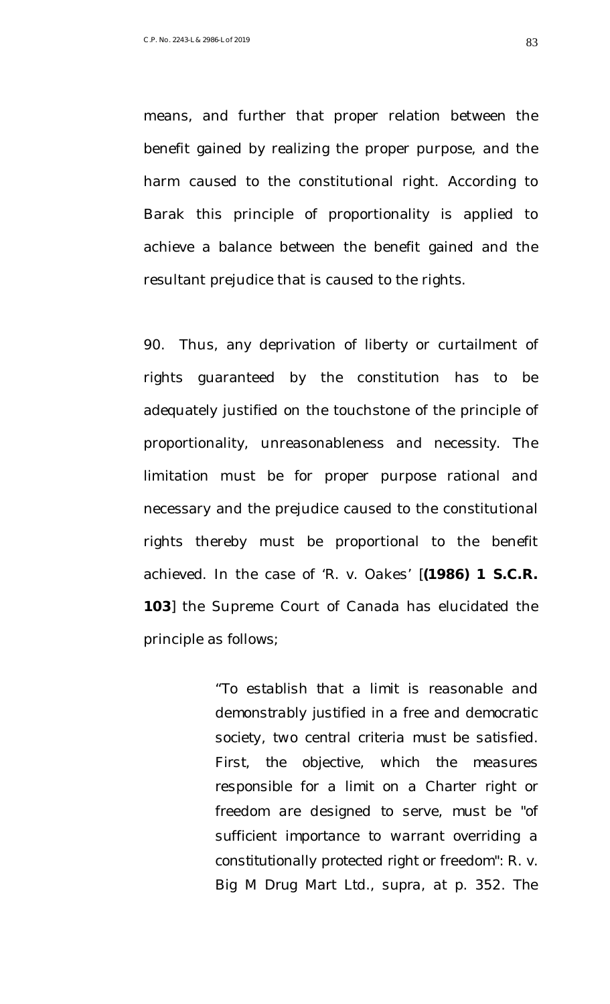means, and further that proper relation between the benefit gained by realizing the proper purpose, and the harm caused to the constitutional right. According to Barak this principle of proportionality is applied to achieve a balance between the benefit gained and the resultant prejudice that is caused to the rights.

90. Thus, any deprivation of liberty or curtailment of rights guaranteed by the constitution has to be adequately justified on the touchstone of the principle of proportionality, unreasonableness and necessity. The limitation must be for proper purpose rational and necessary and the prejudice caused to the constitutional rights thereby must be proportional to the benefit achieved. In the case of '*R. v. Oakes'* [**(1986) 1 S.C.R. 103**] the Supreme Court of Canada has elucidated the principle as follows;

> *"To establish that a limit is reasonable and demonstrably justified in a free and democratic society, two central criteria must be satisfied. First, the objective, which the measures responsible for a limit on a Charter right or freedom are designed to serve, must be "of sufficient importance to warrant overriding a constitutionally protected right or freedom": R. v. Big M Drug Mart Ltd., supra, at p. 352. The*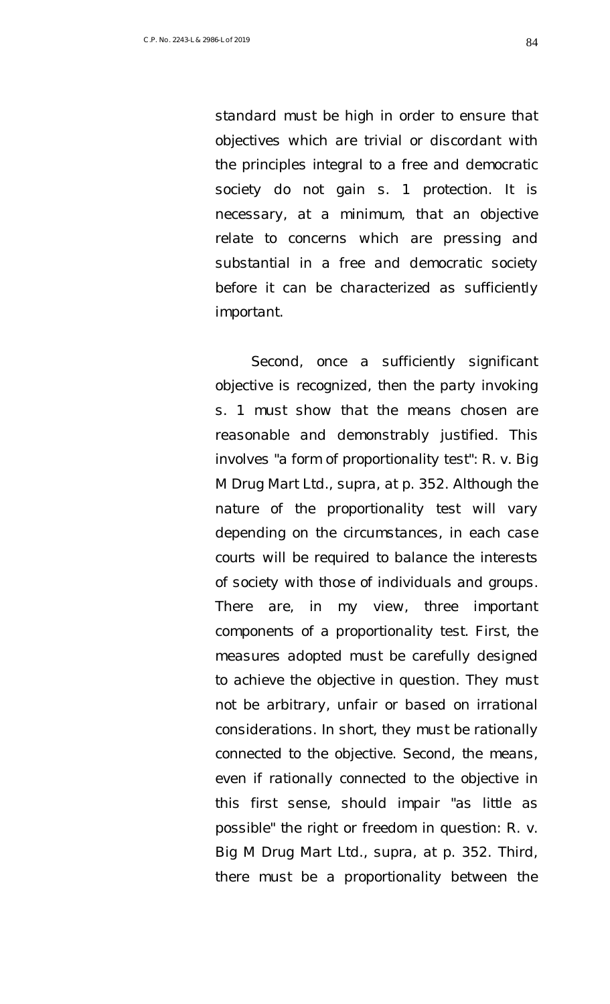*standard must be high in order to ensure that objectives which are trivial or discordant with the principles integral to a free and democratic society do not gain s. 1 protection. It is necessary, at a minimum, that an objective relate to concerns which are pressing and substantial in a free and democratic society before it can be characterized as sufficiently important.* 

*Second, once a sufficiently significant objective is recognized, then the party invoking s. 1 must show that the means chosen are reasonable and demonstrably justified. This involves "a form of proportionality test": R. v. Big M Drug Mart Ltd., supra, at p. 352. Although the nature of the proportionality test will vary depending on the circumstances, in each case courts will be required to balance the interests of society with those of individuals and groups. There are, in my view, three important components of a proportionality test. First, the measures adopted must be carefully designed to achieve the objective in question. They must not be arbitrary, unfair or based on irrational considerations. In short, they must be rationally connected to the objective. Second, the means, even if rationally connected to the objective in this first sense, should impair "as little as possible" the right or freedom in question: R. v. Big M Drug Mart Ltd., supra, at p. 352. Third, there must be a proportionality between the*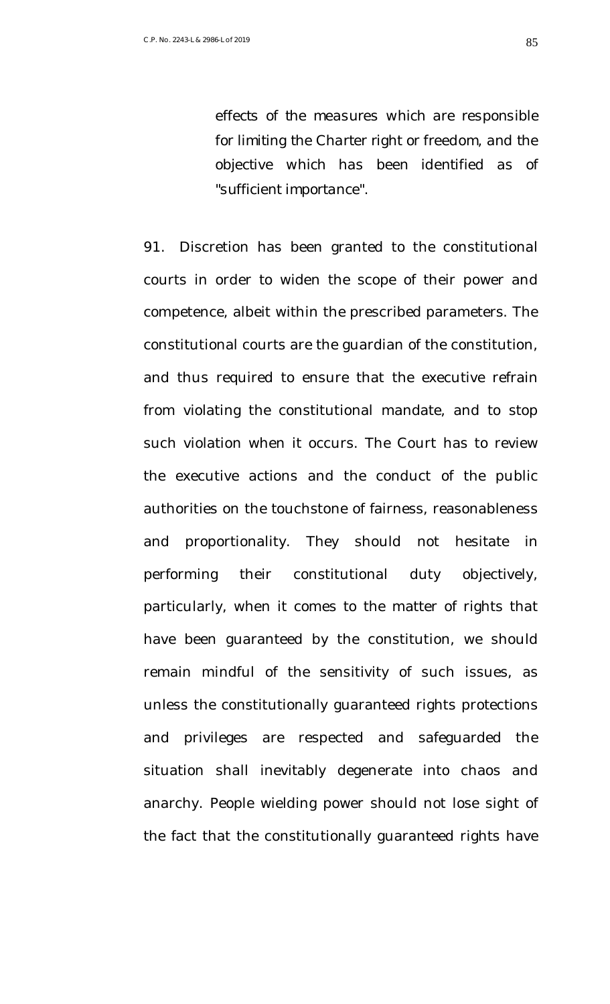*effects of the measures which are responsible for limiting the Charter right or freedom, and the objective which has been identified as of "sufficient importance".* 

91. Discretion has been granted to the constitutional courts in order to widen the scope of their power and competence, albeit within the prescribed parameters. The constitutional courts are the guardian of the constitution, and thus required to ensure that the executive refrain from violating the constitutional mandate, and to stop such violation when it occurs. The Court has to review the executive actions and the conduct of the public authorities on the touchstone of fairness, reasonableness and proportionality. They should not hesitate in performing their constitutional duty objectively, particularly, when it comes to the matter of rights that have been guaranteed by the constitution, we should remain mindful of the sensitivity of such issues, as unless the constitutionally guaranteed rights protections and privileges are respected and safeguarded the situation shall inevitably degenerate into chaos and anarchy. People wielding power should not lose sight of the fact that the constitutionally guaranteed rights have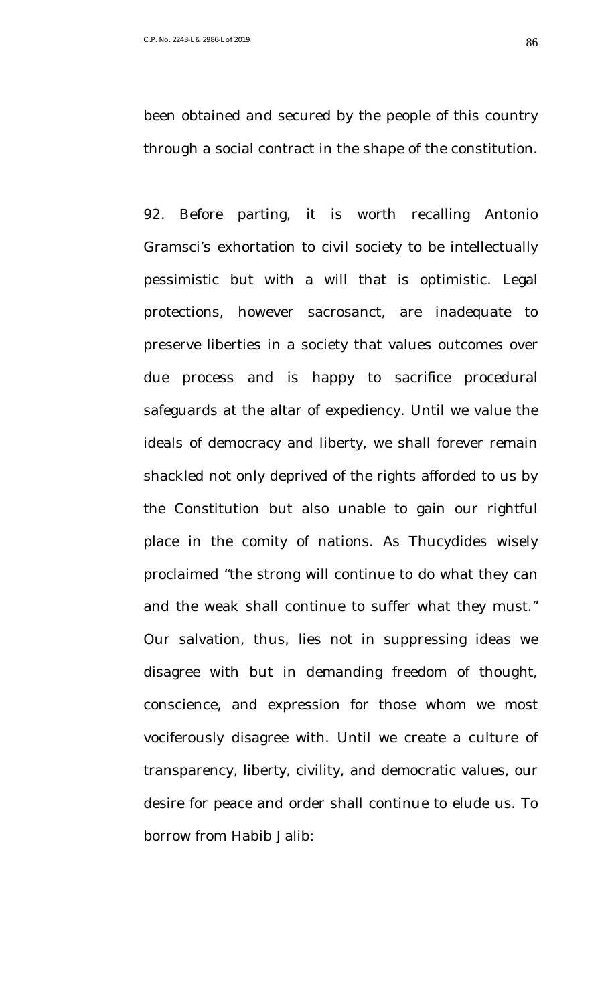been obtained and secured by the people of this country through a social contract in the shape of the constitution.

92. Before parting, it is worth recalling Antonio Gramsci's exhortation to civil society to be intellectually pessimistic but with a will that is optimistic. Legal protections, however sacrosanct, are inadequate to preserve liberties in a society that values outcomes over due process and is happy to sacrifice procedural safeguards at the altar of expediency. Until we value the ideals of democracy and liberty, we shall forever remain shackled not only deprived of the rights afforded to us by the Constitution but also unable to gain our rightful place in the comity of nations. As Thucydides wisely proclaimed "the strong will continue to do what they can and the weak shall continue to suffer what they must." Our salvation, thus, lies not in suppressing ideas we disagree with but in demanding freedom of thought, conscience, and expression for those whom we most vociferously disagree with. Until we create a culture of transparency, liberty, civility, and democratic values, our desire for peace and order shall continue to elude us. To borrow from Habib Jalib: